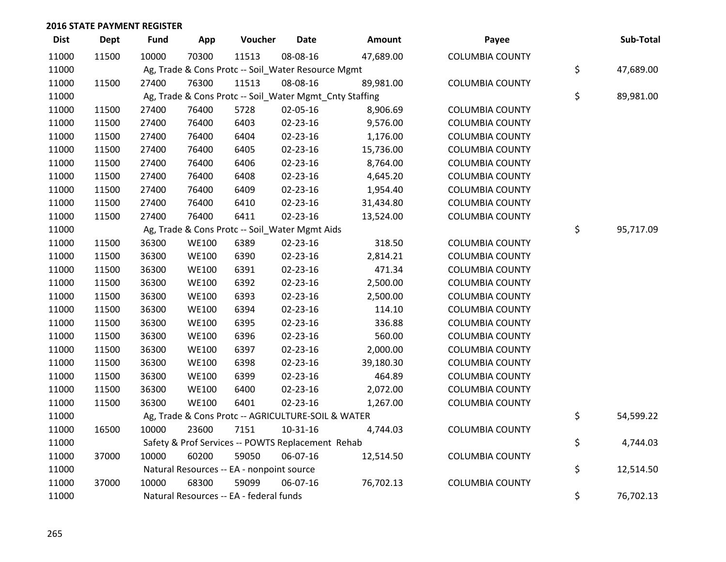| <b>Dist</b> | <b>Dept</b> | Fund  | App          | Voucher                                            | <b>Date</b> | Amount                                                  | Payee                  | Sub-Total       |
|-------------|-------------|-------|--------------|----------------------------------------------------|-------------|---------------------------------------------------------|------------------------|-----------------|
| 11000       | 11500       | 10000 | 70300        | 11513                                              | 08-08-16    | 47,689.00                                               | <b>COLUMBIA COUNTY</b> |                 |
| 11000       |             |       |              | Ag, Trade & Cons Protc -- Soil_Water Resource Mgmt |             |                                                         |                        | \$<br>47,689.00 |
| 11000       | 11500       | 27400 | 76300        | 11513                                              | 08-08-16    | 89,981.00                                               | <b>COLUMBIA COUNTY</b> |                 |
| 11000       |             |       |              |                                                    |             | Ag, Trade & Cons Protc -- Soil_Water Mgmt_Cnty Staffing |                        | \$<br>89,981.00 |
| 11000       | 11500       | 27400 | 76400        | 5728                                               | 02-05-16    | 8,906.69                                                | <b>COLUMBIA COUNTY</b> |                 |
| 11000       | 11500       | 27400 | 76400        | 6403                                               | 02-23-16    | 9,576.00                                                | <b>COLUMBIA COUNTY</b> |                 |
| 11000       | 11500       | 27400 | 76400        | 6404                                               | 02-23-16    | 1,176.00                                                | <b>COLUMBIA COUNTY</b> |                 |
| 11000       | 11500       | 27400 | 76400        | 6405                                               | 02-23-16    | 15,736.00                                               | <b>COLUMBIA COUNTY</b> |                 |
| 11000       | 11500       | 27400 | 76400        | 6406                                               | 02-23-16    | 8,764.00                                                | <b>COLUMBIA COUNTY</b> |                 |
| 11000       | 11500       | 27400 | 76400        | 6408                                               | 02-23-16    | 4,645.20                                                | <b>COLUMBIA COUNTY</b> |                 |
| 11000       | 11500       | 27400 | 76400        | 6409                                               | 02-23-16    | 1,954.40                                                | <b>COLUMBIA COUNTY</b> |                 |
| 11000       | 11500       | 27400 | 76400        | 6410                                               | 02-23-16    | 31,434.80                                               | <b>COLUMBIA COUNTY</b> |                 |
| 11000       | 11500       | 27400 | 76400        | 6411                                               | 02-23-16    | 13,524.00                                               | <b>COLUMBIA COUNTY</b> |                 |
| 11000       |             |       |              | Ag, Trade & Cons Protc -- Soil_Water Mgmt Aids     |             |                                                         |                        | \$<br>95,717.09 |
| 11000       | 11500       | 36300 | <b>WE100</b> | 6389                                               | 02-23-16    | 318.50                                                  | <b>COLUMBIA COUNTY</b> |                 |
| 11000       | 11500       | 36300 | <b>WE100</b> | 6390                                               | 02-23-16    | 2,814.21                                                | <b>COLUMBIA COUNTY</b> |                 |
| 11000       | 11500       | 36300 | <b>WE100</b> | 6391                                               | 02-23-16    | 471.34                                                  | <b>COLUMBIA COUNTY</b> |                 |
| 11000       | 11500       | 36300 | <b>WE100</b> | 6392                                               | 02-23-16    | 2,500.00                                                | <b>COLUMBIA COUNTY</b> |                 |
| 11000       | 11500       | 36300 | <b>WE100</b> | 6393                                               | 02-23-16    | 2,500.00                                                | <b>COLUMBIA COUNTY</b> |                 |
| 11000       | 11500       | 36300 | <b>WE100</b> | 6394                                               | 02-23-16    | 114.10                                                  | <b>COLUMBIA COUNTY</b> |                 |
| 11000       | 11500       | 36300 | <b>WE100</b> | 6395                                               | 02-23-16    | 336.88                                                  | <b>COLUMBIA COUNTY</b> |                 |
| 11000       | 11500       | 36300 | <b>WE100</b> | 6396                                               | 02-23-16    | 560.00                                                  | <b>COLUMBIA COUNTY</b> |                 |
| 11000       | 11500       | 36300 | <b>WE100</b> | 6397                                               | 02-23-16    | 2,000.00                                                | <b>COLUMBIA COUNTY</b> |                 |
| 11000       | 11500       | 36300 | <b>WE100</b> | 6398                                               | 02-23-16    | 39,180.30                                               | <b>COLUMBIA COUNTY</b> |                 |
| 11000       | 11500       | 36300 | <b>WE100</b> | 6399                                               | 02-23-16    | 464.89                                                  | <b>COLUMBIA COUNTY</b> |                 |
| 11000       | 11500       | 36300 | <b>WE100</b> | 6400                                               | 02-23-16    | 2,072.00                                                | <b>COLUMBIA COUNTY</b> |                 |
| 11000       | 11500       | 36300 | <b>WE100</b> | 6401                                               | 02-23-16    | 1,267.00                                                | <b>COLUMBIA COUNTY</b> |                 |
| 11000       |             |       |              | Ag, Trade & Cons Protc -- AGRICULTURE-SOIL & WATER |             |                                                         |                        | \$<br>54,599.22 |
| 11000       | 16500       | 10000 | 23600        | 7151                                               | 10-31-16    | 4,744.03                                                | <b>COLUMBIA COUNTY</b> |                 |
| 11000       |             |       |              | Safety & Prof Services -- POWTS Replacement Rehab  |             |                                                         |                        | \$<br>4,744.03  |
| 11000       | 37000       | 10000 | 60200        | 59050                                              | 06-07-16    | 12,514.50                                               | <b>COLUMBIA COUNTY</b> |                 |
| 11000       |             |       |              | Natural Resources -- EA - nonpoint source          |             |                                                         |                        | \$<br>12,514.50 |
| 11000       | 37000       | 10000 | 68300        | 59099                                              | 06-07-16    | 76,702.13                                               | <b>COLUMBIA COUNTY</b> |                 |
| 11000       |             |       |              | Natural Resources -- EA - federal funds            |             |                                                         |                        | \$<br>76,702.13 |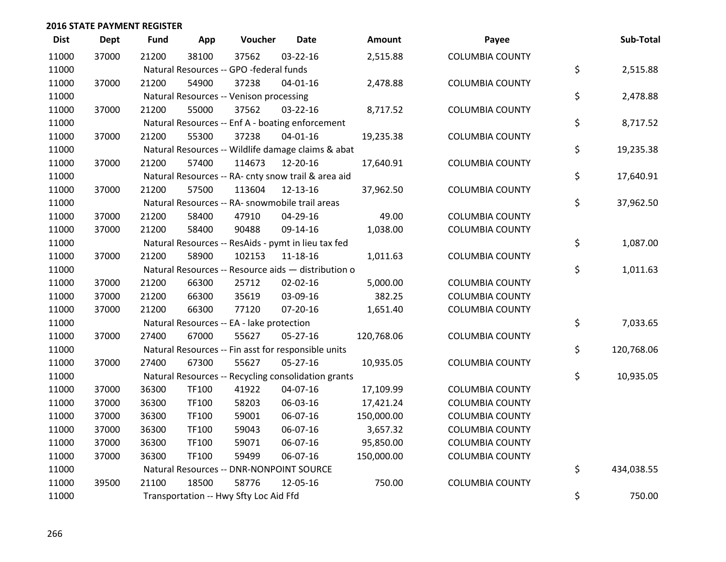| <b>Dist</b> | <b>Dept</b> | <b>Fund</b> | App   | Voucher                                             | <b>Date</b>    | <b>Amount</b> | Payee                  | Sub-Total        |
|-------------|-------------|-------------|-------|-----------------------------------------------------|----------------|---------------|------------------------|------------------|
| 11000       | 37000       | 21200       | 38100 | 37562                                               | 03-22-16       | 2,515.88      | <b>COLUMBIA COUNTY</b> |                  |
| 11000       |             |             |       | Natural Resources -- GPO -federal funds             |                |               |                        | \$<br>2,515.88   |
| 11000       | 37000       | 21200       | 54900 | 37238                                               | $04 - 01 - 16$ | 2,478.88      | <b>COLUMBIA COUNTY</b> |                  |
| 11000       |             |             |       | Natural Resources -- Venison processing             |                |               |                        | \$<br>2,478.88   |
| 11000       | 37000       | 21200       | 55000 | 37562                                               | 03-22-16       | 8,717.52      | <b>COLUMBIA COUNTY</b> |                  |
| 11000       |             |             |       | Natural Resources -- Enf A - boating enforcement    |                |               |                        | \$<br>8,717.52   |
| 11000       | 37000       | 21200       | 55300 | 37238                                               | $04 - 01 - 16$ | 19,235.38     | <b>COLUMBIA COUNTY</b> |                  |
| 11000       |             |             |       | Natural Resources -- Wildlife damage claims & abat  |                |               |                        | \$<br>19,235.38  |
| 11000       | 37000       | 21200       | 57400 | 114673                                              | 12-20-16       | 17,640.91     | <b>COLUMBIA COUNTY</b> |                  |
| 11000       |             |             |       | Natural Resources -- RA- cnty snow trail & area aid |                |               |                        | \$<br>17,640.91  |
| 11000       | 37000       | 21200       | 57500 | 113604                                              | 12-13-16       | 37,962.50     | <b>COLUMBIA COUNTY</b> |                  |
| 11000       |             |             |       | Natural Resources -- RA- snowmobile trail areas     |                |               |                        | \$<br>37,962.50  |
| 11000       | 37000       | 21200       | 58400 | 47910                                               | 04-29-16       | 49.00         | <b>COLUMBIA COUNTY</b> |                  |
| 11000       | 37000       | 21200       | 58400 | 90488                                               | 09-14-16       | 1,038.00      | <b>COLUMBIA COUNTY</b> |                  |
| 11000       |             |             |       | Natural Resources -- ResAids - pymt in lieu tax fed |                |               |                        | \$<br>1,087.00   |
| 11000       | 37000       | 21200       | 58900 | 102153                                              | 11-18-16       | 1,011.63      | <b>COLUMBIA COUNTY</b> |                  |
| 11000       |             |             |       | Natural Resources -- Resource aids - distribution o |                |               |                        | \$<br>1,011.63   |
| 11000       | 37000       | 21200       | 66300 | 25712                                               | 02-02-16       | 5,000.00      | <b>COLUMBIA COUNTY</b> |                  |
| 11000       | 37000       | 21200       | 66300 | 35619                                               | 03-09-16       | 382.25        | <b>COLUMBIA COUNTY</b> |                  |
| 11000       | 37000       | 21200       | 66300 | 77120                                               | $07 - 20 - 16$ | 1,651.40      | <b>COLUMBIA COUNTY</b> |                  |
| 11000       |             |             |       | Natural Resources -- EA - lake protection           |                |               |                        | \$<br>7,033.65   |
| 11000       | 37000       | 27400       | 67000 | 55627                                               | 05-27-16       | 120,768.06    | <b>COLUMBIA COUNTY</b> |                  |
| 11000       |             |             |       | Natural Resources -- Fin asst for responsible units |                |               |                        | \$<br>120,768.06 |
| 11000       | 37000       | 27400       | 67300 | 55627                                               | 05-27-16       | 10,935.05     | <b>COLUMBIA COUNTY</b> |                  |
| 11000       |             |             |       | Natural Resources -- Recycling consolidation grants |                |               |                        | \$<br>10,935.05  |
| 11000       | 37000       | 36300       | TF100 | 41922                                               | 04-07-16       | 17,109.99     | <b>COLUMBIA COUNTY</b> |                  |
| 11000       | 37000       | 36300       | TF100 | 58203                                               | 06-03-16       | 17,421.24     | <b>COLUMBIA COUNTY</b> |                  |
| 11000       | 37000       | 36300       | TF100 | 59001                                               | 06-07-16       | 150,000.00    | <b>COLUMBIA COUNTY</b> |                  |
| 11000       | 37000       | 36300       | TF100 | 59043                                               | 06-07-16       | 3,657.32      | <b>COLUMBIA COUNTY</b> |                  |
| 11000       | 37000       | 36300       | TF100 | 59071                                               | 06-07-16       | 95,850.00     | <b>COLUMBIA COUNTY</b> |                  |
| 11000       | 37000       | 36300       | TF100 | 59499                                               | 06-07-16       | 150,000.00    | <b>COLUMBIA COUNTY</b> |                  |
| 11000       |             |             |       | Natural Resources -- DNR-NONPOINT SOURCE            |                |               |                        | \$<br>434,038.55 |
| 11000       | 39500       | 21100       | 18500 | 58776                                               | 12-05-16       | 750.00        | <b>COLUMBIA COUNTY</b> |                  |
| 11000       |             |             |       | Transportation -- Hwy Sfty Loc Aid Ffd              |                |               |                        | \$<br>750.00     |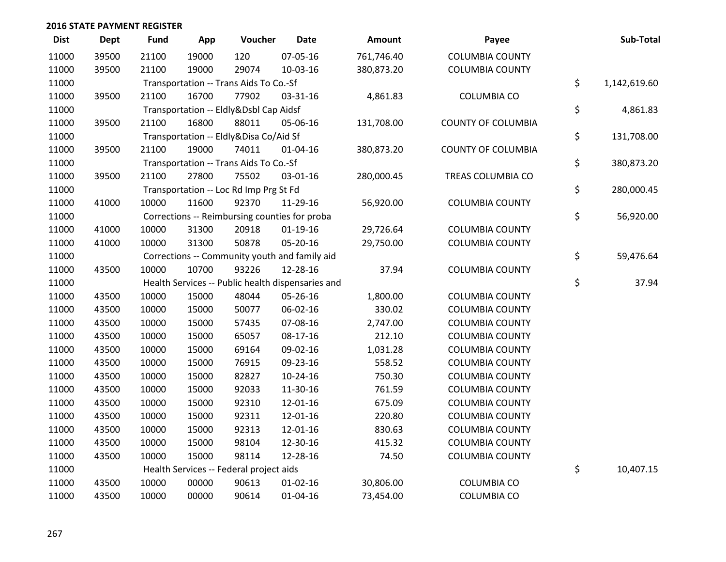| <b>Dist</b> | <b>Dept</b> | <b>Fund</b> | App   | Voucher                                 | <b>Date</b>                                       | Amount     | Payee                     | Sub-Total          |
|-------------|-------------|-------------|-------|-----------------------------------------|---------------------------------------------------|------------|---------------------------|--------------------|
| 11000       | 39500       | 21100       | 19000 | 120                                     | 07-05-16                                          | 761,746.40 | <b>COLUMBIA COUNTY</b>    |                    |
| 11000       | 39500       | 21100       | 19000 | 29074                                   | 10-03-16                                          | 380,873.20 | <b>COLUMBIA COUNTY</b>    |                    |
| 11000       |             |             |       | Transportation -- Trans Aids To Co.-Sf  |                                                   |            |                           | \$<br>1,142,619.60 |
| 11000       | 39500       | 21100       | 16700 | 77902                                   | 03-31-16                                          | 4,861.83   | <b>COLUMBIA CO</b>        |                    |
| 11000       |             |             |       | Transportation -- Eldly&Dsbl Cap Aidsf  |                                                   |            |                           | \$<br>4,861.83     |
| 11000       | 39500       | 21100       | 16800 | 88011                                   | 05-06-16                                          | 131,708.00 | <b>COUNTY OF COLUMBIA</b> |                    |
| 11000       |             |             |       | Transportation -- Eldly&Disa Co/Aid Sf  |                                                   |            |                           | \$<br>131,708.00   |
| 11000       | 39500       | 21100       | 19000 | 74011                                   | $01 - 04 - 16$                                    | 380,873.20 | <b>COUNTY OF COLUMBIA</b> |                    |
| 11000       |             |             |       | Transportation -- Trans Aids To Co.-Sf  |                                                   |            |                           | \$<br>380,873.20   |
| 11000       | 39500       | 21100       | 27800 | 75502                                   | 03-01-16                                          | 280,000.45 | TREAS COLUMBIA CO         |                    |
| 11000       |             |             |       | Transportation -- Loc Rd Imp Prg St Fd  |                                                   |            |                           | \$<br>280,000.45   |
| 11000       | 41000       | 10000       | 11600 | 92370                                   | 11-29-16                                          | 56,920.00  | <b>COLUMBIA COUNTY</b>    |                    |
| 11000       |             |             |       |                                         | Corrections -- Reimbursing counties for proba     |            |                           | \$<br>56,920.00    |
| 11000       | 41000       | 10000       | 31300 | 20918                                   | $01-19-16$                                        | 29,726.64  | <b>COLUMBIA COUNTY</b>    |                    |
| 11000       | 41000       | 10000       | 31300 | 50878                                   | 05-20-16                                          | 29,750.00  | <b>COLUMBIA COUNTY</b>    |                    |
| 11000       |             |             |       |                                         | Corrections -- Community youth and family aid     |            |                           | \$<br>59,476.64    |
| 11000       | 43500       | 10000       | 10700 | 93226                                   | 12-28-16                                          | 37.94      | <b>COLUMBIA COUNTY</b>    |                    |
| 11000       |             |             |       |                                         | Health Services -- Public health dispensaries and |            |                           | \$<br>37.94        |
| 11000       | 43500       | 10000       | 15000 | 48044                                   | 05-26-16                                          | 1,800.00   | <b>COLUMBIA COUNTY</b>    |                    |
| 11000       | 43500       | 10000       | 15000 | 50077                                   | 06-02-16                                          | 330.02     | <b>COLUMBIA COUNTY</b>    |                    |
| 11000       | 43500       | 10000       | 15000 | 57435                                   | 07-08-16                                          | 2,747.00   | <b>COLUMBIA COUNTY</b>    |                    |
| 11000       | 43500       | 10000       | 15000 | 65057                                   | $08-17-16$                                        | 212.10     | <b>COLUMBIA COUNTY</b>    |                    |
| 11000       | 43500       | 10000       | 15000 | 69164                                   | 09-02-16                                          | 1,031.28   | <b>COLUMBIA COUNTY</b>    |                    |
| 11000       | 43500       | 10000       | 15000 | 76915                                   | 09-23-16                                          | 558.52     | <b>COLUMBIA COUNTY</b>    |                    |
| 11000       | 43500       | 10000       | 15000 | 82827                                   | $10-24-16$                                        | 750.30     | <b>COLUMBIA COUNTY</b>    |                    |
| 11000       | 43500       | 10000       | 15000 | 92033                                   | 11-30-16                                          | 761.59     | <b>COLUMBIA COUNTY</b>    |                    |
| 11000       | 43500       | 10000       | 15000 | 92310                                   | 12-01-16                                          | 675.09     | <b>COLUMBIA COUNTY</b>    |                    |
| 11000       | 43500       | 10000       | 15000 | 92311                                   | 12-01-16                                          | 220.80     | <b>COLUMBIA COUNTY</b>    |                    |
| 11000       | 43500       | 10000       | 15000 | 92313                                   | 12-01-16                                          | 830.63     | <b>COLUMBIA COUNTY</b>    |                    |
| 11000       | 43500       | 10000       | 15000 | 98104                                   | 12-30-16                                          | 415.32     | <b>COLUMBIA COUNTY</b>    |                    |
| 11000       | 43500       | 10000       | 15000 | 98114                                   | 12-28-16                                          | 74.50      | <b>COLUMBIA COUNTY</b>    |                    |
| 11000       |             |             |       | Health Services -- Federal project aids |                                                   |            |                           | \$<br>10,407.15    |
| 11000       | 43500       | 10000       | 00000 | 90613                                   | $01 - 02 - 16$                                    | 30,806.00  | <b>COLUMBIA CO</b>        |                    |
| 11000       | 43500       | 10000       | 00000 | 90614                                   | 01-04-16                                          | 73,454.00  | <b>COLUMBIA CO</b>        |                    |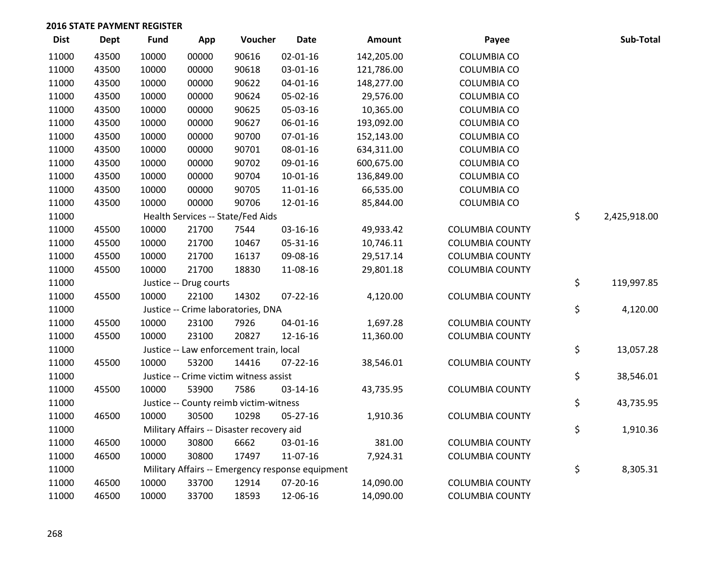| <b>Dist</b> | <b>Dept</b> | Fund  | App                    | Voucher                                          | <b>Date</b>    | Amount     | Payee                  | Sub-Total          |
|-------------|-------------|-------|------------------------|--------------------------------------------------|----------------|------------|------------------------|--------------------|
| 11000       | 43500       | 10000 | 00000                  | 90616                                            | $02 - 01 - 16$ | 142,205.00 | <b>COLUMBIA CO</b>     |                    |
| 11000       | 43500       | 10000 | 00000                  | 90618                                            | 03-01-16       | 121,786.00 | <b>COLUMBIA CO</b>     |                    |
| 11000       | 43500       | 10000 | 00000                  | 90622                                            | $04 - 01 - 16$ | 148,277.00 | <b>COLUMBIA CO</b>     |                    |
| 11000       | 43500       | 10000 | 00000                  | 90624                                            | 05-02-16       | 29,576.00  | <b>COLUMBIA CO</b>     |                    |
| 11000       | 43500       | 10000 | 00000                  | 90625                                            | 05-03-16       | 10,365.00  | <b>COLUMBIA CO</b>     |                    |
| 11000       | 43500       | 10000 | 00000                  | 90627                                            | 06-01-16       | 193,092.00 | <b>COLUMBIA CO</b>     |                    |
| 11000       | 43500       | 10000 | 00000                  | 90700                                            | $07 - 01 - 16$ | 152,143.00 | <b>COLUMBIA CO</b>     |                    |
| 11000       | 43500       | 10000 | 00000                  | 90701                                            | 08-01-16       | 634,311.00 | <b>COLUMBIA CO</b>     |                    |
| 11000       | 43500       | 10000 | 00000                  | 90702                                            | 09-01-16       | 600,675.00 | <b>COLUMBIA CO</b>     |                    |
| 11000       | 43500       | 10000 | 00000                  | 90704                                            | 10-01-16       | 136,849.00 | <b>COLUMBIA CO</b>     |                    |
| 11000       | 43500       | 10000 | 00000                  | 90705                                            | 11-01-16       | 66,535.00  | <b>COLUMBIA CO</b>     |                    |
| 11000       | 43500       | 10000 | 00000                  | 90706                                            | 12-01-16       | 85,844.00  | <b>COLUMBIA CO</b>     |                    |
| 11000       |             |       |                        | Health Services -- State/Fed Aids                |                |            |                        | \$<br>2,425,918.00 |
| 11000       | 45500       | 10000 | 21700                  | 7544                                             | 03-16-16       | 49,933.42  | <b>COLUMBIA COUNTY</b> |                    |
| 11000       | 45500       | 10000 | 21700                  | 10467                                            | 05-31-16       | 10,746.11  | <b>COLUMBIA COUNTY</b> |                    |
| 11000       | 45500       | 10000 | 21700                  | 16137                                            | 09-08-16       | 29,517.14  | <b>COLUMBIA COUNTY</b> |                    |
| 11000       | 45500       | 10000 | 21700                  | 18830                                            | 11-08-16       | 29,801.18  | <b>COLUMBIA COUNTY</b> |                    |
| 11000       |             |       | Justice -- Drug courts |                                                  |                |            |                        | \$<br>119,997.85   |
| 11000       | 45500       | 10000 | 22100                  | 14302                                            | $07 - 22 - 16$ | 4,120.00   | <b>COLUMBIA COUNTY</b> |                    |
| 11000       |             |       |                        | Justice -- Crime laboratories, DNA               |                |            |                        | \$<br>4,120.00     |
| 11000       | 45500       | 10000 | 23100                  | 7926                                             | $04 - 01 - 16$ | 1,697.28   | <b>COLUMBIA COUNTY</b> |                    |
| 11000       | 45500       | 10000 | 23100                  | 20827                                            | 12-16-16       | 11,360.00  | <b>COLUMBIA COUNTY</b> |                    |
| 11000       |             |       |                        | Justice -- Law enforcement train, local          |                |            |                        | \$<br>13,057.28    |
| 11000       | 45500       | 10000 | 53200                  | 14416                                            | $07 - 22 - 16$ | 38,546.01  | <b>COLUMBIA COUNTY</b> |                    |
| 11000       |             |       |                        | Justice -- Crime victim witness assist           |                |            |                        | \$<br>38,546.01    |
| 11000       | 45500       | 10000 | 53900                  | 7586                                             | 03-14-16       | 43,735.95  | <b>COLUMBIA COUNTY</b> |                    |
| 11000       |             |       |                        | Justice -- County reimb victim-witness           |                |            |                        | \$<br>43,735.95    |
| 11000       | 46500       | 10000 | 30500                  | 10298                                            | $05 - 27 - 16$ | 1,910.36   | <b>COLUMBIA COUNTY</b> |                    |
| 11000       |             |       |                        | Military Affairs -- Disaster recovery aid        |                |            |                        | \$<br>1,910.36     |
| 11000       | 46500       | 10000 | 30800                  | 6662                                             | 03-01-16       | 381.00     | <b>COLUMBIA COUNTY</b> |                    |
| 11000       | 46500       | 10000 | 30800                  | 17497                                            | 11-07-16       | 7,924.31   | <b>COLUMBIA COUNTY</b> |                    |
| 11000       |             |       |                        | Military Affairs -- Emergency response equipment |                |            |                        | \$<br>8,305.31     |
| 11000       | 46500       | 10000 | 33700                  | 12914                                            | 07-20-16       | 14,090.00  | <b>COLUMBIA COUNTY</b> |                    |
| 11000       | 46500       | 10000 | 33700                  | 18593                                            | 12-06-16       | 14,090.00  | <b>COLUMBIA COUNTY</b> |                    |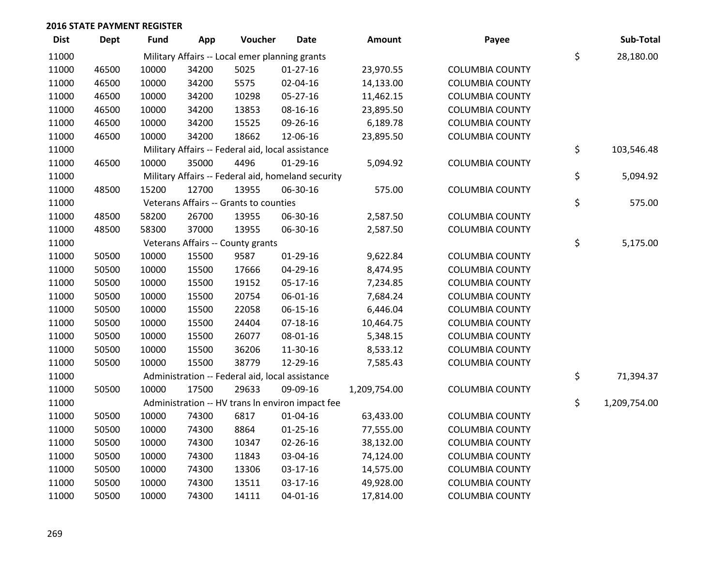| <b>Dist</b> | <b>Dept</b> | <b>Fund</b> | App   | Voucher                                           | <b>Date</b>                                        | Amount       | Payee                  | Sub-Total          |
|-------------|-------------|-------------|-------|---------------------------------------------------|----------------------------------------------------|--------------|------------------------|--------------------|
| 11000       |             |             |       | Military Affairs -- Local emer planning grants    |                                                    |              |                        | \$<br>28,180.00    |
| 11000       | 46500       | 10000       | 34200 | 5025                                              | $01-27-16$                                         | 23,970.55    | <b>COLUMBIA COUNTY</b> |                    |
| 11000       | 46500       | 10000       | 34200 | 5575                                              | 02-04-16                                           | 14,133.00    | <b>COLUMBIA COUNTY</b> |                    |
| 11000       | 46500       | 10000       | 34200 | 10298                                             | 05-27-16                                           | 11,462.15    | <b>COLUMBIA COUNTY</b> |                    |
| 11000       | 46500       | 10000       | 34200 | 13853                                             | 08-16-16                                           | 23,895.50    | <b>COLUMBIA COUNTY</b> |                    |
| 11000       | 46500       | 10000       | 34200 | 15525                                             | 09-26-16                                           | 6,189.78     | <b>COLUMBIA COUNTY</b> |                    |
| 11000       | 46500       | 10000       | 34200 | 18662                                             | 12-06-16                                           | 23,895.50    | <b>COLUMBIA COUNTY</b> |                    |
| 11000       |             |             |       | Military Affairs -- Federal aid, local assistance |                                                    |              |                        | \$<br>103,546.48   |
| 11000       | 46500       | 10000       | 35000 | 4496                                              | $01-29-16$                                         | 5,094.92     | <b>COLUMBIA COUNTY</b> |                    |
| 11000       |             |             |       |                                                   | Military Affairs -- Federal aid, homeland security |              |                        | \$<br>5,094.92     |
| 11000       | 48500       | 15200       | 12700 | 13955                                             | 06-30-16                                           | 575.00       | <b>COLUMBIA COUNTY</b> |                    |
| 11000       |             |             |       | Veterans Affairs -- Grants to counties            |                                                    |              |                        | \$<br>575.00       |
| 11000       | 48500       | 58200       | 26700 | 13955                                             | 06-30-16                                           | 2,587.50     | <b>COLUMBIA COUNTY</b> |                    |
| 11000       | 48500       | 58300       | 37000 | 13955                                             | 06-30-16                                           | 2,587.50     | <b>COLUMBIA COUNTY</b> |                    |
| 11000       |             |             |       | Veterans Affairs -- County grants                 |                                                    |              |                        | \$<br>5,175.00     |
| 11000       | 50500       | 10000       | 15500 | 9587                                              | 01-29-16                                           | 9,622.84     | <b>COLUMBIA COUNTY</b> |                    |
| 11000       | 50500       | 10000       | 15500 | 17666                                             | 04-29-16                                           | 8,474.95     | <b>COLUMBIA COUNTY</b> |                    |
| 11000       | 50500       | 10000       | 15500 | 19152                                             | 05-17-16                                           | 7,234.85     | <b>COLUMBIA COUNTY</b> |                    |
| 11000       | 50500       | 10000       | 15500 | 20754                                             | 06-01-16                                           | 7,684.24     | <b>COLUMBIA COUNTY</b> |                    |
| 11000       | 50500       | 10000       | 15500 | 22058                                             | 06-15-16                                           | 6,446.04     | <b>COLUMBIA COUNTY</b> |                    |
| 11000       | 50500       | 10000       | 15500 | 24404                                             | $07-18-16$                                         | 10,464.75    | <b>COLUMBIA COUNTY</b> |                    |
| 11000       | 50500       | 10000       | 15500 | 26077                                             | 08-01-16                                           | 5,348.15     | <b>COLUMBIA COUNTY</b> |                    |
| 11000       | 50500       | 10000       | 15500 | 36206                                             | 11-30-16                                           | 8,533.12     | <b>COLUMBIA COUNTY</b> |                    |
| 11000       | 50500       | 10000       | 15500 | 38779                                             | 12-29-16                                           | 7,585.43     | <b>COLUMBIA COUNTY</b> |                    |
| 11000       |             |             |       | Administration -- Federal aid, local assistance   |                                                    |              |                        | \$<br>71,394.37    |
| 11000       | 50500       | 10000       | 17500 | 29633                                             | 09-09-16                                           | 1,209,754.00 | <b>COLUMBIA COUNTY</b> |                    |
| 11000       |             |             |       |                                                   | Administration -- HV trans In environ impact fee   |              |                        | \$<br>1,209,754.00 |
| 11000       | 50500       | 10000       | 74300 | 6817                                              | 01-04-16                                           | 63,433.00    | <b>COLUMBIA COUNTY</b> |                    |
| 11000       | 50500       | 10000       | 74300 | 8864                                              | $01 - 25 - 16$                                     | 77,555.00    | <b>COLUMBIA COUNTY</b> |                    |
| 11000       | 50500       | 10000       | 74300 | 10347                                             | 02-26-16                                           | 38,132.00    | <b>COLUMBIA COUNTY</b> |                    |
| 11000       | 50500       | 10000       | 74300 | 11843                                             | 03-04-16                                           | 74,124.00    | <b>COLUMBIA COUNTY</b> |                    |
| 11000       | 50500       | 10000       | 74300 | 13306                                             | 03-17-16                                           | 14,575.00    | <b>COLUMBIA COUNTY</b> |                    |
| 11000       | 50500       | 10000       | 74300 | 13511                                             | $03-17-16$                                         | 49,928.00    | <b>COLUMBIA COUNTY</b> |                    |
| 11000       | 50500       | 10000       | 74300 | 14111                                             | $04 - 01 - 16$                                     | 17,814.00    | <b>COLUMBIA COUNTY</b> |                    |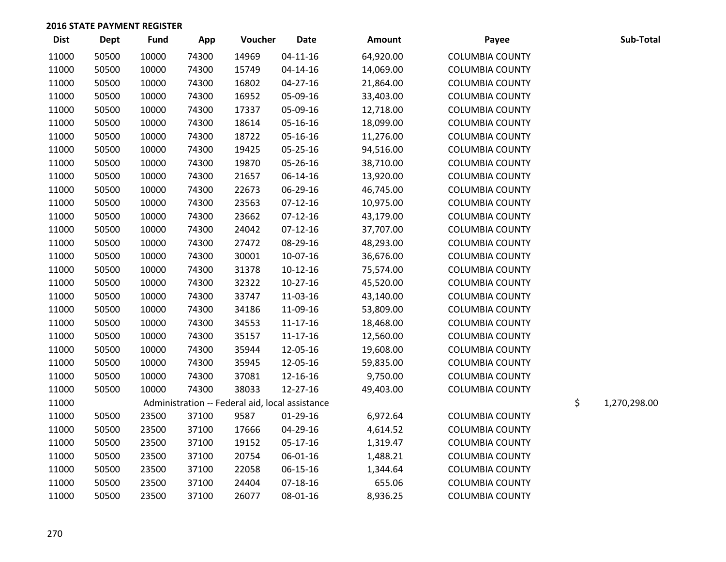| <b>Dist</b> | <b>Dept</b> | Fund  | App   | Voucher                                         | <b>Date</b>    | Amount    | Payee                  | Sub-Total          |
|-------------|-------------|-------|-------|-------------------------------------------------|----------------|-----------|------------------------|--------------------|
| 11000       | 50500       | 10000 | 74300 | 14969                                           | $04 - 11 - 16$ | 64,920.00 | <b>COLUMBIA COUNTY</b> |                    |
| 11000       | 50500       | 10000 | 74300 | 15749                                           | 04-14-16       | 14,069.00 | <b>COLUMBIA COUNTY</b> |                    |
| 11000       | 50500       | 10000 | 74300 | 16802                                           | 04-27-16       | 21,864.00 | <b>COLUMBIA COUNTY</b> |                    |
| 11000       | 50500       | 10000 | 74300 | 16952                                           | 05-09-16       | 33,403.00 | <b>COLUMBIA COUNTY</b> |                    |
| 11000       | 50500       | 10000 | 74300 | 17337                                           | 05-09-16       | 12,718.00 | <b>COLUMBIA COUNTY</b> |                    |
| 11000       | 50500       | 10000 | 74300 | 18614                                           | 05-16-16       | 18,099.00 | <b>COLUMBIA COUNTY</b> |                    |
| 11000       | 50500       | 10000 | 74300 | 18722                                           | 05-16-16       | 11,276.00 | <b>COLUMBIA COUNTY</b> |                    |
| 11000       | 50500       | 10000 | 74300 | 19425                                           | 05-25-16       | 94,516.00 | <b>COLUMBIA COUNTY</b> |                    |
| 11000       | 50500       | 10000 | 74300 | 19870                                           | 05-26-16       | 38,710.00 | <b>COLUMBIA COUNTY</b> |                    |
| 11000       | 50500       | 10000 | 74300 | 21657                                           | 06-14-16       | 13,920.00 | <b>COLUMBIA COUNTY</b> |                    |
| 11000       | 50500       | 10000 | 74300 | 22673                                           | 06-29-16       | 46,745.00 | <b>COLUMBIA COUNTY</b> |                    |
| 11000       | 50500       | 10000 | 74300 | 23563                                           | $07-12-16$     | 10,975.00 | <b>COLUMBIA COUNTY</b> |                    |
| 11000       | 50500       | 10000 | 74300 | 23662                                           | $07-12-16$     | 43,179.00 | <b>COLUMBIA COUNTY</b> |                    |
| 11000       | 50500       | 10000 | 74300 | 24042                                           | $07-12-16$     | 37,707.00 | <b>COLUMBIA COUNTY</b> |                    |
| 11000       | 50500       | 10000 | 74300 | 27472                                           | 08-29-16       | 48,293.00 | <b>COLUMBIA COUNTY</b> |                    |
| 11000       | 50500       | 10000 | 74300 | 30001                                           | 10-07-16       | 36,676.00 | <b>COLUMBIA COUNTY</b> |                    |
| 11000       | 50500       | 10000 | 74300 | 31378                                           | $10-12-16$     | 75,574.00 | <b>COLUMBIA COUNTY</b> |                    |
| 11000       | 50500       | 10000 | 74300 | 32322                                           | $10-27-16$     | 45,520.00 | <b>COLUMBIA COUNTY</b> |                    |
| 11000       | 50500       | 10000 | 74300 | 33747                                           | 11-03-16       | 43,140.00 | <b>COLUMBIA COUNTY</b> |                    |
| 11000       | 50500       | 10000 | 74300 | 34186                                           | 11-09-16       | 53,809.00 | <b>COLUMBIA COUNTY</b> |                    |
| 11000       | 50500       | 10000 | 74300 | 34553                                           | $11 - 17 - 16$ | 18,468.00 | <b>COLUMBIA COUNTY</b> |                    |
| 11000       | 50500       | 10000 | 74300 | 35157                                           | $11 - 17 - 16$ | 12,560.00 | <b>COLUMBIA COUNTY</b> |                    |
| 11000       | 50500       | 10000 | 74300 | 35944                                           | 12-05-16       | 19,608.00 | <b>COLUMBIA COUNTY</b> |                    |
| 11000       | 50500       | 10000 | 74300 | 35945                                           | 12-05-16       | 59,835.00 | <b>COLUMBIA COUNTY</b> |                    |
| 11000       | 50500       | 10000 | 74300 | 37081                                           | 12-16-16       | 9,750.00  | <b>COLUMBIA COUNTY</b> |                    |
| 11000       | 50500       | 10000 | 74300 | 38033                                           | 12-27-16       | 49,403.00 | <b>COLUMBIA COUNTY</b> |                    |
| 11000       |             |       |       | Administration -- Federal aid, local assistance |                |           |                        | \$<br>1,270,298.00 |
| 11000       | 50500       | 23500 | 37100 | 9587                                            | 01-29-16       | 6,972.64  | <b>COLUMBIA COUNTY</b> |                    |
| 11000       | 50500       | 23500 | 37100 | 17666                                           | 04-29-16       | 4,614.52  | <b>COLUMBIA COUNTY</b> |                    |
| 11000       | 50500       | 23500 | 37100 | 19152                                           | 05-17-16       | 1,319.47  | <b>COLUMBIA COUNTY</b> |                    |
| 11000       | 50500       | 23500 | 37100 | 20754                                           | 06-01-16       | 1,488.21  | <b>COLUMBIA COUNTY</b> |                    |
| 11000       | 50500       | 23500 | 37100 | 22058                                           | 06-15-16       | 1,344.64  | <b>COLUMBIA COUNTY</b> |                    |
| 11000       | 50500       | 23500 | 37100 | 24404                                           | $07-18-16$     | 655.06    | <b>COLUMBIA COUNTY</b> |                    |
| 11000       | 50500       | 23500 | 37100 | 26077                                           | 08-01-16       | 8,936.25  | <b>COLUMBIA COUNTY</b> |                    |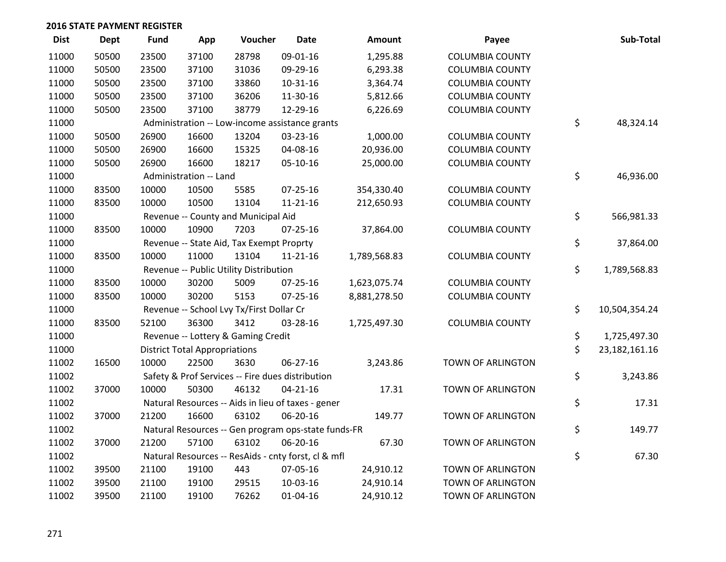| <b>Dist</b> | Dept  | <b>Fund</b> | App                                  | Voucher                                             | <b>Date</b>    | <b>Amount</b> | Payee                    | Sub-Total              |
|-------------|-------|-------------|--------------------------------------|-----------------------------------------------------|----------------|---------------|--------------------------|------------------------|
| 11000       | 50500 | 23500       | 37100                                | 28798                                               | 09-01-16       | 1,295.88      | <b>COLUMBIA COUNTY</b>   |                        |
| 11000       | 50500 | 23500       | 37100                                | 31036                                               | 09-29-16       | 6,293.38      | <b>COLUMBIA COUNTY</b>   |                        |
| 11000       | 50500 | 23500       | 37100                                | 33860                                               | $10-31-16$     | 3,364.74      | <b>COLUMBIA COUNTY</b>   |                        |
| 11000       | 50500 | 23500       | 37100                                | 36206                                               | 11-30-16       | 5,812.66      | <b>COLUMBIA COUNTY</b>   |                        |
| 11000       | 50500 | 23500       | 37100                                | 38779                                               | 12-29-16       | 6,226.69      | <b>COLUMBIA COUNTY</b>   |                        |
| 11000       |       |             |                                      | Administration -- Low-income assistance grants      |                |               |                          | \$<br>48,324.14        |
| 11000       | 50500 | 26900       | 16600                                | 13204                                               | 03-23-16       | 1,000.00      | <b>COLUMBIA COUNTY</b>   |                        |
| 11000       | 50500 | 26900       | 16600                                | 15325                                               | 04-08-16       | 20,936.00     | <b>COLUMBIA COUNTY</b>   |                        |
| 11000       | 50500 | 26900       | 16600                                | 18217                                               | 05-10-16       | 25,000.00     | <b>COLUMBIA COUNTY</b>   |                        |
| 11000       |       |             | Administration -- Land               |                                                     |                |               |                          | \$<br>46,936.00        |
| 11000       | 83500 | 10000       | 10500                                | 5585                                                | 07-25-16       | 354,330.40    | <b>COLUMBIA COUNTY</b>   |                        |
| 11000       | 83500 | 10000       | 10500                                | 13104                                               | $11 - 21 - 16$ | 212,650.93    | <b>COLUMBIA COUNTY</b>   |                        |
| 11000       |       |             |                                      | Revenue -- County and Municipal Aid                 |                |               |                          | \$<br>566,981.33       |
| 11000       | 83500 | 10000       | 10900                                | 7203                                                | $07 - 25 - 16$ | 37,864.00     | <b>COLUMBIA COUNTY</b>   |                        |
| 11000       |       |             |                                      | Revenue -- State Aid, Tax Exempt Proprty            |                |               |                          | \$<br>37,864.00        |
| 11000       | 83500 | 10000       | 11000                                | 13104                                               | $11 - 21 - 16$ | 1,789,568.83  | <b>COLUMBIA COUNTY</b>   |                        |
| 11000       |       |             |                                      | Revenue -- Public Utility Distribution              |                |               |                          | \$<br>1,789,568.83     |
| 11000       | 83500 | 10000       | 30200                                | 5009                                                | 07-25-16       | 1,623,075.74  | <b>COLUMBIA COUNTY</b>   |                        |
| 11000       | 83500 | 10000       | 30200                                | 5153                                                | 07-25-16       | 8,881,278.50  | <b>COLUMBIA COUNTY</b>   |                        |
| 11000       |       |             |                                      | Revenue -- School Lvy Tx/First Dollar Cr            |                |               |                          | \$<br>10,504,354.24    |
| 11000       | 83500 | 52100       | 36300                                | 3412                                                | 03-28-16       | 1,725,497.30  | <b>COLUMBIA COUNTY</b>   |                        |
| 11000       |       |             |                                      | Revenue -- Lottery & Gaming Credit                  |                |               |                          | \$<br>1,725,497.30     |
| 11000       |       |             | <b>District Total Appropriations</b> |                                                     |                |               |                          | \$<br>23, 182, 161. 16 |
| 11002       | 16500 | 10000       | 22500                                | 3630                                                | 06-27-16       | 3,243.86      | TOWN OF ARLINGTON        |                        |
| 11002       |       |             |                                      | Safety & Prof Services -- Fire dues distribution    |                |               |                          | \$<br>3,243.86         |
| 11002       | 37000 | 10000       | 50300                                | 46132                                               | $04 - 21 - 16$ | 17.31         | TOWN OF ARLINGTON        |                        |
| 11002       |       |             |                                      | Natural Resources -- Aids in lieu of taxes - gener  |                |               |                          | \$<br>17.31            |
| 11002       | 37000 | 21200       | 16600                                | 63102                                               | 06-20-16       | 149.77        | TOWN OF ARLINGTON        |                        |
| 11002       |       |             |                                      | Natural Resources -- Gen program ops-state funds-FR |                |               |                          | \$<br>149.77           |
| 11002       | 37000 | 21200       | 57100                                | 63102                                               | 06-20-16       | 67.30         | TOWN OF ARLINGTON        |                        |
| 11002       |       |             |                                      | Natural Resources -- ResAids - cnty forst, cl & mfl |                |               |                          | \$<br>67.30            |
| 11002       | 39500 | 21100       | 19100                                | 443                                                 | 07-05-16       | 24,910.12     | TOWN OF ARLINGTON        |                        |
| 11002       | 39500 | 21100       | 19100                                | 29515                                               | 10-03-16       | 24,910.14     | TOWN OF ARLINGTON        |                        |
| 11002       | 39500 | 21100       | 19100                                | 76262                                               | $01 - 04 - 16$ | 24,910.12     | <b>TOWN OF ARLINGTON</b> |                        |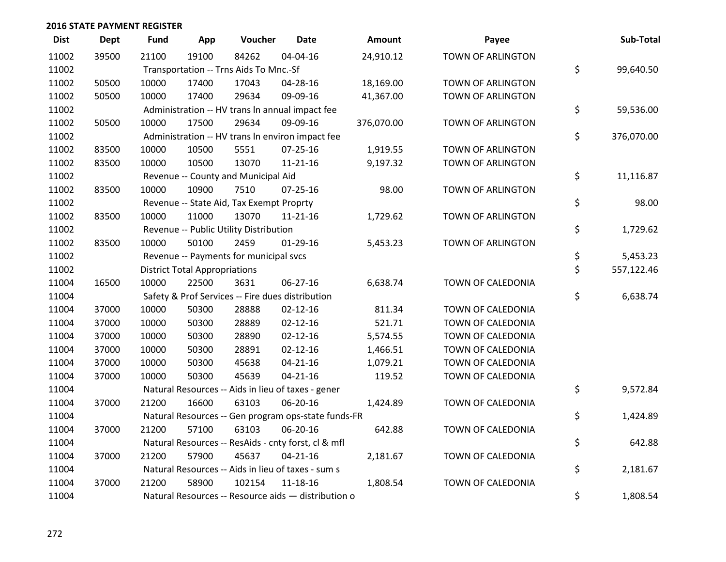| <b>Dist</b> | <b>Dept</b> | <b>Fund</b> | App                                  | Voucher                                             | Date           | <b>Amount</b> | Payee             | Sub-Total        |
|-------------|-------------|-------------|--------------------------------------|-----------------------------------------------------|----------------|---------------|-------------------|------------------|
| 11002       | 39500       | 21100       | 19100                                | 84262                                               | 04-04-16       | 24,910.12     | TOWN OF ARLINGTON |                  |
| 11002       |             |             |                                      | Transportation -- Trns Aids To Mnc.-Sf              |                |               |                   | \$<br>99,640.50  |
| 11002       | 50500       | 10000       | 17400                                | 17043                                               | 04-28-16       | 18,169.00     | TOWN OF ARLINGTON |                  |
| 11002       | 50500       | 10000       | 17400                                | 29634                                               | 09-09-16       | 41,367.00     | TOWN OF ARLINGTON |                  |
| 11002       |             |             |                                      | Administration -- HV trans In annual impact fee     |                |               |                   | \$<br>59,536.00  |
| 11002       | 50500       | 10000       | 17500                                | 29634                                               | 09-09-16       | 376,070.00    | TOWN OF ARLINGTON |                  |
| 11002       |             |             |                                      | Administration -- HV trans In environ impact fee    |                |               |                   | \$<br>376,070.00 |
| 11002       | 83500       | 10000       | 10500                                | 5551                                                | $07 - 25 - 16$ | 1,919.55      | TOWN OF ARLINGTON |                  |
| 11002       | 83500       | 10000       | 10500                                | 13070                                               | $11 - 21 - 16$ | 9,197.32      | TOWN OF ARLINGTON |                  |
| 11002       |             |             |                                      | Revenue -- County and Municipal Aid                 |                |               |                   | \$<br>11,116.87  |
| 11002       | 83500       | 10000       | 10900                                | 7510                                                | $07 - 25 - 16$ | 98.00         | TOWN OF ARLINGTON |                  |
| 11002       |             |             |                                      | Revenue -- State Aid, Tax Exempt Proprty            |                |               |                   | \$<br>98.00      |
| 11002       | 83500       | 10000       | 11000                                | 13070                                               | $11 - 21 - 16$ | 1,729.62      | TOWN OF ARLINGTON |                  |
| 11002       |             |             |                                      | Revenue -- Public Utility Distribution              |                |               |                   | \$<br>1,729.62   |
| 11002       | 83500       | 10000       | 50100                                | 2459                                                | $01-29-16$     | 5,453.23      | TOWN OF ARLINGTON |                  |
| 11002       |             |             |                                      | Revenue -- Payments for municipal svcs              |                |               |                   | \$<br>5,453.23   |
| 11002       |             |             | <b>District Total Appropriations</b> |                                                     |                |               |                   | \$<br>557,122.46 |
| 11004       | 16500       | 10000       | 22500                                | 3631                                                | 06-27-16       | 6,638.74      | TOWN OF CALEDONIA |                  |
| 11004       |             |             |                                      | Safety & Prof Services -- Fire dues distribution    |                |               |                   | \$<br>6,638.74   |
| 11004       | 37000       | 10000       | 50300                                | 28888                                               | $02 - 12 - 16$ | 811.34        | TOWN OF CALEDONIA |                  |
| 11004       | 37000       | 10000       | 50300                                | 28889                                               | $02 - 12 - 16$ | 521.71        | TOWN OF CALEDONIA |                  |
| 11004       | 37000       | 10000       | 50300                                | 28890                                               | $02 - 12 - 16$ | 5,574.55      | TOWN OF CALEDONIA |                  |
| 11004       | 37000       | 10000       | 50300                                | 28891                                               | $02 - 12 - 16$ | 1,466.51      | TOWN OF CALEDONIA |                  |
| 11004       | 37000       | 10000       | 50300                                | 45638                                               | $04 - 21 - 16$ | 1,079.21      | TOWN OF CALEDONIA |                  |
| 11004       | 37000       | 10000       | 50300                                | 45639                                               | $04 - 21 - 16$ | 119.52        | TOWN OF CALEDONIA |                  |
| 11004       |             |             |                                      | Natural Resources -- Aids in lieu of taxes - gener  |                |               |                   | \$<br>9,572.84   |
| 11004       | 37000       | 21200       | 16600                                | 63103                                               | 06-20-16       | 1,424.89      | TOWN OF CALEDONIA |                  |
| 11004       |             |             |                                      | Natural Resources -- Gen program ops-state funds-FR |                |               |                   | \$<br>1,424.89   |
| 11004       | 37000       | 21200       | 57100                                | 63103                                               | 06-20-16       | 642.88        | TOWN OF CALEDONIA |                  |
| 11004       |             |             |                                      | Natural Resources -- ResAids - cnty forst, cl & mfl |                |               |                   | \$<br>642.88     |
| 11004       | 37000       | 21200       | 57900                                | 45637                                               | $04 - 21 - 16$ | 2,181.67      | TOWN OF CALEDONIA |                  |
| 11004       |             |             |                                      | Natural Resources -- Aids in lieu of taxes - sum s  |                |               |                   | \$<br>2,181.67   |
| 11004       | 37000       | 21200       | 58900                                | 102154                                              | $11 - 18 - 16$ | 1,808.54      | TOWN OF CALEDONIA |                  |
| 11004       |             |             |                                      | Natural Resources -- Resource aids - distribution o |                |               |                   | \$<br>1,808.54   |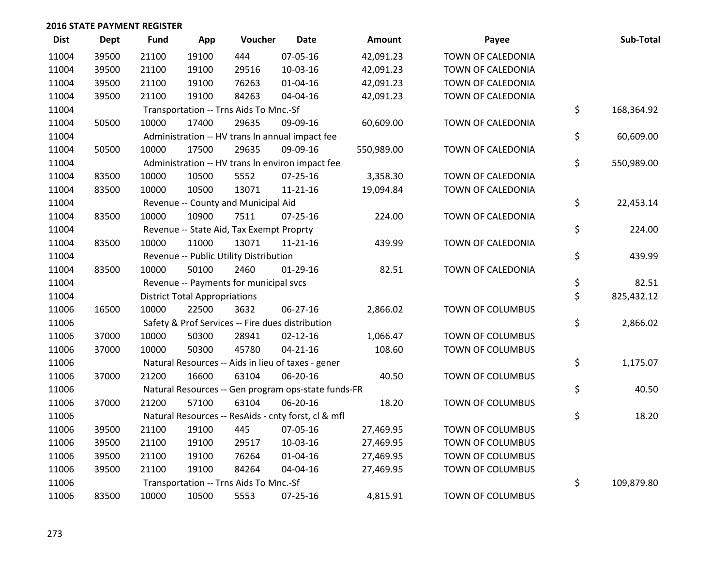| <b>Dist</b> | <b>Dept</b> | <b>Fund</b> | App                                  | Voucher                                  | <b>Date</b>                                         | Amount     | Payee                   | Sub-Total        |
|-------------|-------------|-------------|--------------------------------------|------------------------------------------|-----------------------------------------------------|------------|-------------------------|------------------|
| 11004       | 39500       | 21100       | 19100                                | 444                                      | 07-05-16                                            | 42,091.23  | TOWN OF CALEDONIA       |                  |
| 11004       | 39500       | 21100       | 19100                                | 29516                                    | 10-03-16                                            | 42,091.23  | TOWN OF CALEDONIA       |                  |
| 11004       | 39500       | 21100       | 19100                                | 76263                                    | $01 - 04 - 16$                                      | 42,091.23  | TOWN OF CALEDONIA       |                  |
| 11004       | 39500       | 21100       | 19100                                | 84263                                    | 04-04-16                                            | 42,091.23  | TOWN OF CALEDONIA       |                  |
| 11004       |             |             |                                      | Transportation -- Trns Aids To Mnc.-Sf   |                                                     |            |                         | \$<br>168,364.92 |
| 11004       | 50500       | 10000       | 17400                                | 29635                                    | 09-09-16                                            | 60,609.00  | TOWN OF CALEDONIA       |                  |
| 11004       |             |             |                                      |                                          | Administration -- HV trans In annual impact fee     |            |                         | \$<br>60,609.00  |
| 11004       | 50500       | 10000       | 17500                                | 29635                                    | 09-09-16                                            | 550,989.00 | TOWN OF CALEDONIA       |                  |
| 11004       |             |             |                                      |                                          | Administration -- HV trans In environ impact fee    |            |                         | \$<br>550,989.00 |
| 11004       | 83500       | 10000       | 10500                                | 5552                                     | $07 - 25 - 16$                                      | 3,358.30   | TOWN OF CALEDONIA       |                  |
| 11004       | 83500       | 10000       | 10500                                | 13071                                    | $11 - 21 - 16$                                      | 19,094.84  | TOWN OF CALEDONIA       |                  |
| 11004       |             |             |                                      | Revenue -- County and Municipal Aid      |                                                     |            |                         | \$<br>22,453.14  |
| 11004       | 83500       | 10000       | 10900                                | 7511                                     | $07 - 25 - 16$                                      | 224.00     | TOWN OF CALEDONIA       |                  |
| 11004       |             |             |                                      | Revenue -- State Aid, Tax Exempt Proprty |                                                     |            |                         | \$<br>224.00     |
| 11004       | 83500       | 10000       | 11000                                | 13071                                    | $11 - 21 - 16$                                      | 439.99     | TOWN OF CALEDONIA       |                  |
| 11004       |             |             |                                      | Revenue -- Public Utility Distribution   |                                                     |            |                         | \$<br>439.99     |
| 11004       | 83500       | 10000       | 50100                                | 2460                                     | $01-29-16$                                          | 82.51      | TOWN OF CALEDONIA       |                  |
| 11004       |             |             |                                      | Revenue -- Payments for municipal svcs   |                                                     |            |                         | \$<br>82.51      |
| 11004       |             |             | <b>District Total Appropriations</b> |                                          |                                                     |            |                         | \$<br>825,432.12 |
| 11006       | 16500       | 10000       | 22500                                | 3632                                     | 06-27-16                                            | 2,866.02   | TOWN OF COLUMBUS        |                  |
| 11006       |             |             |                                      |                                          | Safety & Prof Services -- Fire dues distribution    |            |                         | \$<br>2,866.02   |
| 11006       | 37000       | 10000       | 50300                                | 28941                                    | $02 - 12 - 16$                                      | 1,066.47   | TOWN OF COLUMBUS        |                  |
| 11006       | 37000       | 10000       | 50300                                | 45780                                    | $04 - 21 - 16$                                      | 108.60     | TOWN OF COLUMBUS        |                  |
| 11006       |             |             |                                      |                                          | Natural Resources -- Aids in lieu of taxes - gener  |            |                         | \$<br>1,175.07   |
| 11006       | 37000       | 21200       | 16600                                | 63104                                    | 06-20-16                                            | 40.50      | TOWN OF COLUMBUS        |                  |
| 11006       |             |             |                                      |                                          | Natural Resources -- Gen program ops-state funds-FR |            |                         | \$<br>40.50      |
| 11006       | 37000       | 21200       | 57100                                | 63104                                    | 06-20-16                                            | 18.20      | TOWN OF COLUMBUS        |                  |
| 11006       |             |             |                                      |                                          | Natural Resources -- ResAids - cnty forst, cl & mfl |            |                         | \$<br>18.20      |
| 11006       | 39500       | 21100       | 19100                                | 445                                      | 07-05-16                                            | 27,469.95  | <b>TOWN OF COLUMBUS</b> |                  |
| 11006       | 39500       | 21100       | 19100                                | 29517                                    | 10-03-16                                            | 27,469.95  | TOWN OF COLUMBUS        |                  |
| 11006       | 39500       | 21100       | 19100                                | 76264                                    | 01-04-16                                            | 27,469.95  | TOWN OF COLUMBUS        |                  |
| 11006       | 39500       | 21100       | 19100                                | 84264                                    | 04-04-16                                            | 27,469.95  | TOWN OF COLUMBUS        |                  |
| 11006       |             |             |                                      | Transportation -- Trns Aids To Mnc.-Sf   |                                                     |            |                         | \$<br>109,879.80 |
| 11006       | 83500       | 10000       | 10500                                | 5553                                     | $07 - 25 - 16$                                      | 4,815.91   | <b>TOWN OF COLUMBUS</b> |                  |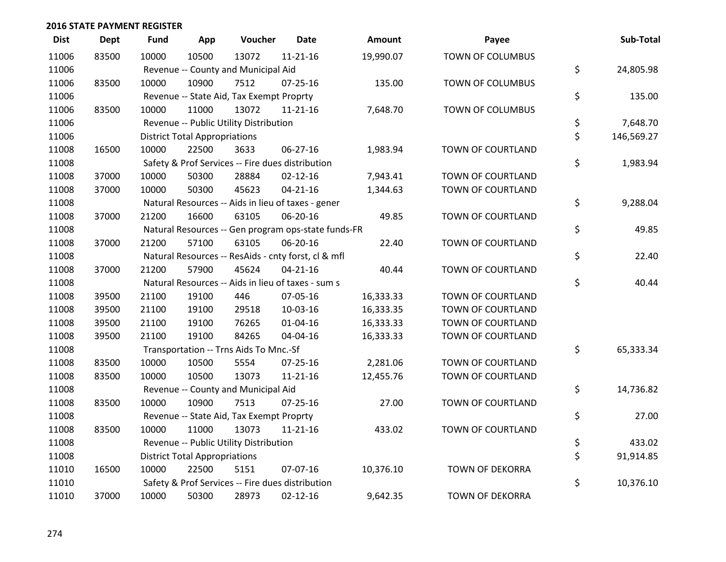| <b>Dist</b> | <b>Dept</b> | <b>Fund</b> | App                                  | Voucher                                             | <b>Date</b>    | Amount    | Payee                   | Sub-Total        |
|-------------|-------------|-------------|--------------------------------------|-----------------------------------------------------|----------------|-----------|-------------------------|------------------|
| 11006       | 83500       | 10000       | 10500                                | 13072                                               | $11 - 21 - 16$ | 19,990.07 | <b>TOWN OF COLUMBUS</b> |                  |
| 11006       |             |             |                                      | Revenue -- County and Municipal Aid                 |                |           |                         | \$<br>24,805.98  |
| 11006       | 83500       | 10000       | 10900                                | 7512                                                | $07 - 25 - 16$ | 135.00    | TOWN OF COLUMBUS        |                  |
| 11006       |             |             |                                      | Revenue -- State Aid, Tax Exempt Proprty            |                |           |                         | \$<br>135.00     |
| 11006       | 83500       | 10000       | 11000                                | 13072                                               | 11-21-16       | 7,648.70  | TOWN OF COLUMBUS        |                  |
| 11006       |             |             |                                      | Revenue -- Public Utility Distribution              |                |           |                         | \$<br>7,648.70   |
| 11006       |             |             | <b>District Total Appropriations</b> |                                                     |                |           |                         | \$<br>146,569.27 |
| 11008       | 16500       | 10000       | 22500                                | 3633                                                | 06-27-16       | 1,983.94  | TOWN OF COURTLAND       |                  |
| 11008       |             |             |                                      | Safety & Prof Services -- Fire dues distribution    |                |           |                         | \$<br>1,983.94   |
| 11008       | 37000       | 10000       | 50300                                | 28884                                               | $02 - 12 - 16$ | 7,943.41  | TOWN OF COURTLAND       |                  |
| 11008       | 37000       | 10000       | 50300                                | 45623                                               | $04 - 21 - 16$ | 1,344.63  | TOWN OF COURTLAND       |                  |
| 11008       |             |             |                                      | Natural Resources -- Aids in lieu of taxes - gener  |                |           |                         | \$<br>9,288.04   |
| 11008       | 37000       | 21200       | 16600                                | 63105                                               | 06-20-16       | 49.85     | TOWN OF COURTLAND       |                  |
| 11008       |             |             |                                      | Natural Resources -- Gen program ops-state funds-FR |                |           |                         | \$<br>49.85      |
| 11008       | 37000       | 21200       | 57100                                | 63105                                               | 06-20-16       | 22.40     | TOWN OF COURTLAND       |                  |
| 11008       |             |             |                                      | Natural Resources -- ResAids - cnty forst, cl & mfl |                |           |                         | \$<br>22.40      |
| 11008       | 37000       | 21200       | 57900                                | 45624                                               | $04 - 21 - 16$ | 40.44     | TOWN OF COURTLAND       |                  |
| 11008       |             |             |                                      | Natural Resources -- Aids in lieu of taxes - sum s  |                |           |                         | \$<br>40.44      |
| 11008       | 39500       | 21100       | 19100                                | 446                                                 | 07-05-16       | 16,333.33 | TOWN OF COURTLAND       |                  |
| 11008       | 39500       | 21100       | 19100                                | 29518                                               | 10-03-16       | 16,333.35 | TOWN OF COURTLAND       |                  |
| 11008       | 39500       | 21100       | 19100                                | 76265                                               | $01 - 04 - 16$ | 16,333.33 | TOWN OF COURTLAND       |                  |
| 11008       | 39500       | 21100       | 19100                                | 84265                                               | 04-04-16       | 16,333.33 | TOWN OF COURTLAND       |                  |
| 11008       |             |             |                                      | Transportation -- Trns Aids To Mnc.-Sf              |                |           |                         | \$<br>65,333.34  |
| 11008       | 83500       | 10000       | 10500                                | 5554                                                | $07 - 25 - 16$ | 2,281.06  | TOWN OF COURTLAND       |                  |
| 11008       | 83500       | 10000       | 10500                                | 13073                                               | $11 - 21 - 16$ | 12,455.76 | TOWN OF COURTLAND       |                  |
| 11008       |             |             |                                      | Revenue -- County and Municipal Aid                 |                |           |                         | \$<br>14,736.82  |
| 11008       | 83500       | 10000       | 10900                                | 7513                                                | $07 - 25 - 16$ | 27.00     | TOWN OF COURTLAND       |                  |
| 11008       |             |             |                                      | Revenue -- State Aid, Tax Exempt Proprty            |                |           |                         | \$<br>27.00      |
| 11008       | 83500       | 10000       | 11000                                | 13073                                               | $11 - 21 - 16$ | 433.02    | TOWN OF COURTLAND       |                  |
| 11008       |             |             |                                      | Revenue -- Public Utility Distribution              |                |           |                         | \$<br>433.02     |
| 11008       |             |             | <b>District Total Appropriations</b> |                                                     |                |           |                         | \$<br>91,914.85  |
| 11010       | 16500       | 10000       | 22500                                | 5151                                                | 07-07-16       | 10,376.10 | <b>TOWN OF DEKORRA</b>  |                  |
| 11010       |             |             |                                      | Safety & Prof Services -- Fire dues distribution    |                |           |                         | \$<br>10,376.10  |
| 11010       | 37000       | 10000       | 50300                                | 28973                                               | $02 - 12 - 16$ | 9,642.35  | <b>TOWN OF DEKORRA</b>  |                  |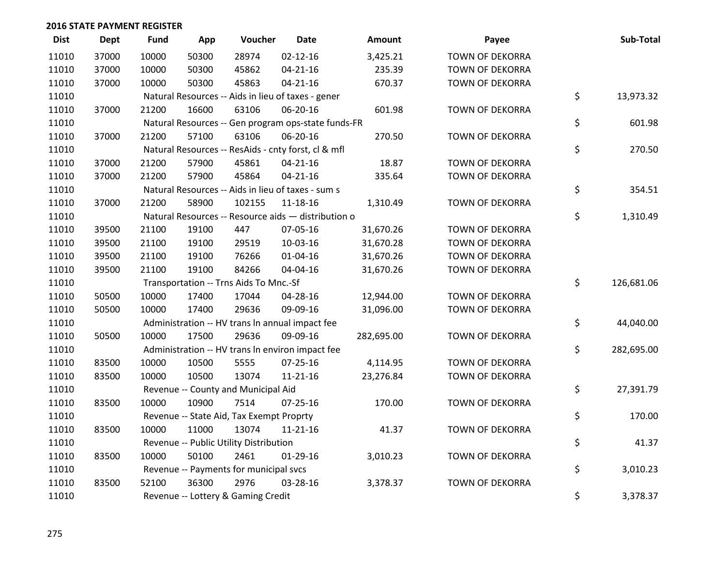| <b>Dist</b> | Dept  | Fund  | App   | Voucher                                             | <b>Date</b>    | Amount     | Payee                  | Sub-Total        |
|-------------|-------|-------|-------|-----------------------------------------------------|----------------|------------|------------------------|------------------|
| 11010       | 37000 | 10000 | 50300 | 28974                                               | $02 - 12 - 16$ | 3,425.21   | <b>TOWN OF DEKORRA</b> |                  |
| 11010       | 37000 | 10000 | 50300 | 45862                                               | $04 - 21 - 16$ | 235.39     | <b>TOWN OF DEKORRA</b> |                  |
| 11010       | 37000 | 10000 | 50300 | 45863                                               | $04 - 21 - 16$ | 670.37     | <b>TOWN OF DEKORRA</b> |                  |
| 11010       |       |       |       | Natural Resources -- Aids in lieu of taxes - gener  |                |            |                        | \$<br>13,973.32  |
| 11010       | 37000 | 21200 | 16600 | 63106                                               | 06-20-16       | 601.98     | <b>TOWN OF DEKORRA</b> |                  |
| 11010       |       |       |       | Natural Resources -- Gen program ops-state funds-FR |                |            |                        | \$<br>601.98     |
| 11010       | 37000 | 21200 | 57100 | 63106                                               | 06-20-16       | 270.50     | <b>TOWN OF DEKORRA</b> |                  |
| 11010       |       |       |       | Natural Resources -- ResAids - cnty forst, cl & mfl |                |            |                        | \$<br>270.50     |
| 11010       | 37000 | 21200 | 57900 | 45861                                               | $04 - 21 - 16$ | 18.87      | <b>TOWN OF DEKORRA</b> |                  |
| 11010       | 37000 | 21200 | 57900 | 45864                                               | $04 - 21 - 16$ | 335.64     | <b>TOWN OF DEKORRA</b> |                  |
| 11010       |       |       |       | Natural Resources -- Aids in lieu of taxes - sum s  |                |            |                        | \$<br>354.51     |
| 11010       | 37000 | 21200 | 58900 | 102155                                              | 11-18-16       | 1,310.49   | <b>TOWN OF DEKORRA</b> |                  |
| 11010       |       |       |       | Natural Resources -- Resource aids - distribution o |                |            |                        | \$<br>1,310.49   |
| 11010       | 39500 | 21100 | 19100 | 447                                                 | 07-05-16       | 31,670.26  | <b>TOWN OF DEKORRA</b> |                  |
| 11010       | 39500 | 21100 | 19100 | 29519                                               | 10-03-16       | 31,670.28  | <b>TOWN OF DEKORRA</b> |                  |
| 11010       | 39500 | 21100 | 19100 | 76266                                               | $01 - 04 - 16$ | 31,670.26  | <b>TOWN OF DEKORRA</b> |                  |
| 11010       | 39500 | 21100 | 19100 | 84266                                               | 04-04-16       | 31,670.26  | <b>TOWN OF DEKORRA</b> |                  |
| 11010       |       |       |       | Transportation -- Trns Aids To Mnc.-Sf              |                |            |                        | \$<br>126,681.06 |
| 11010       | 50500 | 10000 | 17400 | 17044                                               | 04-28-16       | 12,944.00  | <b>TOWN OF DEKORRA</b> |                  |
| 11010       | 50500 | 10000 | 17400 | 29636                                               | 09-09-16       | 31,096.00  | <b>TOWN OF DEKORRA</b> |                  |
| 11010       |       |       |       | Administration -- HV trans In annual impact fee     |                |            |                        | \$<br>44,040.00  |
| 11010       | 50500 | 10000 | 17500 | 29636                                               | 09-09-16       | 282,695.00 | <b>TOWN OF DEKORRA</b> |                  |
| 11010       |       |       |       | Administration -- HV trans In environ impact fee    |                |            |                        | \$<br>282,695.00 |
| 11010       | 83500 | 10000 | 10500 | 5555                                                | $07 - 25 - 16$ | 4,114.95   | <b>TOWN OF DEKORRA</b> |                  |
| 11010       | 83500 | 10000 | 10500 | 13074                                               | $11 - 21 - 16$ | 23,276.84  | TOWN OF DEKORRA        |                  |
| 11010       |       |       |       | Revenue -- County and Municipal Aid                 |                |            |                        | \$<br>27,391.79  |
| 11010       | 83500 | 10000 | 10900 | 7514                                                | 07-25-16       | 170.00     | <b>TOWN OF DEKORRA</b> |                  |
| 11010       |       |       |       | Revenue -- State Aid, Tax Exempt Proprty            |                |            |                        | \$<br>170.00     |
| 11010       | 83500 | 10000 | 11000 | 13074                                               | 11-21-16       | 41.37      | <b>TOWN OF DEKORRA</b> |                  |
| 11010       |       |       |       | Revenue -- Public Utility Distribution              |                |            |                        | \$<br>41.37      |
| 11010       | 83500 | 10000 | 50100 | 2461                                                | $01-29-16$     | 3,010.23   | <b>TOWN OF DEKORRA</b> |                  |
| 11010       |       |       |       | Revenue -- Payments for municipal svcs              |                |            |                        | \$<br>3,010.23   |
| 11010       | 83500 | 52100 | 36300 | 2976                                                | 03-28-16       | 3,378.37   | <b>TOWN OF DEKORRA</b> |                  |
| 11010       |       |       |       | Revenue -- Lottery & Gaming Credit                  |                |            |                        | \$<br>3,378.37   |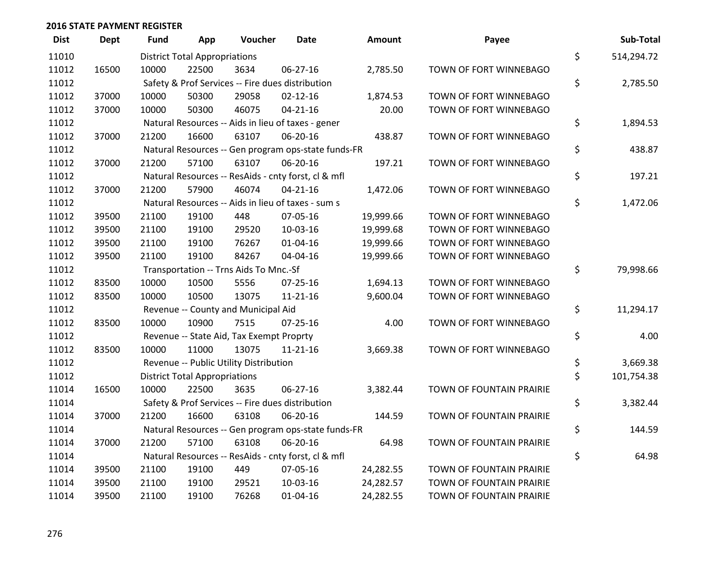| <b>Dist</b> | <b>Dept</b> | Fund  | App                                  | Voucher                                             | <b>Date</b>    | <b>Amount</b> | Payee                           | Sub-Total        |
|-------------|-------------|-------|--------------------------------------|-----------------------------------------------------|----------------|---------------|---------------------------------|------------------|
| 11010       |             |       | <b>District Total Appropriations</b> |                                                     |                |               |                                 | \$<br>514,294.72 |
| 11012       | 16500       | 10000 | 22500                                | 3634                                                | 06-27-16       | 2,785.50      | TOWN OF FORT WINNEBAGO          |                  |
| 11012       |             |       |                                      | Safety & Prof Services -- Fire dues distribution    |                |               |                                 | \$<br>2,785.50   |
| 11012       | 37000       | 10000 | 50300                                | 29058                                               | $02 - 12 - 16$ | 1,874.53      | TOWN OF FORT WINNEBAGO          |                  |
| 11012       | 37000       | 10000 | 50300                                | 46075                                               | $04 - 21 - 16$ | 20.00         | TOWN OF FORT WINNEBAGO          |                  |
| 11012       |             |       |                                      | Natural Resources -- Aids in lieu of taxes - gener  |                |               |                                 | \$<br>1,894.53   |
| 11012       | 37000       | 21200 | 16600                                | 63107                                               | 06-20-16       | 438.87        | TOWN OF FORT WINNEBAGO          |                  |
| 11012       |             |       |                                      | Natural Resources -- Gen program ops-state funds-FR |                |               |                                 | \$<br>438.87     |
| 11012       | 37000       | 21200 | 57100                                | 63107                                               | 06-20-16       | 197.21        | TOWN OF FORT WINNEBAGO          |                  |
| 11012       |             |       |                                      | Natural Resources -- ResAids - cnty forst, cl & mfl |                |               |                                 | \$<br>197.21     |
| 11012       | 37000       | 21200 | 57900                                | 46074                                               | $04 - 21 - 16$ | 1,472.06      | TOWN OF FORT WINNEBAGO          |                  |
| 11012       |             |       |                                      | Natural Resources -- Aids in lieu of taxes - sum s  |                |               |                                 | \$<br>1,472.06   |
| 11012       | 39500       | 21100 | 19100                                | 448                                                 | 07-05-16       | 19,999.66     | TOWN OF FORT WINNEBAGO          |                  |
| 11012       | 39500       | 21100 | 19100                                | 29520                                               | 10-03-16       | 19,999.68     | TOWN OF FORT WINNEBAGO          |                  |
| 11012       | 39500       | 21100 | 19100                                | 76267                                               | $01 - 04 - 16$ | 19,999.66     | TOWN OF FORT WINNEBAGO          |                  |
| 11012       | 39500       | 21100 | 19100                                | 84267                                               | 04-04-16       | 19,999.66     | TOWN OF FORT WINNEBAGO          |                  |
| 11012       |             |       |                                      | Transportation -- Trns Aids To Mnc.-Sf              |                |               |                                 | \$<br>79,998.66  |
| 11012       | 83500       | 10000 | 10500                                | 5556                                                | $07 - 25 - 16$ | 1,694.13      | TOWN OF FORT WINNEBAGO          |                  |
| 11012       | 83500       | 10000 | 10500                                | 13075                                               | $11 - 21 - 16$ | 9,600.04      | TOWN OF FORT WINNEBAGO          |                  |
| 11012       |             |       |                                      | Revenue -- County and Municipal Aid                 |                |               |                                 | \$<br>11,294.17  |
| 11012       | 83500       | 10000 | 10900                                | 7515                                                | $07 - 25 - 16$ | 4.00          | TOWN OF FORT WINNEBAGO          |                  |
| 11012       |             |       |                                      | Revenue -- State Aid, Tax Exempt Proprty            |                |               |                                 | \$<br>4.00       |
| 11012       | 83500       | 10000 | 11000                                | 13075                                               | $11 - 21 - 16$ | 3,669.38      | TOWN OF FORT WINNEBAGO          |                  |
| 11012       |             |       |                                      | Revenue -- Public Utility Distribution              |                |               |                                 | \$<br>3,669.38   |
| 11012       |             |       | <b>District Total Appropriations</b> |                                                     |                |               |                                 | \$<br>101,754.38 |
| 11014       | 16500       | 10000 | 22500                                | 3635                                                | $06 - 27 - 16$ | 3,382.44      | TOWN OF FOUNTAIN PRAIRIE        |                  |
| 11014       |             |       |                                      | Safety & Prof Services -- Fire dues distribution    |                |               |                                 | \$<br>3,382.44   |
| 11014       | 37000       | 21200 | 16600                                | 63108                                               | 06-20-16       | 144.59        | TOWN OF FOUNTAIN PRAIRIE        |                  |
| 11014       |             |       |                                      | Natural Resources -- Gen program ops-state funds-FR |                |               |                                 | \$<br>144.59     |
| 11014       | 37000       | 21200 | 57100                                | 63108                                               | 06-20-16       | 64.98         | TOWN OF FOUNTAIN PRAIRIE        |                  |
| 11014       |             |       |                                      | Natural Resources -- ResAids - cnty forst, cl & mfl |                |               |                                 | \$<br>64.98      |
| 11014       | 39500       | 21100 | 19100                                | 449                                                 | 07-05-16       | 24,282.55     | TOWN OF FOUNTAIN PRAIRIE        |                  |
| 11014       | 39500       | 21100 | 19100                                | 29521                                               | 10-03-16       | 24,282.57     | TOWN OF FOUNTAIN PRAIRIE        |                  |
| 11014       | 39500       | 21100 | 19100                                | 76268                                               | 01-04-16       | 24,282.55     | <b>TOWN OF FOUNTAIN PRAIRIE</b> |                  |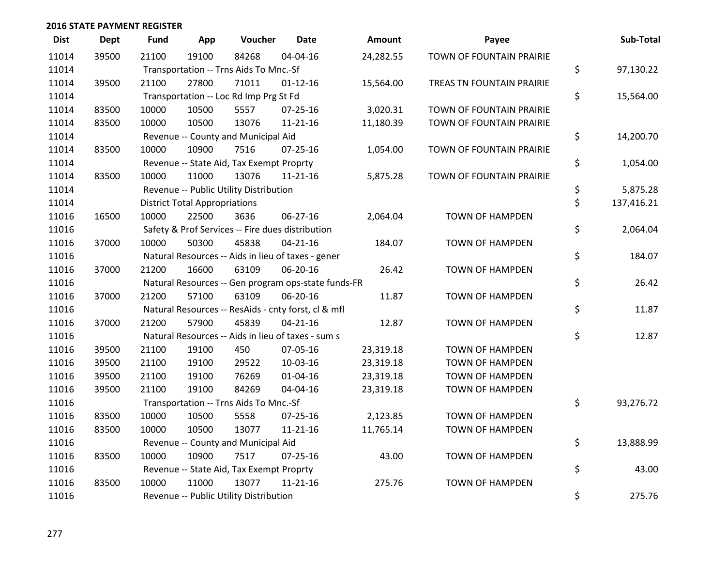| <b>Dist</b> | <b>Dept</b> | <b>Fund</b> | App                                  | Voucher                                             | <b>Date</b>    | <b>Amount</b> | Payee                            | Sub-Total        |
|-------------|-------------|-------------|--------------------------------------|-----------------------------------------------------|----------------|---------------|----------------------------------|------------------|
| 11014       | 39500       | 21100       | 19100                                | 84268                                               | 04-04-16       | 24,282.55     | TOWN OF FOUNTAIN PRAIRIE         |                  |
| 11014       |             |             |                                      | Transportation -- Trns Aids To Mnc.-Sf              |                |               |                                  | \$<br>97,130.22  |
| 11014       | 39500       | 21100       | 27800                                | 71011                                               | $01 - 12 - 16$ | 15,564.00     | <b>TREAS TN FOUNTAIN PRAIRIE</b> |                  |
| 11014       |             |             |                                      | Transportation -- Loc Rd Imp Prg St Fd              |                |               |                                  | \$<br>15,564.00  |
| 11014       | 83500       | 10000       | 10500                                | 5557                                                | 07-25-16       | 3,020.31      | TOWN OF FOUNTAIN PRAIRIE         |                  |
| 11014       | 83500       | 10000       | 10500                                | 13076                                               | $11 - 21 - 16$ | 11,180.39     | TOWN OF FOUNTAIN PRAIRIE         |                  |
| 11014       |             |             |                                      | Revenue -- County and Municipal Aid                 |                |               |                                  | \$<br>14,200.70  |
| 11014       | 83500       | 10000       | 10900                                | 7516                                                | $07 - 25 - 16$ | 1,054.00      | TOWN OF FOUNTAIN PRAIRIE         |                  |
| 11014       |             |             |                                      | Revenue -- State Aid, Tax Exempt Proprty            |                |               |                                  | \$<br>1,054.00   |
| 11014       | 83500       | 10000       | 11000                                | 13076                                               | $11 - 21 - 16$ | 5,875.28      | TOWN OF FOUNTAIN PRAIRIE         |                  |
| 11014       |             |             |                                      | Revenue -- Public Utility Distribution              |                |               |                                  | \$<br>5,875.28   |
| 11014       |             |             | <b>District Total Appropriations</b> |                                                     |                |               |                                  | \$<br>137,416.21 |
| 11016       | 16500       | 10000       | 22500                                | 3636                                                | 06-27-16       | 2,064.04      | <b>TOWN OF HAMPDEN</b>           |                  |
| 11016       |             |             |                                      | Safety & Prof Services -- Fire dues distribution    |                |               |                                  | \$<br>2,064.04   |
| 11016       | 37000       | 10000       | 50300                                | 45838                                               | $04 - 21 - 16$ | 184.07        | <b>TOWN OF HAMPDEN</b>           |                  |
| 11016       |             |             |                                      | Natural Resources -- Aids in lieu of taxes - gener  |                |               |                                  | \$<br>184.07     |
| 11016       | 37000       | 21200       | 16600                                | 63109                                               | 06-20-16       | 26.42         | <b>TOWN OF HAMPDEN</b>           |                  |
| 11016       |             |             |                                      | Natural Resources -- Gen program ops-state funds-FR |                |               |                                  | \$<br>26.42      |
| 11016       | 37000       | 21200       | 57100                                | 63109                                               | 06-20-16       | 11.87         | <b>TOWN OF HAMPDEN</b>           |                  |
| 11016       |             |             |                                      | Natural Resources -- ResAids - cnty forst, cl & mfl |                |               |                                  | \$<br>11.87      |
| 11016       | 37000       | 21200       | 57900                                | 45839                                               | $04 - 21 - 16$ | 12.87         | <b>TOWN OF HAMPDEN</b>           |                  |
| 11016       |             |             |                                      | Natural Resources -- Aids in lieu of taxes - sum s  |                |               |                                  | \$<br>12.87      |
| 11016       | 39500       | 21100       | 19100                                | 450                                                 | 07-05-16       | 23,319.18     | <b>TOWN OF HAMPDEN</b>           |                  |
| 11016       | 39500       | 21100       | 19100                                | 29522                                               | 10-03-16       | 23,319.18     | <b>TOWN OF HAMPDEN</b>           |                  |
| 11016       | 39500       | 21100       | 19100                                | 76269                                               | $01 - 04 - 16$ | 23,319.18     | <b>TOWN OF HAMPDEN</b>           |                  |
| 11016       | 39500       | 21100       | 19100                                | 84269                                               | 04-04-16       | 23,319.18     | <b>TOWN OF HAMPDEN</b>           |                  |
| 11016       |             |             |                                      | Transportation -- Trns Aids To Mnc.-Sf              |                |               |                                  | \$<br>93,276.72  |
| 11016       | 83500       | 10000       | 10500                                | 5558                                                | $07 - 25 - 16$ | 2,123.85      | <b>TOWN OF HAMPDEN</b>           |                  |
| 11016       | 83500       | 10000       | 10500                                | 13077                                               | $11 - 21 - 16$ | 11,765.14     | <b>TOWN OF HAMPDEN</b>           |                  |
| 11016       |             |             |                                      | Revenue -- County and Municipal Aid                 |                |               |                                  | \$<br>13,888.99  |
| 11016       | 83500       | 10000       | 10900                                | 7517                                                | $07 - 25 - 16$ | 43.00         | <b>TOWN OF HAMPDEN</b>           |                  |
| 11016       |             |             |                                      | Revenue -- State Aid, Tax Exempt Proprty            |                |               |                                  | \$<br>43.00      |
| 11016       | 83500       | 10000       | 11000                                | 13077                                               | $11 - 21 - 16$ | 275.76        | <b>TOWN OF HAMPDEN</b>           |                  |
| 11016       |             |             |                                      | Revenue -- Public Utility Distribution              |                |               |                                  | \$<br>275.76     |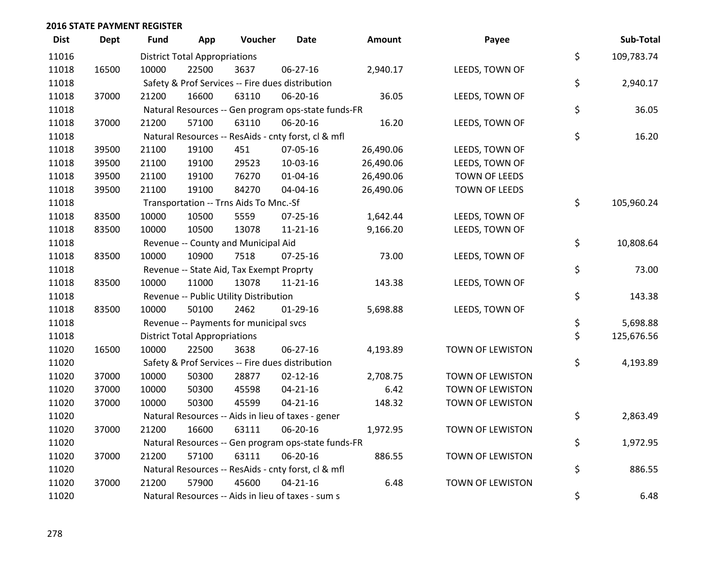| <b>Dist</b> | <b>Dept</b> | <b>Fund</b> | App                                  | Voucher                                             | <b>Date</b>    | Amount    | Payee            | Sub-Total        |
|-------------|-------------|-------------|--------------------------------------|-----------------------------------------------------|----------------|-----------|------------------|------------------|
| 11016       |             |             | <b>District Total Appropriations</b> |                                                     |                |           |                  | \$<br>109,783.74 |
| 11018       | 16500       | 10000       | 22500                                | 3637                                                | 06-27-16       | 2,940.17  | LEEDS, TOWN OF   |                  |
| 11018       |             |             |                                      | Safety & Prof Services -- Fire dues distribution    |                |           |                  | \$<br>2,940.17   |
| 11018       | 37000       | 21200       | 16600                                | 63110                                               | 06-20-16       | 36.05     | LEEDS, TOWN OF   |                  |
| 11018       |             |             |                                      | Natural Resources -- Gen program ops-state funds-FR |                |           |                  | \$<br>36.05      |
| 11018       | 37000       | 21200       | 57100                                | 63110                                               | 06-20-16       | 16.20     | LEEDS, TOWN OF   |                  |
| 11018       |             |             |                                      | Natural Resources -- ResAids - cnty forst, cl & mfl |                |           |                  | \$<br>16.20      |
| 11018       | 39500       | 21100       | 19100                                | 451                                                 | 07-05-16       | 26,490.06 | LEEDS, TOWN OF   |                  |
| 11018       | 39500       | 21100       | 19100                                | 29523                                               | 10-03-16       | 26,490.06 | LEEDS, TOWN OF   |                  |
| 11018       | 39500       | 21100       | 19100                                | 76270                                               | 01-04-16       | 26,490.06 | TOWN OF LEEDS    |                  |
| 11018       | 39500       | 21100       | 19100                                | 84270                                               | 04-04-16       | 26,490.06 | TOWN OF LEEDS    |                  |
| 11018       |             |             |                                      | Transportation -- Trns Aids To Mnc.-Sf              |                |           |                  | \$<br>105,960.24 |
| 11018       | 83500       | 10000       | 10500                                | 5559                                                | 07-25-16       | 1,642.44  | LEEDS, TOWN OF   |                  |
| 11018       | 83500       | 10000       | 10500                                | 13078                                               | $11 - 21 - 16$ | 9,166.20  | LEEDS, TOWN OF   |                  |
| 11018       |             |             |                                      | Revenue -- County and Municipal Aid                 |                |           |                  | \$<br>10,808.64  |
| 11018       | 83500       | 10000       | 10900                                | 7518                                                | $07 - 25 - 16$ | 73.00     | LEEDS, TOWN OF   |                  |
| 11018       |             |             |                                      | Revenue -- State Aid, Tax Exempt Proprty            |                |           |                  | \$<br>73.00      |
| 11018       | 83500       | 10000       | 11000                                | 13078                                               | $11 - 21 - 16$ | 143.38    | LEEDS, TOWN OF   |                  |
| 11018       |             |             |                                      | Revenue -- Public Utility Distribution              |                |           |                  | \$<br>143.38     |
| 11018       | 83500       | 10000       | 50100                                | 2462                                                | $01-29-16$     | 5,698.88  | LEEDS, TOWN OF   |                  |
| 11018       |             |             |                                      | Revenue -- Payments for municipal svcs              |                |           |                  | \$<br>5,698.88   |
| 11018       |             |             | <b>District Total Appropriations</b> |                                                     |                |           |                  | \$<br>125,676.56 |
| 11020       | 16500       | 10000       | 22500                                | 3638                                                | 06-27-16       | 4,193.89  | TOWN OF LEWISTON |                  |
| 11020       |             |             |                                      | Safety & Prof Services -- Fire dues distribution    |                |           |                  | \$<br>4,193.89   |
| 11020       | 37000       | 10000       | 50300                                | 28877                                               | $02 - 12 - 16$ | 2,708.75  | TOWN OF LEWISTON |                  |
| 11020       | 37000       | 10000       | 50300                                | 45598                                               | $04 - 21 - 16$ | 6.42      | TOWN OF LEWISTON |                  |
| 11020       | 37000       | 10000       | 50300                                | 45599                                               | $04 - 21 - 16$ | 148.32    | TOWN OF LEWISTON |                  |
| 11020       |             |             |                                      | Natural Resources -- Aids in lieu of taxes - gener  |                |           |                  | \$<br>2,863.49   |
| 11020       | 37000       | 21200       | 16600                                | 63111                                               | 06-20-16       | 1,972.95  | TOWN OF LEWISTON |                  |
| 11020       |             |             |                                      | Natural Resources -- Gen program ops-state funds-FR |                |           |                  | \$<br>1,972.95   |
| 11020       | 37000       | 21200       | 57100                                | 63111                                               | 06-20-16       | 886.55    | TOWN OF LEWISTON |                  |
| 11020       |             |             |                                      | Natural Resources -- ResAids - cnty forst, cl & mfl |                |           |                  | \$<br>886.55     |
| 11020       | 37000       | 21200       | 57900                                | 45600                                               | $04 - 21 - 16$ | 6.48      | TOWN OF LEWISTON |                  |
| 11020       |             |             |                                      | Natural Resources -- Aids in lieu of taxes - sum s  |                |           |                  | \$<br>6.48       |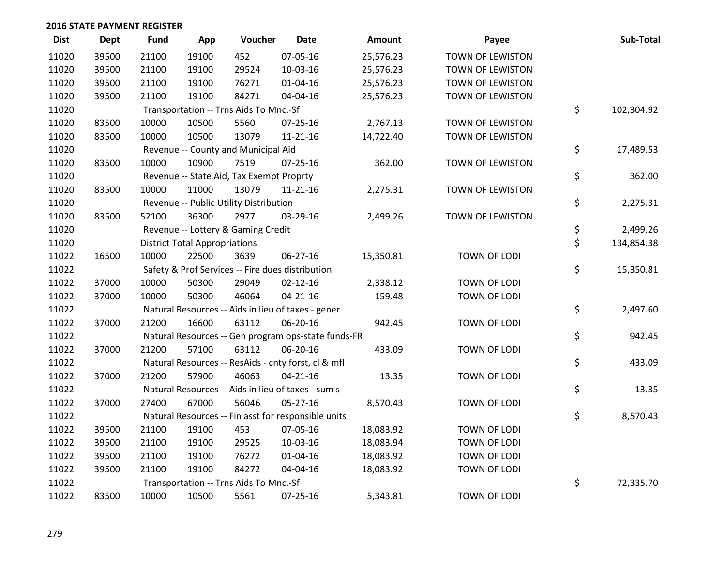| <b>Dist</b> | Dept  | <b>Fund</b> | App                                  | Voucher                                             | <b>Date</b>    | Amount    | Payee                   | Sub-Total        |
|-------------|-------|-------------|--------------------------------------|-----------------------------------------------------|----------------|-----------|-------------------------|------------------|
| 11020       | 39500 | 21100       | 19100                                | 452                                                 | 07-05-16       | 25,576.23 | <b>TOWN OF LEWISTON</b> |                  |
| 11020       | 39500 | 21100       | 19100                                | 29524                                               | 10-03-16       | 25,576.23 | TOWN OF LEWISTON        |                  |
| 11020       | 39500 | 21100       | 19100                                | 76271                                               | $01 - 04 - 16$ | 25,576.23 | TOWN OF LEWISTON        |                  |
| 11020       | 39500 | 21100       | 19100                                | 84271                                               | 04-04-16       | 25,576.23 | TOWN OF LEWISTON        |                  |
| 11020       |       |             |                                      | Transportation -- Trns Aids To Mnc.-Sf              |                |           |                         | \$<br>102,304.92 |
| 11020       | 83500 | 10000       | 10500                                | 5560                                                | 07-25-16       | 2,767.13  | TOWN OF LEWISTON        |                  |
| 11020       | 83500 | 10000       | 10500                                | 13079                                               | 11-21-16       | 14,722.40 | TOWN OF LEWISTON        |                  |
| 11020       |       |             |                                      | Revenue -- County and Municipal Aid                 |                |           |                         | \$<br>17,489.53  |
| 11020       | 83500 | 10000       | 10900                                | 7519                                                | $07 - 25 - 16$ | 362.00    | TOWN OF LEWISTON        |                  |
| 11020       |       |             |                                      | Revenue -- State Aid, Tax Exempt Proprty            |                |           |                         | \$<br>362.00     |
| 11020       | 83500 | 10000       | 11000                                | 13079                                               | $11 - 21 - 16$ | 2,275.31  | TOWN OF LEWISTON        |                  |
| 11020       |       |             |                                      | Revenue -- Public Utility Distribution              |                |           |                         | \$<br>2,275.31   |
| 11020       | 83500 | 52100       | 36300                                | 2977                                                | 03-29-16       | 2,499.26  | TOWN OF LEWISTON        |                  |
| 11020       |       |             |                                      | Revenue -- Lottery & Gaming Credit                  |                |           |                         | \$<br>2,499.26   |
| 11020       |       |             | <b>District Total Appropriations</b> |                                                     |                |           |                         | \$<br>134,854.38 |
| 11022       | 16500 | 10000       | 22500                                | 3639                                                | 06-27-16       | 15,350.81 | TOWN OF LODI            |                  |
| 11022       |       |             |                                      | Safety & Prof Services -- Fire dues distribution    |                |           |                         | \$<br>15,350.81  |
| 11022       | 37000 | 10000       | 50300                                | 29049                                               | $02 - 12 - 16$ | 2,338.12  | <b>TOWN OF LODI</b>     |                  |
| 11022       | 37000 | 10000       | 50300                                | 46064                                               | $04 - 21 - 16$ | 159.48    | <b>TOWN OF LODI</b>     |                  |
| 11022       |       |             |                                      | Natural Resources -- Aids in lieu of taxes - gener  |                |           |                         | \$<br>2,497.60   |
| 11022       | 37000 | 21200       | 16600                                | 63112                                               | 06-20-16       | 942.45    | TOWN OF LODI            |                  |
| 11022       |       |             |                                      | Natural Resources -- Gen program ops-state funds-FR |                |           |                         | \$<br>942.45     |
| 11022       | 37000 | 21200       | 57100                                | 63112                                               | 06-20-16       | 433.09    | TOWN OF LODI            |                  |
| 11022       |       |             |                                      | Natural Resources -- ResAids - cnty forst, cl & mfl |                |           |                         | \$<br>433.09     |
| 11022       | 37000 | 21200       | 57900                                | 46063                                               | $04 - 21 - 16$ | 13.35     | TOWN OF LODI            |                  |
| 11022       |       |             |                                      | Natural Resources -- Aids in lieu of taxes - sum s  |                |           |                         | \$<br>13.35      |
| 11022       | 37000 | 27400       | 67000                                | 56046                                               | 05-27-16       | 8,570.43  | TOWN OF LODI            |                  |
| 11022       |       |             |                                      | Natural Resources -- Fin asst for responsible units |                |           |                         | \$<br>8,570.43   |
| 11022       | 39500 | 21100       | 19100                                | 453                                                 | 07-05-16       | 18,083.92 | TOWN OF LODI            |                  |
| 11022       | 39500 | 21100       | 19100                                | 29525                                               | 10-03-16       | 18,083.94 | TOWN OF LODI            |                  |
| 11022       | 39500 | 21100       | 19100                                | 76272                                               | $01 - 04 - 16$ | 18,083.92 | TOWN OF LODI            |                  |
| 11022       | 39500 | 21100       | 19100                                | 84272                                               | 04-04-16       | 18,083.92 | <b>TOWN OF LODI</b>     |                  |
| 11022       |       |             |                                      | Transportation -- Trns Aids To Mnc.-Sf              |                |           |                         | \$<br>72,335.70  |
| 11022       | 83500 | 10000       | 10500                                | 5561                                                | $07 - 25 - 16$ | 5,343.81  | <b>TOWN OF LODI</b>     |                  |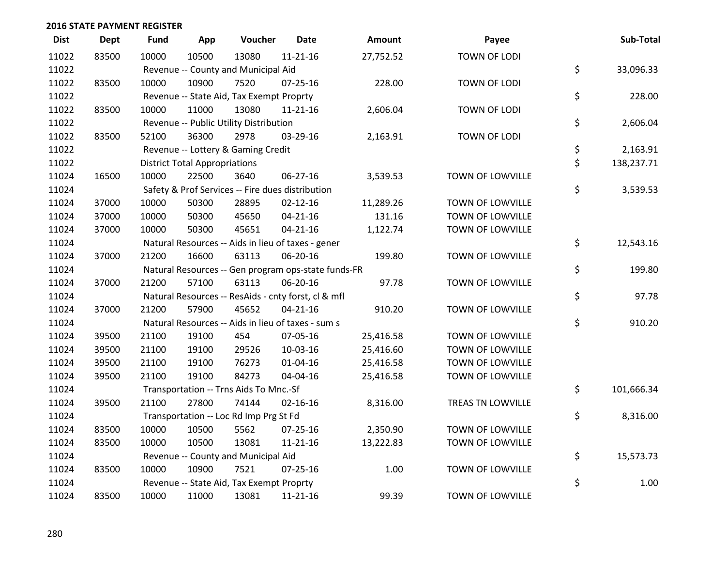| <b>Dist</b> | <b>Dept</b> | <b>Fund</b> | App                                  | Voucher                                  | <b>Date</b>                                         | Amount    | Payee                   | Sub-Total        |
|-------------|-------------|-------------|--------------------------------------|------------------------------------------|-----------------------------------------------------|-----------|-------------------------|------------------|
| 11022       | 83500       | 10000       | 10500                                | 13080                                    | $11 - 21 - 16$                                      | 27,752.52 | <b>TOWN OF LODI</b>     |                  |
| 11022       |             |             |                                      | Revenue -- County and Municipal Aid      |                                                     |           |                         | \$<br>33,096.33  |
| 11022       | 83500       | 10000       | 10900                                | 7520                                     | $07 - 25 - 16$                                      | 228.00    | <b>TOWN OF LODI</b>     |                  |
| 11022       |             |             |                                      | Revenue -- State Aid, Tax Exempt Proprty |                                                     |           |                         | \$<br>228.00     |
| 11022       | 83500       | 10000       | 11000                                | 13080                                    | $11 - 21 - 16$                                      | 2,606.04  | TOWN OF LODI            |                  |
| 11022       |             |             |                                      | Revenue -- Public Utility Distribution   |                                                     |           |                         | \$<br>2,606.04   |
| 11022       | 83500       | 52100       | 36300                                | 2978                                     | 03-29-16                                            | 2,163.91  | TOWN OF LODI            |                  |
| 11022       |             |             |                                      | Revenue -- Lottery & Gaming Credit       |                                                     |           |                         | \$<br>2,163.91   |
| 11022       |             |             | <b>District Total Appropriations</b> |                                          |                                                     |           |                         | \$<br>138,237.71 |
| 11024       | 16500       | 10000       | 22500                                | 3640                                     | 06-27-16                                            | 3,539.53  | TOWN OF LOWVILLE        |                  |
| 11024       |             |             |                                      |                                          | Safety & Prof Services -- Fire dues distribution    |           |                         | \$<br>3,539.53   |
| 11024       | 37000       | 10000       | 50300                                | 28895                                    | $02 - 12 - 16$                                      | 11,289.26 | TOWN OF LOWVILLE        |                  |
| 11024       | 37000       | 10000       | 50300                                | 45650                                    | $04 - 21 - 16$                                      | 131.16    | TOWN OF LOWVILLE        |                  |
| 11024       | 37000       | 10000       | 50300                                | 45651                                    | $04 - 21 - 16$                                      | 1,122.74  | TOWN OF LOWVILLE        |                  |
| 11024       |             |             |                                      |                                          | Natural Resources -- Aids in lieu of taxes - gener  |           |                         | \$<br>12,543.16  |
| 11024       | 37000       | 21200       | 16600                                | 63113                                    | 06-20-16                                            | 199.80    | TOWN OF LOWVILLE        |                  |
| 11024       |             |             |                                      |                                          | Natural Resources -- Gen program ops-state funds-FR |           |                         | \$<br>199.80     |
| 11024       | 37000       | 21200       | 57100                                | 63113                                    | 06-20-16                                            | 97.78     | TOWN OF LOWVILLE        |                  |
| 11024       |             |             |                                      |                                          | Natural Resources -- ResAids - cnty forst, cl & mfl |           |                         | \$<br>97.78      |
| 11024       | 37000       | 21200       | 57900                                | 45652                                    | $04 - 21 - 16$                                      | 910.20    | TOWN OF LOWVILLE        |                  |
| 11024       |             |             |                                      |                                          | Natural Resources -- Aids in lieu of taxes - sum s  |           |                         | \$<br>910.20     |
| 11024       | 39500       | 21100       | 19100                                | 454                                      | 07-05-16                                            | 25,416.58 | TOWN OF LOWVILLE        |                  |
| 11024       | 39500       | 21100       | 19100                                | 29526                                    | 10-03-16                                            | 25,416.60 | <b>TOWN OF LOWVILLE</b> |                  |
| 11024       | 39500       | 21100       | 19100                                | 76273                                    | $01 - 04 - 16$                                      | 25,416.58 | TOWN OF LOWVILLE        |                  |
| 11024       | 39500       | 21100       | 19100                                | 84273                                    | 04-04-16                                            | 25,416.58 | TOWN OF LOWVILLE        |                  |
| 11024       |             |             |                                      | Transportation -- Trns Aids To Mnc.-Sf   |                                                     |           |                         | \$<br>101,666.34 |
| 11024       | 39500       | 21100       | 27800                                | 74144                                    | $02 - 16 - 16$                                      | 8,316.00  | TREAS TN LOWVILLE       |                  |
| 11024       |             |             |                                      | Transportation -- Loc Rd Imp Prg St Fd   |                                                     |           |                         | \$<br>8,316.00   |
| 11024       | 83500       | 10000       | 10500                                | 5562                                     | $07 - 25 - 16$                                      | 2,350.90  | TOWN OF LOWVILLE        |                  |
| 11024       | 83500       | 10000       | 10500                                | 13081                                    | $11 - 21 - 16$                                      | 13,222.83 | TOWN OF LOWVILLE        |                  |
| 11024       |             |             |                                      | Revenue -- County and Municipal Aid      |                                                     |           |                         | \$<br>15,573.73  |
| 11024       | 83500       | 10000       | 10900                                | 7521                                     | $07 - 25 - 16$                                      | 1.00      | <b>TOWN OF LOWVILLE</b> |                  |
| 11024       |             |             |                                      | Revenue -- State Aid, Tax Exempt Proprty |                                                     |           |                         | \$<br>1.00       |
| 11024       | 83500       | 10000       | 11000                                | 13081                                    | $11 - 21 - 16$                                      | 99.39     | TOWN OF LOWVILLE        |                  |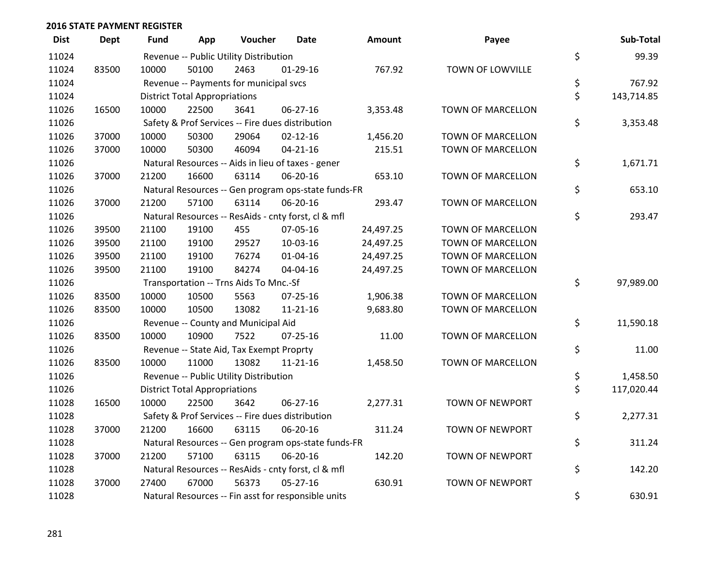| <b>Dist</b> | <b>Dept</b> | Fund  | App                                  | Voucher                                             | <b>Date</b>    | <b>Amount</b> | Payee                    | Sub-Total        |
|-------------|-------------|-------|--------------------------------------|-----------------------------------------------------|----------------|---------------|--------------------------|------------------|
| 11024       |             |       |                                      | Revenue -- Public Utility Distribution              |                |               |                          | \$<br>99.39      |
| 11024       | 83500       | 10000 | 50100                                | 2463                                                | $01-29-16$     | 767.92        | TOWN OF LOWVILLE         |                  |
| 11024       |             |       |                                      | Revenue -- Payments for municipal svcs              |                |               |                          | \$<br>767.92     |
| 11024       |             |       | <b>District Total Appropriations</b> |                                                     |                |               |                          | \$<br>143,714.85 |
| 11026       | 16500       | 10000 | 22500                                | 3641                                                | 06-27-16       | 3,353.48      | <b>TOWN OF MARCELLON</b> |                  |
| 11026       |             |       |                                      | Safety & Prof Services -- Fire dues distribution    |                |               |                          | \$<br>3,353.48   |
| 11026       | 37000       | 10000 | 50300                                | 29064                                               | $02 - 12 - 16$ | 1,456.20      | TOWN OF MARCELLON        |                  |
| 11026       | 37000       | 10000 | 50300                                | 46094                                               | $04 - 21 - 16$ | 215.51        | <b>TOWN OF MARCELLON</b> |                  |
| 11026       |             |       |                                      | Natural Resources -- Aids in lieu of taxes - gener  |                |               |                          | \$<br>1,671.71   |
| 11026       | 37000       | 21200 | 16600                                | 63114                                               | 06-20-16       | 653.10        | TOWN OF MARCELLON        |                  |
| 11026       |             |       |                                      | Natural Resources -- Gen program ops-state funds-FR |                |               |                          | \$<br>653.10     |
| 11026       | 37000       | 21200 | 57100                                | 63114                                               | 06-20-16       | 293.47        | <b>TOWN OF MARCELLON</b> |                  |
| 11026       |             |       |                                      | Natural Resources -- ResAids - cnty forst, cl & mfl |                |               |                          | \$<br>293.47     |
| 11026       | 39500       | 21100 | 19100                                | 455                                                 | 07-05-16       | 24,497.25     | TOWN OF MARCELLON        |                  |
| 11026       | 39500       | 21100 | 19100                                | 29527                                               | 10-03-16       | 24,497.25     | TOWN OF MARCELLON        |                  |
| 11026       | 39500       | 21100 | 19100                                | 76274                                               | $01 - 04 - 16$ | 24,497.25     | <b>TOWN OF MARCELLON</b> |                  |
| 11026       | 39500       | 21100 | 19100                                | 84274                                               | 04-04-16       | 24,497.25     | TOWN OF MARCELLON        |                  |
| 11026       |             |       |                                      | Transportation -- Trns Aids To Mnc.-Sf              |                |               |                          | \$<br>97,989.00  |
| 11026       | 83500       | 10000 | 10500                                | 5563                                                | $07 - 25 - 16$ | 1,906.38      | TOWN OF MARCELLON        |                  |
| 11026       | 83500       | 10000 | 10500                                | 13082                                               | $11 - 21 - 16$ | 9,683.80      | <b>TOWN OF MARCELLON</b> |                  |
| 11026       |             |       |                                      | Revenue -- County and Municipal Aid                 |                |               |                          | \$<br>11,590.18  |
| 11026       | 83500       | 10000 | 10900                                | 7522                                                | $07 - 25 - 16$ | 11.00         | TOWN OF MARCELLON        |                  |
| 11026       |             |       |                                      | Revenue -- State Aid, Tax Exempt Proprty            |                |               |                          | \$<br>11.00      |
| 11026       | 83500       | 10000 | 11000                                | 13082                                               | $11 - 21 - 16$ | 1,458.50      | <b>TOWN OF MARCELLON</b> |                  |
| 11026       |             |       |                                      | Revenue -- Public Utility Distribution              |                |               |                          | \$<br>1,458.50   |
| 11026       |             |       | <b>District Total Appropriations</b> |                                                     |                |               |                          | \$<br>117,020.44 |
| 11028       | 16500       | 10000 | 22500                                | 3642                                                | 06-27-16       | 2,277.31      | TOWN OF NEWPORT          |                  |
| 11028       |             |       |                                      | Safety & Prof Services -- Fire dues distribution    |                |               |                          | \$<br>2,277.31   |
| 11028       | 37000       | 21200 | 16600                                | 63115                                               | 06-20-16       | 311.24        | <b>TOWN OF NEWPORT</b>   |                  |
| 11028       |             |       |                                      | Natural Resources -- Gen program ops-state funds-FR |                |               |                          | \$<br>311.24     |
| 11028       | 37000       | 21200 | 57100                                | 63115                                               | 06-20-16       | 142.20        | TOWN OF NEWPORT          |                  |
| 11028       |             |       |                                      | Natural Resources -- ResAids - cnty forst, cl & mfl |                |               |                          | \$<br>142.20     |
| 11028       | 37000       | 27400 | 67000                                | 56373                                               | $05 - 27 - 16$ | 630.91        | <b>TOWN OF NEWPORT</b>   |                  |
| 11028       |             |       |                                      | Natural Resources -- Fin asst for responsible units |                |               |                          | \$<br>630.91     |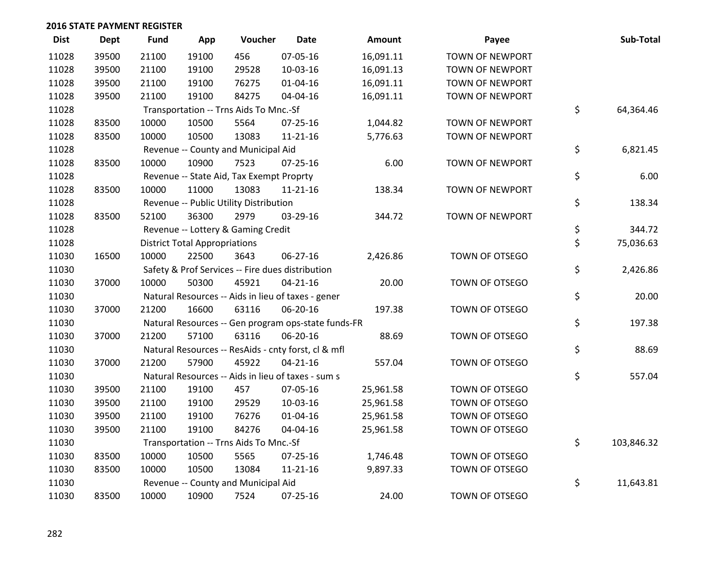| <b>Dist</b> | <b>Dept</b> | Fund  | App                                  | Voucher                                             | <b>Date</b>    | <b>Amount</b> | Payee                  | Sub-Total        |
|-------------|-------------|-------|--------------------------------------|-----------------------------------------------------|----------------|---------------|------------------------|------------------|
| 11028       | 39500       | 21100 | 19100                                | 456                                                 | 07-05-16       | 16,091.11     | <b>TOWN OF NEWPORT</b> |                  |
| 11028       | 39500       | 21100 | 19100                                | 29528                                               | 10-03-16       | 16,091.13     | TOWN OF NEWPORT        |                  |
| 11028       | 39500       | 21100 | 19100                                | 76275                                               | 01-04-16       | 16,091.11     | <b>TOWN OF NEWPORT</b> |                  |
| 11028       | 39500       | 21100 | 19100                                | 84275                                               | 04-04-16       | 16,091.11     | TOWN OF NEWPORT        |                  |
| 11028       |             |       |                                      | Transportation -- Trns Aids To Mnc.-Sf              |                |               |                        | \$<br>64,364.46  |
| 11028       | 83500       | 10000 | 10500                                | 5564                                                | $07 - 25 - 16$ | 1,044.82      | TOWN OF NEWPORT        |                  |
| 11028       | 83500       | 10000 | 10500                                | 13083                                               | $11 - 21 - 16$ | 5,776.63      | TOWN OF NEWPORT        |                  |
| 11028       |             |       |                                      | Revenue -- County and Municipal Aid                 |                |               |                        | \$<br>6,821.45   |
| 11028       | 83500       | 10000 | 10900                                | 7523                                                | $07 - 25 - 16$ | 6.00          | <b>TOWN OF NEWPORT</b> |                  |
| 11028       |             |       |                                      | Revenue -- State Aid, Tax Exempt Proprty            |                |               |                        | \$<br>6.00       |
| 11028       | 83500       | 10000 | 11000                                | 13083                                               | $11 - 21 - 16$ | 138.34        | <b>TOWN OF NEWPORT</b> |                  |
| 11028       |             |       |                                      | Revenue -- Public Utility Distribution              |                |               |                        | \$<br>138.34     |
| 11028       | 83500       | 52100 | 36300                                | 2979                                                | 03-29-16       | 344.72        | TOWN OF NEWPORT        |                  |
| 11028       |             |       |                                      | Revenue -- Lottery & Gaming Credit                  |                |               |                        | \$<br>344.72     |
| 11028       |             |       | <b>District Total Appropriations</b> |                                                     |                |               |                        | \$<br>75,036.63  |
| 11030       | 16500       | 10000 | 22500                                | 3643                                                | 06-27-16       | 2,426.86      | TOWN OF OTSEGO         |                  |
| 11030       |             |       |                                      | Safety & Prof Services -- Fire dues distribution    |                |               |                        | \$<br>2,426.86   |
| 11030       | 37000       | 10000 | 50300                                | 45921                                               | $04 - 21 - 16$ | 20.00         | TOWN OF OTSEGO         |                  |
| 11030       |             |       |                                      | Natural Resources -- Aids in lieu of taxes - gener  |                |               |                        | \$<br>20.00      |
| 11030       | 37000       | 21200 | 16600                                | 63116                                               | 06-20-16       | 197.38        | TOWN OF OTSEGO         |                  |
| 11030       |             |       |                                      | Natural Resources -- Gen program ops-state funds-FR |                |               |                        | \$<br>197.38     |
| 11030       | 37000       | 21200 | 57100                                | 63116                                               | 06-20-16       | 88.69         | TOWN OF OTSEGO         |                  |
| 11030       |             |       |                                      | Natural Resources -- ResAids - cnty forst, cl & mfl |                |               |                        | \$<br>88.69      |
| 11030       | 37000       | 21200 | 57900                                | 45922                                               | $04 - 21 - 16$ | 557.04        | TOWN OF OTSEGO         |                  |
| 11030       |             |       |                                      | Natural Resources -- Aids in lieu of taxes - sum s  |                |               |                        | \$<br>557.04     |
| 11030       | 39500       | 21100 | 19100                                | 457                                                 | 07-05-16       | 25,961.58     | TOWN OF OTSEGO         |                  |
| 11030       | 39500       | 21100 | 19100                                | 29529                                               | 10-03-16       | 25,961.58     | TOWN OF OTSEGO         |                  |
| 11030       | 39500       | 21100 | 19100                                | 76276                                               | $01 - 04 - 16$ | 25,961.58     | TOWN OF OTSEGO         |                  |
| 11030       | 39500       | 21100 | 19100                                | 84276                                               | 04-04-16       | 25,961.58     | TOWN OF OTSEGO         |                  |
| 11030       |             |       |                                      | Transportation -- Trns Aids To Mnc.-Sf              |                |               |                        | \$<br>103,846.32 |
| 11030       | 83500       | 10000 | 10500                                | 5565                                                | 07-25-16       | 1,746.48      | TOWN OF OTSEGO         |                  |
| 11030       | 83500       | 10000 | 10500                                | 13084                                               | $11 - 21 - 16$ | 9,897.33      | TOWN OF OTSEGO         |                  |
| 11030       |             |       |                                      | Revenue -- County and Municipal Aid                 |                |               |                        | \$<br>11,643.81  |
| 11030       | 83500       | 10000 | 10900                                | 7524                                                | 07-25-16       | 24.00         | <b>TOWN OF OTSEGO</b>  |                  |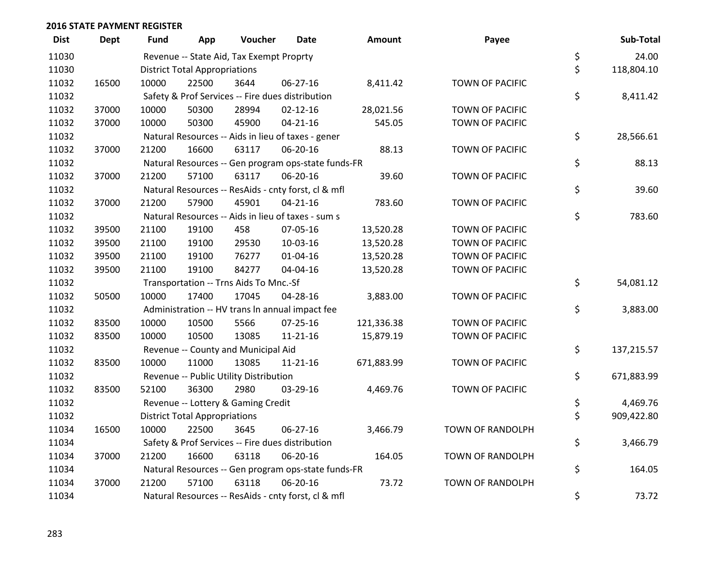| <b>Dist</b> | <b>Dept</b> | Fund  | App                                  | Voucher                                  | Date                                                | <b>Amount</b> | Payee                   | Sub-Total        |
|-------------|-------------|-------|--------------------------------------|------------------------------------------|-----------------------------------------------------|---------------|-------------------------|------------------|
| 11030       |             |       |                                      | Revenue -- State Aid, Tax Exempt Proprty |                                                     |               |                         | \$<br>24.00      |
| 11030       |             |       | <b>District Total Appropriations</b> |                                          |                                                     |               |                         | \$<br>118,804.10 |
| 11032       | 16500       | 10000 | 22500                                | 3644                                     | 06-27-16                                            | 8,411.42      | TOWN OF PACIFIC         |                  |
| 11032       |             |       |                                      |                                          | Safety & Prof Services -- Fire dues distribution    |               |                         | \$<br>8,411.42   |
| 11032       | 37000       | 10000 | 50300                                | 28994                                    | $02 - 12 - 16$                                      | 28,021.56     | TOWN OF PACIFIC         |                  |
| 11032       | 37000       | 10000 | 50300                                | 45900                                    | $04 - 21 - 16$                                      | 545.05        | TOWN OF PACIFIC         |                  |
| 11032       |             |       |                                      |                                          | Natural Resources -- Aids in lieu of taxes - gener  |               |                         | \$<br>28,566.61  |
| 11032       | 37000       | 21200 | 16600                                | 63117                                    | 06-20-16                                            | 88.13         | <b>TOWN OF PACIFIC</b>  |                  |
| 11032       |             |       |                                      |                                          | Natural Resources -- Gen program ops-state funds-FR |               |                         | \$<br>88.13      |
| 11032       | 37000       | 21200 | 57100                                | 63117                                    | 06-20-16                                            | 39.60         | TOWN OF PACIFIC         |                  |
| 11032       |             |       |                                      |                                          | Natural Resources -- ResAids - cnty forst, cl & mfl |               |                         | \$<br>39.60      |
| 11032       | 37000       | 21200 | 57900                                | 45901                                    | $04 - 21 - 16$                                      | 783.60        | <b>TOWN OF PACIFIC</b>  |                  |
| 11032       |             |       |                                      |                                          | Natural Resources -- Aids in lieu of taxes - sum s  |               |                         | \$<br>783.60     |
| 11032       | 39500       | 21100 | 19100                                | 458                                      | 07-05-16                                            | 13,520.28     | TOWN OF PACIFIC         |                  |
| 11032       | 39500       | 21100 | 19100                                | 29530                                    | 10-03-16                                            | 13,520.28     | TOWN OF PACIFIC         |                  |
| 11032       | 39500       | 21100 | 19100                                | 76277                                    | $01 - 04 - 16$                                      | 13,520.28     | <b>TOWN OF PACIFIC</b>  |                  |
| 11032       | 39500       | 21100 | 19100                                | 84277                                    | 04-04-16                                            | 13,520.28     | <b>TOWN OF PACIFIC</b>  |                  |
| 11032       |             |       |                                      | Transportation -- Trns Aids To Mnc.-Sf   |                                                     |               |                         | \$<br>54,081.12  |
| 11032       | 50500       | 10000 | 17400                                | 17045                                    | 04-28-16                                            | 3,883.00      | TOWN OF PACIFIC         |                  |
| 11032       |             |       |                                      |                                          | Administration -- HV trans In annual impact fee     |               |                         | \$<br>3,883.00   |
| 11032       | 83500       | 10000 | 10500                                | 5566                                     | $07 - 25 - 16$                                      | 121,336.38    | TOWN OF PACIFIC         |                  |
| 11032       | 83500       | 10000 | 10500                                | 13085                                    | $11 - 21 - 16$                                      | 15,879.19     | TOWN OF PACIFIC         |                  |
| 11032       |             |       |                                      | Revenue -- County and Municipal Aid      |                                                     |               |                         | \$<br>137,215.57 |
| 11032       | 83500       | 10000 | 11000                                | 13085                                    | $11 - 21 - 16$                                      | 671,883.99    | <b>TOWN OF PACIFIC</b>  |                  |
| 11032       |             |       |                                      | Revenue -- Public Utility Distribution   |                                                     |               |                         | \$<br>671,883.99 |
| 11032       | 83500       | 52100 | 36300                                | 2980                                     | 03-29-16                                            | 4,469.76      | <b>TOWN OF PACIFIC</b>  |                  |
| 11032       |             |       |                                      | Revenue -- Lottery & Gaming Credit       |                                                     |               |                         | \$<br>4,469.76   |
| 11032       |             |       | <b>District Total Appropriations</b> |                                          |                                                     |               |                         | \$<br>909,422.80 |
| 11034       | 16500       | 10000 | 22500                                | 3645                                     | 06-27-16                                            | 3,466.79      | <b>TOWN OF RANDOLPH</b> |                  |
| 11034       |             |       |                                      |                                          | Safety & Prof Services -- Fire dues distribution    |               |                         | \$<br>3,466.79   |
| 11034       | 37000       | 21200 | 16600                                | 63118                                    | 06-20-16                                            | 164.05        | TOWN OF RANDOLPH        |                  |
| 11034       |             |       |                                      |                                          | Natural Resources -- Gen program ops-state funds-FR |               |                         | \$<br>164.05     |
| 11034       | 37000       | 21200 | 57100                                | 63118                                    | 06-20-16                                            | 73.72         | <b>TOWN OF RANDOLPH</b> |                  |
| 11034       |             |       |                                      |                                          | Natural Resources -- ResAids - cnty forst, cl & mfl |               |                         | \$<br>73.72      |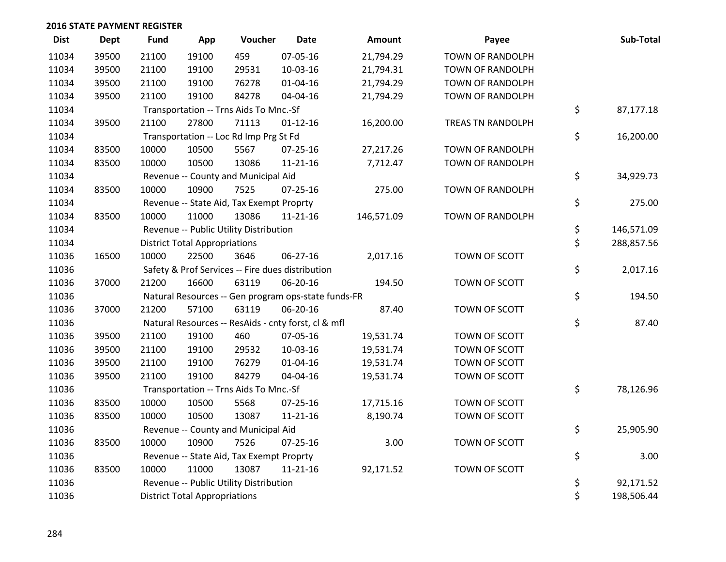| <b>Dist</b> | <b>Dept</b> | <b>Fund</b> | App                                  | Voucher                                  | <b>Date</b>                                         | Amount     | Payee                   | Sub-Total        |
|-------------|-------------|-------------|--------------------------------------|------------------------------------------|-----------------------------------------------------|------------|-------------------------|------------------|
| 11034       | 39500       | 21100       | 19100                                | 459                                      | 07-05-16                                            | 21,794.29  | <b>TOWN OF RANDOLPH</b> |                  |
| 11034       | 39500       | 21100       | 19100                                | 29531                                    | 10-03-16                                            | 21,794.31  | <b>TOWN OF RANDOLPH</b> |                  |
| 11034       | 39500       | 21100       | 19100                                | 76278                                    | $01 - 04 - 16$                                      | 21,794.29  | <b>TOWN OF RANDOLPH</b> |                  |
| 11034       | 39500       | 21100       | 19100                                | 84278                                    | 04-04-16                                            | 21,794.29  | TOWN OF RANDOLPH        |                  |
| 11034       |             |             |                                      | Transportation -- Trns Aids To Mnc.-Sf   |                                                     |            |                         | \$<br>87,177.18  |
| 11034       | 39500       | 21100       | 27800                                | 71113                                    | $01 - 12 - 16$                                      | 16,200.00  | TREAS TN RANDOLPH       |                  |
| 11034       |             |             |                                      | Transportation -- Loc Rd Imp Prg St Fd   |                                                     |            |                         | \$<br>16,200.00  |
| 11034       | 83500       | 10000       | 10500                                | 5567                                     | 07-25-16                                            | 27,217.26  | TOWN OF RANDOLPH        |                  |
| 11034       | 83500       | 10000       | 10500                                | 13086                                    | $11 - 21 - 16$                                      | 7,712.47   | TOWN OF RANDOLPH        |                  |
| 11034       |             |             |                                      | Revenue -- County and Municipal Aid      |                                                     |            |                         | \$<br>34,929.73  |
| 11034       | 83500       | 10000       | 10900                                | 7525                                     | $07 - 25 - 16$                                      | 275.00     | TOWN OF RANDOLPH        |                  |
| 11034       |             |             |                                      | Revenue -- State Aid, Tax Exempt Proprty |                                                     |            |                         | \$<br>275.00     |
| 11034       | 83500       | 10000       | 11000                                | 13086                                    | $11 - 21 - 16$                                      | 146,571.09 | <b>TOWN OF RANDOLPH</b> |                  |
| 11034       |             |             |                                      | Revenue -- Public Utility Distribution   |                                                     |            |                         | \$<br>146,571.09 |
| 11034       |             |             | <b>District Total Appropriations</b> |                                          |                                                     |            |                         | \$<br>288,857.56 |
| 11036       | 16500       | 10000       | 22500                                | 3646                                     | 06-27-16                                            | 2,017.16   | TOWN OF SCOTT           |                  |
| 11036       |             |             |                                      |                                          | Safety & Prof Services -- Fire dues distribution    |            |                         | \$<br>2,017.16   |
| 11036       | 37000       | 21200       | 16600                                | 63119                                    | 06-20-16                                            | 194.50     | TOWN OF SCOTT           |                  |
| 11036       |             |             |                                      |                                          | Natural Resources -- Gen program ops-state funds-FR |            |                         | \$<br>194.50     |
| 11036       | 37000       | 21200       | 57100                                | 63119                                    | 06-20-16                                            | 87.40      | TOWN OF SCOTT           |                  |
| 11036       |             |             |                                      |                                          | Natural Resources -- ResAids - cnty forst, cl & mfl |            |                         | \$<br>87.40      |
| 11036       | 39500       | 21100       | 19100                                | 460                                      | 07-05-16                                            | 19,531.74  | TOWN OF SCOTT           |                  |
| 11036       | 39500       | 21100       | 19100                                | 29532                                    | 10-03-16                                            | 19,531.74  | TOWN OF SCOTT           |                  |
| 11036       | 39500       | 21100       | 19100                                | 76279                                    | $01 - 04 - 16$                                      | 19,531.74  | TOWN OF SCOTT           |                  |
| 11036       | 39500       | 21100       | 19100                                | 84279                                    | 04-04-16                                            | 19,531.74  | TOWN OF SCOTT           |                  |
| 11036       |             |             |                                      | Transportation -- Trns Aids To Mnc.-Sf   |                                                     |            |                         | \$<br>78,126.96  |
| 11036       | 83500       | 10000       | 10500                                | 5568                                     | 07-25-16                                            | 17,715.16  | TOWN OF SCOTT           |                  |
| 11036       | 83500       | 10000       | 10500                                | 13087                                    | 11-21-16                                            | 8,190.74   | TOWN OF SCOTT           |                  |
| 11036       |             |             |                                      | Revenue -- County and Municipal Aid      |                                                     |            |                         | \$<br>25,905.90  |
| 11036       | 83500       | 10000       | 10900                                | 7526                                     | $07 - 25 - 16$                                      | 3.00       | TOWN OF SCOTT           |                  |
| 11036       |             |             |                                      | Revenue -- State Aid, Tax Exempt Proprty |                                                     |            |                         | \$<br>3.00       |
| 11036       | 83500       | 10000       | 11000                                | 13087                                    | $11 - 21 - 16$                                      | 92,171.52  | TOWN OF SCOTT           |                  |
| 11036       |             |             |                                      | Revenue -- Public Utility Distribution   |                                                     |            |                         | \$<br>92,171.52  |
| 11036       |             |             | <b>District Total Appropriations</b> |                                          |                                                     |            |                         | \$<br>198,506.44 |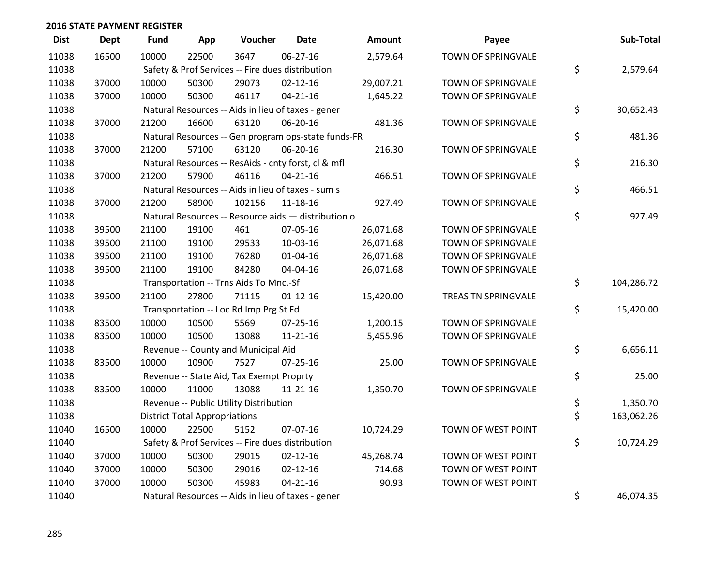| <b>Dist</b> | <b>Dept</b> | <b>Fund</b> | App                                  | Voucher                                             | <b>Date</b>    | <b>Amount</b> | Payee               | Sub-Total        |
|-------------|-------------|-------------|--------------------------------------|-----------------------------------------------------|----------------|---------------|---------------------|------------------|
| 11038       | 16500       | 10000       | 22500                                | 3647                                                | $06 - 27 - 16$ | 2,579.64      | TOWN OF SPRINGVALE  |                  |
| 11038       |             |             |                                      | Safety & Prof Services -- Fire dues distribution    |                |               |                     | \$<br>2,579.64   |
| 11038       | 37000       | 10000       | 50300                                | 29073                                               | $02 - 12 - 16$ | 29,007.21     | TOWN OF SPRINGVALE  |                  |
| 11038       | 37000       | 10000       | 50300                                | 46117                                               | $04 - 21 - 16$ | 1,645.22      | TOWN OF SPRINGVALE  |                  |
| 11038       |             |             |                                      | Natural Resources -- Aids in lieu of taxes - gener  |                |               |                     | \$<br>30,652.43  |
| 11038       | 37000       | 21200       | 16600                                | 63120                                               | 06-20-16       | 481.36        | TOWN OF SPRINGVALE  |                  |
| 11038       |             |             |                                      | Natural Resources -- Gen program ops-state funds-FR |                |               |                     | \$<br>481.36     |
| 11038       | 37000       | 21200       | 57100                                | 63120                                               | 06-20-16       | 216.30        | TOWN OF SPRINGVALE  |                  |
| 11038       |             |             |                                      | Natural Resources -- ResAids - cnty forst, cl & mfl |                |               |                     | \$<br>216.30     |
| 11038       | 37000       | 21200       | 57900                                | 46116                                               | $04 - 21 - 16$ | 466.51        | TOWN OF SPRINGVALE  |                  |
| 11038       |             |             |                                      | Natural Resources -- Aids in lieu of taxes - sum s  |                |               |                     | \$<br>466.51     |
| 11038       | 37000       | 21200       | 58900                                | 102156                                              | $11 - 18 - 16$ | 927.49        | TOWN OF SPRINGVALE  |                  |
| 11038       |             |             |                                      | Natural Resources -- Resource aids - distribution o |                |               |                     | \$<br>927.49     |
| 11038       | 39500       | 21100       | 19100                                | 461                                                 | 07-05-16       | 26,071.68     | TOWN OF SPRINGVALE  |                  |
| 11038       | 39500       | 21100       | 19100                                | 29533                                               | 10-03-16       | 26,071.68     | TOWN OF SPRINGVALE  |                  |
| 11038       | 39500       | 21100       | 19100                                | 76280                                               | $01 - 04 - 16$ | 26,071.68     | TOWN OF SPRINGVALE  |                  |
| 11038       | 39500       | 21100       | 19100                                | 84280                                               | 04-04-16       | 26,071.68     | TOWN OF SPRINGVALE  |                  |
| 11038       |             |             |                                      | Transportation -- Trns Aids To Mnc.-Sf              |                |               |                     | \$<br>104,286.72 |
| 11038       | 39500       | 21100       | 27800                                | 71115                                               | $01 - 12 - 16$ | 15,420.00     | TREAS TN SPRINGVALE |                  |
| 11038       |             |             |                                      | Transportation -- Loc Rd Imp Prg St Fd              |                |               |                     | \$<br>15,420.00  |
| 11038       | 83500       | 10000       | 10500                                | 5569                                                | $07 - 25 - 16$ | 1,200.15      | TOWN OF SPRINGVALE  |                  |
| 11038       | 83500       | 10000       | 10500                                | 13088                                               | $11 - 21 - 16$ | 5,455.96      | TOWN OF SPRINGVALE  |                  |
| 11038       |             |             |                                      | Revenue -- County and Municipal Aid                 |                |               |                     | \$<br>6,656.11   |
| 11038       | 83500       | 10000       | 10900                                | 7527                                                | $07 - 25 - 16$ | 25.00         | TOWN OF SPRINGVALE  |                  |
| 11038       |             |             |                                      | Revenue -- State Aid, Tax Exempt Proprty            |                |               |                     | \$<br>25.00      |
| 11038       | 83500       | 10000       | 11000                                | 13088                                               | $11 - 21 - 16$ | 1,350.70      | TOWN OF SPRINGVALE  |                  |
| 11038       |             |             |                                      | Revenue -- Public Utility Distribution              |                |               |                     | \$<br>1,350.70   |
| 11038       |             |             | <b>District Total Appropriations</b> |                                                     |                |               |                     | \$<br>163,062.26 |
| 11040       | 16500       | 10000       | 22500                                | 5152                                                | 07-07-16       | 10,724.29     | TOWN OF WEST POINT  |                  |
| 11040       |             |             |                                      | Safety & Prof Services -- Fire dues distribution    |                |               |                     | \$<br>10,724.29  |
| 11040       | 37000       | 10000       | 50300                                | 29015                                               | $02 - 12 - 16$ | 45,268.74     | TOWN OF WEST POINT  |                  |
| 11040       | 37000       | 10000       | 50300                                | 29016                                               | $02 - 12 - 16$ | 714.68        | TOWN OF WEST POINT  |                  |
| 11040       | 37000       | 10000       | 50300                                | 45983                                               | $04 - 21 - 16$ | 90.93         | TOWN OF WEST POINT  |                  |
| 11040       |             |             |                                      | Natural Resources -- Aids in lieu of taxes - gener  |                |               |                     | \$<br>46,074.35  |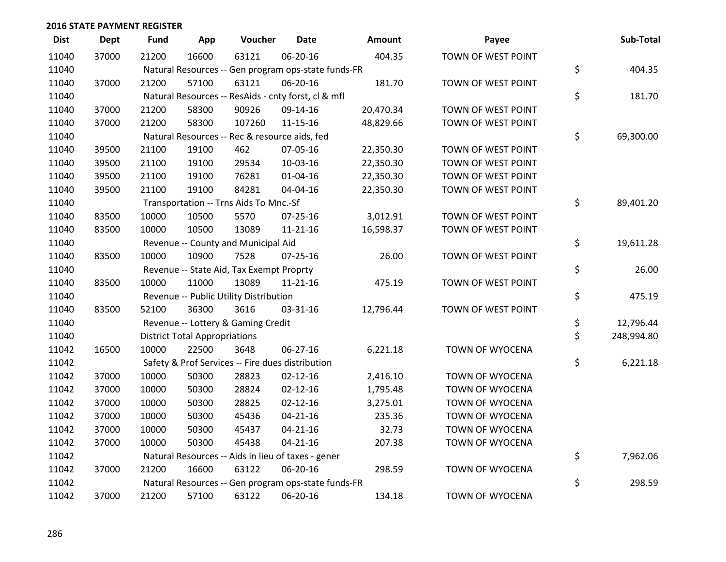| <b>Dist</b> | <b>Dept</b> | <b>Fund</b> | App                                  | Voucher                                             | <b>Date</b>    | Amount    | Payee                  | Sub-Total        |
|-------------|-------------|-------------|--------------------------------------|-----------------------------------------------------|----------------|-----------|------------------------|------------------|
| 11040       | 37000       | 21200       | 16600                                | 63121                                               | 06-20-16       | 404.35    | TOWN OF WEST POINT     |                  |
| 11040       |             |             |                                      | Natural Resources -- Gen program ops-state funds-FR |                |           |                        | \$<br>404.35     |
| 11040       | 37000       | 21200       | 57100                                | 63121                                               | 06-20-16       | 181.70    | TOWN OF WEST POINT     |                  |
| 11040       |             |             |                                      | Natural Resources -- ResAids - cnty forst, cl & mfl |                |           |                        | \$<br>181.70     |
| 11040       | 37000       | 21200       | 58300                                | 90926                                               | 09-14-16       | 20,470.34 | TOWN OF WEST POINT     |                  |
| 11040       | 37000       | 21200       | 58300                                | 107260                                              | $11 - 15 - 16$ | 48,829.66 | TOWN OF WEST POINT     |                  |
| 11040       |             |             |                                      | Natural Resources -- Rec & resource aids, fed       |                |           |                        | \$<br>69,300.00  |
| 11040       | 39500       | 21100       | 19100                                | 462                                                 | 07-05-16       | 22,350.30 | TOWN OF WEST POINT     |                  |
| 11040       | 39500       | 21100       | 19100                                | 29534                                               | 10-03-16       | 22,350.30 | TOWN OF WEST POINT     |                  |
| 11040       | 39500       | 21100       | 19100                                | 76281                                               | $01 - 04 - 16$ | 22,350.30 | TOWN OF WEST POINT     |                  |
| 11040       | 39500       | 21100       | 19100                                | 84281                                               | 04-04-16       | 22,350.30 | TOWN OF WEST POINT     |                  |
| 11040       |             |             |                                      | Transportation -- Trns Aids To Mnc.-Sf              |                |           |                        | \$<br>89,401.20  |
| 11040       | 83500       | 10000       | 10500                                | 5570                                                | 07-25-16       | 3,012.91  | TOWN OF WEST POINT     |                  |
| 11040       | 83500       | 10000       | 10500                                | 13089                                               | $11 - 21 - 16$ | 16,598.37 | TOWN OF WEST POINT     |                  |
| 11040       |             |             |                                      | Revenue -- County and Municipal Aid                 |                |           |                        | \$<br>19,611.28  |
| 11040       | 83500       | 10000       | 10900                                | 7528                                                | $07 - 25 - 16$ | 26.00     | TOWN OF WEST POINT     |                  |
| 11040       |             |             |                                      | Revenue -- State Aid, Tax Exempt Proprty            |                |           |                        | \$<br>26.00      |
| 11040       | 83500       | 10000       | 11000                                | 13089                                               | $11 - 21 - 16$ | 475.19    | TOWN OF WEST POINT     |                  |
| 11040       |             |             |                                      | Revenue -- Public Utility Distribution              |                |           |                        | \$<br>475.19     |
| 11040       | 83500       | 52100       | 36300                                | 3616                                                | 03-31-16       | 12,796.44 | TOWN OF WEST POINT     |                  |
| 11040       |             |             |                                      | Revenue -- Lottery & Gaming Credit                  |                |           |                        | \$<br>12,796.44  |
| 11040       |             |             | <b>District Total Appropriations</b> |                                                     |                |           |                        | \$<br>248,994.80 |
| 11042       | 16500       | 10000       | 22500                                | 3648                                                | 06-27-16       | 6,221.18  | TOWN OF WYOCENA        |                  |
| 11042       |             |             |                                      | Safety & Prof Services -- Fire dues distribution    |                |           |                        | \$<br>6,221.18   |
| 11042       | 37000       | 10000       | 50300                                | 28823                                               | $02 - 12 - 16$ | 2,416.10  | TOWN OF WYOCENA        |                  |
| 11042       | 37000       | 10000       | 50300                                | 28824                                               | $02 - 12 - 16$ | 1,795.48  | TOWN OF WYOCENA        |                  |
| 11042       | 37000       | 10000       | 50300                                | 28825                                               | $02 - 12 - 16$ | 3,275.01  | TOWN OF WYOCENA        |                  |
| 11042       | 37000       | 10000       | 50300                                | 45436                                               | $04 - 21 - 16$ | 235.36    | TOWN OF WYOCENA        |                  |
| 11042       | 37000       | 10000       | 50300                                | 45437                                               | $04 - 21 - 16$ | 32.73     | TOWN OF WYOCENA        |                  |
| 11042       | 37000       | 10000       | 50300                                | 45438                                               | $04 - 21 - 16$ | 207.38    | <b>TOWN OF WYOCENA</b> |                  |
| 11042       |             |             |                                      | Natural Resources -- Aids in lieu of taxes - gener  |                |           |                        | \$<br>7,962.06   |
| 11042       | 37000       | 21200       | 16600                                | 63122                                               | 06-20-16       | 298.59    | TOWN OF WYOCENA        |                  |
| 11042       |             |             |                                      | Natural Resources -- Gen program ops-state funds-FR |                |           |                        | \$<br>298.59     |
| 11042       | 37000       | 21200       | 57100                                | 63122                                               | 06-20-16       | 134.18    | TOWN OF WYOCENA        |                  |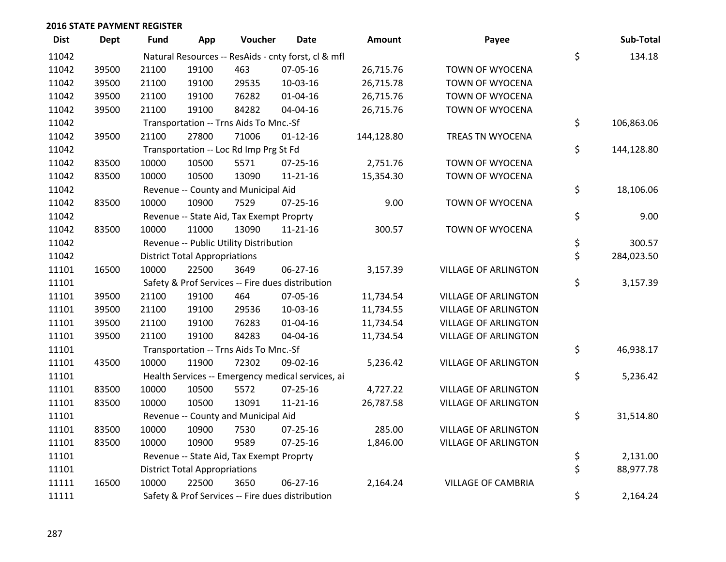| <b>Dist</b> | <b>Dept</b> | Fund  | App                                  | Voucher                                  | <b>Date</b>                                         | <b>Amount</b> | Payee                       | Sub-Total        |
|-------------|-------------|-------|--------------------------------------|------------------------------------------|-----------------------------------------------------|---------------|-----------------------------|------------------|
| 11042       |             |       |                                      |                                          | Natural Resources -- ResAids - cnty forst, cl & mfl |               |                             | \$<br>134.18     |
| 11042       | 39500       | 21100 | 19100                                | 463                                      | 07-05-16                                            | 26,715.76     | TOWN OF WYOCENA             |                  |
| 11042       | 39500       | 21100 | 19100                                | 29535                                    | 10-03-16                                            | 26,715.78     | TOWN OF WYOCENA             |                  |
| 11042       | 39500       | 21100 | 19100                                | 76282                                    | 01-04-16                                            | 26,715.76     | TOWN OF WYOCENA             |                  |
| 11042       | 39500       | 21100 | 19100                                | 84282                                    | 04-04-16                                            | 26,715.76     | <b>TOWN OF WYOCENA</b>      |                  |
| 11042       |             |       |                                      | Transportation -- Trns Aids To Mnc.-Sf   |                                                     |               |                             | \$<br>106,863.06 |
| 11042       | 39500       | 21100 | 27800                                | 71006                                    | $01 - 12 - 16$                                      | 144,128.80    | TREAS TN WYOCENA            |                  |
| 11042       |             |       |                                      | Transportation -- Loc Rd Imp Prg St Fd   |                                                     |               |                             | \$<br>144,128.80 |
| 11042       | 83500       | 10000 | 10500                                | 5571                                     | $07 - 25 - 16$                                      | 2,751.76      | TOWN OF WYOCENA             |                  |
| 11042       | 83500       | 10000 | 10500                                | 13090                                    | $11 - 21 - 16$                                      | 15,354.30     | TOWN OF WYOCENA             |                  |
| 11042       |             |       |                                      | Revenue -- County and Municipal Aid      |                                                     |               |                             | \$<br>18,106.06  |
| 11042       | 83500       | 10000 | 10900                                | 7529                                     | $07 - 25 - 16$                                      | 9.00          | TOWN OF WYOCENA             |                  |
| 11042       |             |       |                                      | Revenue -- State Aid, Tax Exempt Proprty |                                                     |               |                             | \$<br>9.00       |
| 11042       | 83500       | 10000 | 11000                                | 13090                                    | $11 - 21 - 16$                                      | 300.57        | TOWN OF WYOCENA             |                  |
| 11042       |             |       |                                      | Revenue -- Public Utility Distribution   |                                                     |               |                             | \$<br>300.57     |
| 11042       |             |       | <b>District Total Appropriations</b> |                                          |                                                     |               |                             | \$<br>284,023.50 |
| 11101       | 16500       | 10000 | 22500                                | 3649                                     | 06-27-16                                            | 3,157.39      | <b>VILLAGE OF ARLINGTON</b> |                  |
| 11101       |             |       |                                      |                                          | Safety & Prof Services -- Fire dues distribution    |               |                             | \$<br>3,157.39   |
| 11101       | 39500       | 21100 | 19100                                | 464                                      | 07-05-16                                            | 11,734.54     | <b>VILLAGE OF ARLINGTON</b> |                  |
| 11101       | 39500       | 21100 | 19100                                | 29536                                    | 10-03-16                                            | 11,734.55     | <b>VILLAGE OF ARLINGTON</b> |                  |
| 11101       | 39500       | 21100 | 19100                                | 76283                                    | 01-04-16                                            | 11,734.54     | <b>VILLAGE OF ARLINGTON</b> |                  |
| 11101       | 39500       | 21100 | 19100                                | 84283                                    | 04-04-16                                            | 11,734.54     | <b>VILLAGE OF ARLINGTON</b> |                  |
| 11101       |             |       |                                      | Transportation -- Trns Aids To Mnc.-Sf   |                                                     |               |                             | \$<br>46,938.17  |
| 11101       | 43500       | 10000 | 11900                                | 72302                                    | 09-02-16                                            | 5,236.42      | <b>VILLAGE OF ARLINGTON</b> |                  |
| 11101       |             |       |                                      |                                          | Health Services -- Emergency medical services, ai   |               |                             | \$<br>5,236.42   |
| 11101       | 83500       | 10000 | 10500                                | 5572                                     | 07-25-16                                            | 4,727.22      | <b>VILLAGE OF ARLINGTON</b> |                  |
| 11101       | 83500       | 10000 | 10500                                | 13091                                    | 11-21-16                                            | 26,787.58     | <b>VILLAGE OF ARLINGTON</b> |                  |
| 11101       |             |       |                                      | Revenue -- County and Municipal Aid      |                                                     |               |                             | \$<br>31,514.80  |
| 11101       | 83500       | 10000 | 10900                                | 7530                                     | $07 - 25 - 16$                                      | 285.00        | <b>VILLAGE OF ARLINGTON</b> |                  |
| 11101       | 83500       | 10000 | 10900                                | 9589                                     | $07 - 25 - 16$                                      | 1,846.00      | <b>VILLAGE OF ARLINGTON</b> |                  |
| 11101       |             |       |                                      | Revenue -- State Aid, Tax Exempt Proprty |                                                     |               |                             | \$<br>2,131.00   |
| 11101       |             |       | <b>District Total Appropriations</b> |                                          |                                                     |               |                             | \$<br>88,977.78  |
| 11111       | 16500       | 10000 | 22500                                | 3650                                     | 06-27-16                                            | 2,164.24      | <b>VILLAGE OF CAMBRIA</b>   |                  |
| 11111       |             |       |                                      |                                          | Safety & Prof Services -- Fire dues distribution    |               |                             | \$<br>2,164.24   |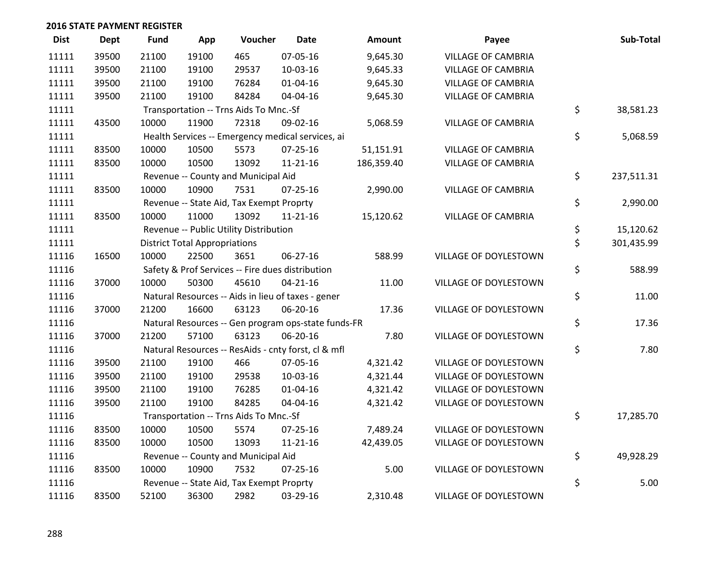| <b>Dist</b> | <b>Dept</b> | <b>Fund</b> | App                                  | Voucher                                             | <b>Date</b>    | Amount     | Payee                     | Sub-Total        |
|-------------|-------------|-------------|--------------------------------------|-----------------------------------------------------|----------------|------------|---------------------------|------------------|
| 11111       | 39500       | 21100       | 19100                                | 465                                                 | 07-05-16       | 9,645.30   | <b>VILLAGE OF CAMBRIA</b> |                  |
| 11111       | 39500       | 21100       | 19100                                | 29537                                               | 10-03-16       | 9,645.33   | <b>VILLAGE OF CAMBRIA</b> |                  |
| 11111       | 39500       | 21100       | 19100                                | 76284                                               | 01-04-16       | 9,645.30   | <b>VILLAGE OF CAMBRIA</b> |                  |
| 11111       | 39500       | 21100       | 19100                                | 84284                                               | 04-04-16       | 9,645.30   | <b>VILLAGE OF CAMBRIA</b> |                  |
| 11111       |             |             |                                      | Transportation -- Trns Aids To Mnc.-Sf              |                |            |                           | \$<br>38,581.23  |
| 11111       | 43500       | 10000       | 11900                                | 72318                                               | 09-02-16       | 5,068.59   | <b>VILLAGE OF CAMBRIA</b> |                  |
| 11111       |             |             |                                      | Health Services -- Emergency medical services, ai   |                |            |                           | \$<br>5,068.59   |
| 11111       | 83500       | 10000       | 10500                                | 5573                                                | 07-25-16       | 51,151.91  | <b>VILLAGE OF CAMBRIA</b> |                  |
| 11111       | 83500       | 10000       | 10500                                | 13092                                               | $11 - 21 - 16$ | 186,359.40 | <b>VILLAGE OF CAMBRIA</b> |                  |
| 11111       |             |             |                                      | Revenue -- County and Municipal Aid                 |                |            |                           | \$<br>237,511.31 |
| 11111       | 83500       | 10000       | 10900                                | 7531                                                | $07 - 25 - 16$ | 2,990.00   | <b>VILLAGE OF CAMBRIA</b> |                  |
| 11111       |             |             |                                      | Revenue -- State Aid, Tax Exempt Proprty            |                |            |                           | \$<br>2,990.00   |
| 11111       | 83500       | 10000       | 11000                                | 13092                                               | $11 - 21 - 16$ | 15,120.62  | <b>VILLAGE OF CAMBRIA</b> |                  |
| 11111       |             |             |                                      | Revenue -- Public Utility Distribution              |                |            |                           | \$<br>15,120.62  |
| 11111       |             |             | <b>District Total Appropriations</b> |                                                     |                |            |                           | \$<br>301,435.99 |
| 11116       | 16500       | 10000       | 22500                                | 3651                                                | $06 - 27 - 16$ | 588.99     | VILLAGE OF DOYLESTOWN     |                  |
| 11116       |             |             |                                      | Safety & Prof Services -- Fire dues distribution    |                |            |                           | \$<br>588.99     |
| 11116       | 37000       | 10000       | 50300                                | 45610                                               | $04 - 21 - 16$ | 11.00      | VILLAGE OF DOYLESTOWN     |                  |
| 11116       |             |             |                                      | Natural Resources -- Aids in lieu of taxes - gener  |                |            |                           | \$<br>11.00      |
| 11116       | 37000       | 21200       | 16600                                | 63123                                               | 06-20-16       | 17.36      | VILLAGE OF DOYLESTOWN     |                  |
| 11116       |             |             |                                      | Natural Resources -- Gen program ops-state funds-FR |                |            |                           | \$<br>17.36      |
| 11116       | 37000       | 21200       | 57100                                | 63123                                               | 06-20-16       | 7.80       | VILLAGE OF DOYLESTOWN     |                  |
| 11116       |             |             |                                      | Natural Resources -- ResAids - cnty forst, cl & mfl |                |            |                           | \$<br>7.80       |
| 11116       | 39500       | 21100       | 19100                                | 466                                                 | 07-05-16       | 4,321.42   | VILLAGE OF DOYLESTOWN     |                  |
| 11116       | 39500       | 21100       | 19100                                | 29538                                               | 10-03-16       | 4,321.44   | VILLAGE OF DOYLESTOWN     |                  |
| 11116       | 39500       | 21100       | 19100                                | 76285                                               | 01-04-16       | 4,321.42   | VILLAGE OF DOYLESTOWN     |                  |
| 11116       | 39500       | 21100       | 19100                                | 84285                                               | 04-04-16       | 4,321.42   | VILLAGE OF DOYLESTOWN     |                  |
| 11116       |             |             |                                      | Transportation -- Trns Aids To Mnc.-Sf              |                |            |                           | \$<br>17,285.70  |
| 11116       | 83500       | 10000       | 10500                                | 5574                                                | $07 - 25 - 16$ | 7,489.24   | VILLAGE OF DOYLESTOWN     |                  |
| 11116       | 83500       | 10000       | 10500                                | 13093                                               | $11 - 21 - 16$ | 42,439.05  | VILLAGE OF DOYLESTOWN     |                  |
| 11116       |             |             |                                      | Revenue -- County and Municipal Aid                 |                |            |                           | \$<br>49,928.29  |
| 11116       | 83500       | 10000       | 10900                                | 7532                                                | $07 - 25 - 16$ | 5.00       | VILLAGE OF DOYLESTOWN     |                  |
| 11116       |             |             |                                      | Revenue -- State Aid, Tax Exempt Proprty            |                |            |                           | \$<br>5.00       |
| 11116       | 83500       | 52100       | 36300                                | 2982                                                | 03-29-16       | 2,310.48   | VILLAGE OF DOYLESTOWN     |                  |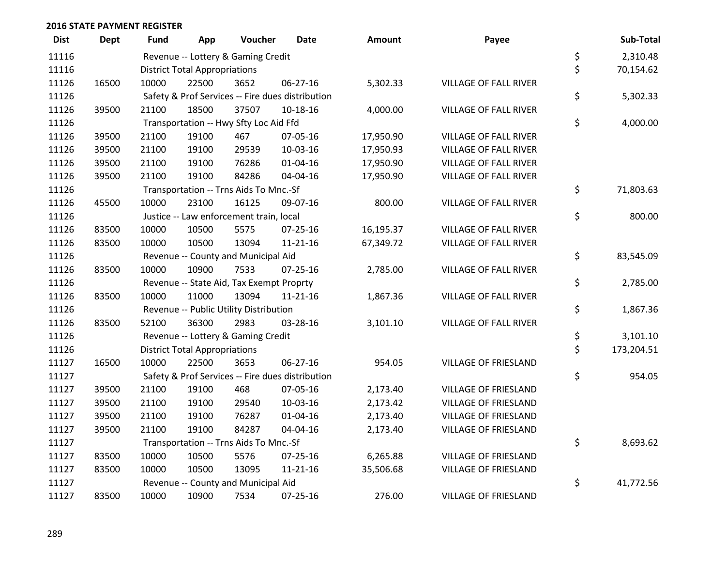| <b>Dist</b> | <b>Dept</b> | Fund  | App                                    | Voucher                                  | <b>Date</b>                                      | <b>Amount</b> | Payee                        | Sub-Total        |
|-------------|-------------|-------|----------------------------------------|------------------------------------------|--------------------------------------------------|---------------|------------------------------|------------------|
| 11116       |             |       |                                        | Revenue -- Lottery & Gaming Credit       |                                                  |               |                              | \$<br>2,310.48   |
| 11116       |             |       | <b>District Total Appropriations</b>   |                                          |                                                  |               |                              | \$<br>70,154.62  |
| 11126       | 16500       | 10000 | 22500                                  | 3652                                     | 06-27-16                                         | 5,302.33      | <b>VILLAGE OF FALL RIVER</b> |                  |
| 11126       |             |       |                                        |                                          | Safety & Prof Services -- Fire dues distribution |               |                              | \$<br>5,302.33   |
| 11126       | 39500       | 21100 | 18500                                  | 37507                                    | 10-18-16                                         | 4,000.00      | VILLAGE OF FALL RIVER        |                  |
| 11126       |             |       |                                        | Transportation -- Hwy Sfty Loc Aid Ffd   |                                                  |               |                              | \$<br>4,000.00   |
| 11126       | 39500       | 21100 | 19100                                  | 467                                      | 07-05-16                                         | 17,950.90     | <b>VILLAGE OF FALL RIVER</b> |                  |
| 11126       | 39500       | 21100 | 19100                                  | 29539                                    | 10-03-16                                         | 17,950.93     | <b>VILLAGE OF FALL RIVER</b> |                  |
| 11126       | 39500       | 21100 | 19100                                  | 76286                                    | $01 - 04 - 16$                                   | 17,950.90     | VILLAGE OF FALL RIVER        |                  |
| 11126       | 39500       | 21100 | 19100                                  | 84286                                    | 04-04-16                                         | 17,950.90     | VILLAGE OF FALL RIVER        |                  |
| 11126       |             |       | Transportation -- Trns Aids To Mnc.-Sf | \$<br>71,803.63                          |                                                  |               |                              |                  |
| 11126       | 45500       | 10000 | 23100                                  | 16125                                    | 09-07-16                                         | 800.00        | <b>VILLAGE OF FALL RIVER</b> |                  |
| 11126       |             |       |                                        | Justice -- Law enforcement train, local  |                                                  |               |                              | \$<br>800.00     |
| 11126       | 83500       | 10000 | 10500                                  | 5575                                     | 07-25-16                                         | 16,195.37     | VILLAGE OF FALL RIVER        |                  |
| 11126       | 83500       | 10000 | 10500                                  | 13094                                    | $11 - 21 - 16$                                   | 67,349.72     | VILLAGE OF FALL RIVER        |                  |
| 11126       |             |       |                                        | Revenue -- County and Municipal Aid      |                                                  |               |                              | \$<br>83,545.09  |
| 11126       | 83500       | 10000 | 10900                                  | 7533                                     | $07 - 25 - 16$                                   | 2,785.00      | VILLAGE OF FALL RIVER        |                  |
| 11126       |             |       |                                        | Revenue -- State Aid, Tax Exempt Proprty |                                                  |               |                              | \$<br>2,785.00   |
| 11126       | 83500       | 10000 | 11000                                  | 13094                                    | $11 - 21 - 16$                                   | 1,867.36      | VILLAGE OF FALL RIVER        |                  |
| 11126       |             |       |                                        | Revenue -- Public Utility Distribution   |                                                  |               |                              | \$<br>1,867.36   |
| 11126       | 83500       | 52100 | 36300                                  | 2983                                     | 03-28-16                                         | 3,101.10      | VILLAGE OF FALL RIVER        |                  |
| 11126       |             |       |                                        | Revenue -- Lottery & Gaming Credit       |                                                  |               |                              | \$<br>3,101.10   |
| 11126       |             |       | <b>District Total Appropriations</b>   |                                          |                                                  |               |                              | \$<br>173,204.51 |
| 11127       | 16500       | 10000 | 22500                                  | 3653                                     | 06-27-16                                         | 954.05        | <b>VILLAGE OF FRIESLAND</b>  |                  |
| 11127       |             |       |                                        |                                          | Safety & Prof Services -- Fire dues distribution |               |                              | \$<br>954.05     |
| 11127       | 39500       | 21100 | 19100                                  | 468                                      | 07-05-16                                         | 2,173.40      | <b>VILLAGE OF FRIESLAND</b>  |                  |
| 11127       | 39500       | 21100 | 19100                                  | 29540                                    | 10-03-16                                         | 2,173.42      | <b>VILLAGE OF FRIESLAND</b>  |                  |
| 11127       | 39500       | 21100 | 19100                                  | 76287                                    | $01 - 04 - 16$                                   | 2,173.40      | <b>VILLAGE OF FRIESLAND</b>  |                  |
| 11127       | 39500       | 21100 | 19100                                  | 84287                                    | 04-04-16                                         | 2,173.40      | <b>VILLAGE OF FRIESLAND</b>  |                  |
| 11127       |             |       |                                        | Transportation -- Trns Aids To Mnc.-Sf   |                                                  |               |                              | \$<br>8,693.62   |
| 11127       | 83500       | 10000 | 10500                                  | 5576                                     | $07 - 25 - 16$                                   | 6,265.88      | <b>VILLAGE OF FRIESLAND</b>  |                  |
| 11127       | 83500       | 10000 | 10500                                  | 13095                                    | $11 - 21 - 16$                                   | 35,506.68     | <b>VILLAGE OF FRIESLAND</b>  |                  |
| 11127       |             |       |                                        | Revenue -- County and Municipal Aid      |                                                  |               |                              | \$<br>41,772.56  |
| 11127       | 83500       | 10000 | 10900                                  | 7534                                     | 07-25-16                                         | 276.00        | VILLAGE OF FRIESLAND         |                  |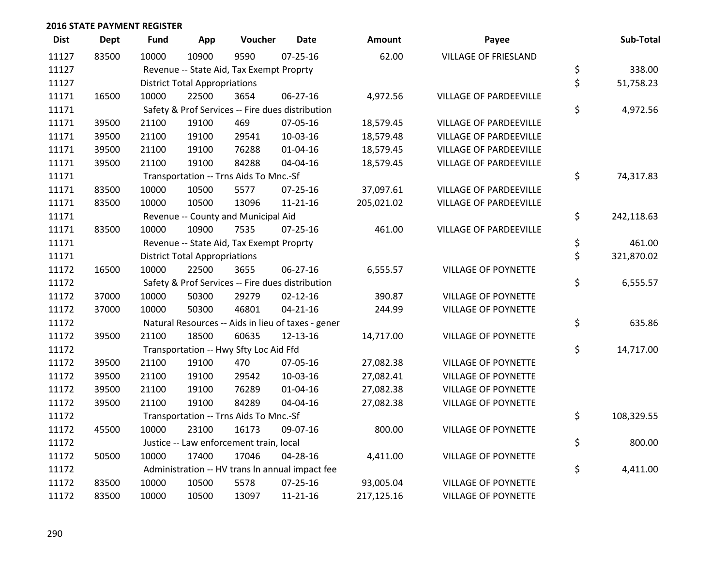| <b>Dist</b> | <b>Dept</b> | Fund  | App                                  | Voucher                                  | <b>Date</b>                                        | Amount     | Payee                         | Sub-Total        |
|-------------|-------------|-------|--------------------------------------|------------------------------------------|----------------------------------------------------|------------|-------------------------------|------------------|
| 11127       | 83500       | 10000 | 10900                                | 9590                                     | $07 - 25 - 16$                                     | 62.00      | <b>VILLAGE OF FRIESLAND</b>   |                  |
| 11127       |             |       |                                      | Revenue -- State Aid, Tax Exempt Proprty |                                                    |            |                               | \$<br>338.00     |
| 11127       |             |       | <b>District Total Appropriations</b> |                                          |                                                    |            |                               | \$<br>51,758.23  |
| 11171       | 16500       | 10000 | 22500                                | 3654                                     | 06-27-16                                           | 4,972.56   | VILLAGE OF PARDEEVILLE        |                  |
| 11171       |             |       |                                      |                                          | Safety & Prof Services -- Fire dues distribution   |            |                               | \$<br>4,972.56   |
| 11171       | 39500       | 21100 | 19100                                | 469                                      | 07-05-16                                           | 18,579.45  | <b>VILLAGE OF PARDEEVILLE</b> |                  |
| 11171       | 39500       | 21100 | 19100                                | 29541                                    | 10-03-16                                           | 18,579.48  | <b>VILLAGE OF PARDEEVILLE</b> |                  |
| 11171       | 39500       | 21100 | 19100                                | 76288                                    | $01 - 04 - 16$                                     | 18,579.45  | <b>VILLAGE OF PARDEEVILLE</b> |                  |
| 11171       | 39500       | 21100 | 19100                                | 84288                                    | 04-04-16                                           | 18,579.45  | VILLAGE OF PARDEEVILLE        |                  |
| 11171       |             |       |                                      | Transportation -- Trns Aids To Mnc.-Sf   |                                                    |            |                               | \$<br>74,317.83  |
| 11171       | 83500       | 10000 | 10500                                | 5577                                     | $07 - 25 - 16$                                     | 37,097.61  | <b>VILLAGE OF PARDEEVILLE</b> |                  |
| 11171       | 83500       | 10000 | 10500                                | 13096                                    | $11 - 21 - 16$                                     | 205,021.02 | <b>VILLAGE OF PARDEEVILLE</b> |                  |
| 11171       |             |       |                                      | Revenue -- County and Municipal Aid      |                                                    |            |                               | \$<br>242,118.63 |
| 11171       | 83500       | 10000 | 10900                                | 7535                                     | $07 - 25 - 16$                                     | 461.00     | VILLAGE OF PARDEEVILLE        |                  |
| 11171       |             |       |                                      | Revenue -- State Aid, Tax Exempt Proprty |                                                    |            |                               | \$<br>461.00     |
| 11171       |             |       | <b>District Total Appropriations</b> |                                          |                                                    |            |                               | \$<br>321,870.02 |
| 11172       | 16500       | 10000 | 22500                                | 3655                                     | 06-27-16                                           | 6,555.57   | VILLAGE OF POYNETTE           |                  |
| 11172       |             |       |                                      |                                          | Safety & Prof Services -- Fire dues distribution   |            |                               | \$<br>6,555.57   |
| 11172       | 37000       | 10000 | 50300                                | 29279                                    | $02 - 12 - 16$                                     | 390.87     | VILLAGE OF POYNETTE           |                  |
| 11172       | 37000       | 10000 | 50300                                | 46801                                    | $04 - 21 - 16$                                     | 244.99     | VILLAGE OF POYNETTE           |                  |
| 11172       |             |       |                                      |                                          | Natural Resources -- Aids in lieu of taxes - gener |            |                               | \$<br>635.86     |
| 11172       | 39500       | 21100 | 18500                                | 60635                                    | 12-13-16                                           | 14,717.00  | VILLAGE OF POYNETTE           |                  |
| 11172       |             |       |                                      | Transportation -- Hwy Sfty Loc Aid Ffd   |                                                    |            |                               | \$<br>14,717.00  |
| 11172       | 39500       | 21100 | 19100                                | 470                                      | 07-05-16                                           | 27,082.38  | <b>VILLAGE OF POYNETTE</b>    |                  |
| 11172       | 39500       | 21100 | 19100                                | 29542                                    | 10-03-16                                           | 27,082.41  | <b>VILLAGE OF POYNETTE</b>    |                  |
| 11172       | 39500       | 21100 | 19100                                | 76289                                    | $01 - 04 - 16$                                     | 27,082.38  | <b>VILLAGE OF POYNETTE</b>    |                  |
| 11172       | 39500       | 21100 | 19100                                | 84289                                    | 04-04-16                                           | 27,082.38  | <b>VILLAGE OF POYNETTE</b>    |                  |
| 11172       |             |       |                                      | Transportation -- Trns Aids To Mnc.-Sf   |                                                    |            |                               | \$<br>108,329.55 |
| 11172       | 45500       | 10000 | 23100                                | 16173                                    | 09-07-16                                           | 800.00     | VILLAGE OF POYNETTE           |                  |
| 11172       |             |       |                                      | Justice -- Law enforcement train, local  |                                                    |            |                               | \$<br>800.00     |
| 11172       | 50500       | 10000 | 17400                                | 17046                                    | 04-28-16                                           | 4,411.00   | <b>VILLAGE OF POYNETTE</b>    |                  |
| 11172       |             |       |                                      |                                          | Administration -- HV trans In annual impact fee    |            |                               | \$<br>4,411.00   |
| 11172       | 83500       | 10000 | 10500                                | 5578                                     | 07-25-16                                           | 93,005.04  | VILLAGE OF POYNETTE           |                  |
| 11172       | 83500       | 10000 | 10500                                | 13097                                    | 11-21-16                                           | 217,125.16 | <b>VILLAGE OF POYNETTE</b>    |                  |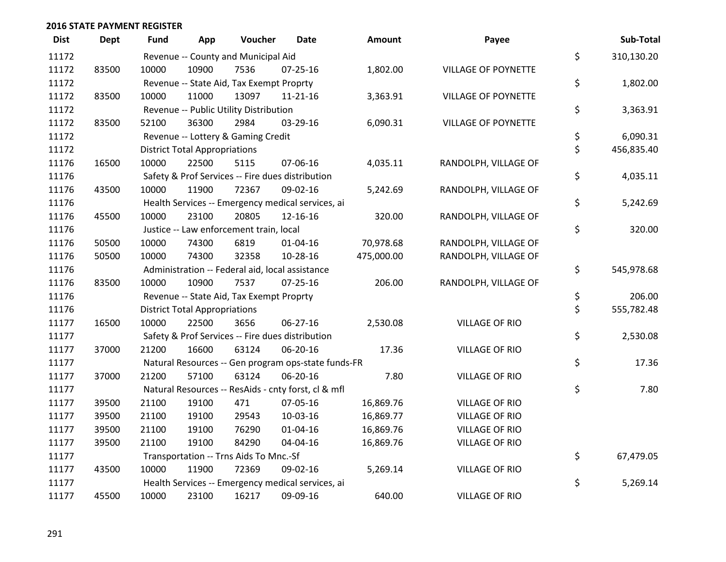| <b>Dist</b> | <b>Dept</b> | Fund  | App                                  | Voucher                                         | Date                                                | <b>Amount</b> | Payee                      | Sub-Total        |
|-------------|-------------|-------|--------------------------------------|-------------------------------------------------|-----------------------------------------------------|---------------|----------------------------|------------------|
| 11172       |             |       |                                      | Revenue -- County and Municipal Aid             |                                                     |               |                            | \$<br>310,130.20 |
| 11172       | 83500       | 10000 | 10900                                | 7536                                            | 07-25-16                                            | 1,802.00      | <b>VILLAGE OF POYNETTE</b> |                  |
| 11172       |             |       |                                      | Revenue -- State Aid, Tax Exempt Proprty        |                                                     |               |                            | \$<br>1,802.00   |
| 11172       | 83500       | 10000 | 11000                                | 13097                                           | $11 - 21 - 16$                                      | 3,363.91      | <b>VILLAGE OF POYNETTE</b> |                  |
| 11172       |             |       |                                      | Revenue -- Public Utility Distribution          |                                                     |               |                            | \$<br>3,363.91   |
| 11172       | 83500       | 52100 | 36300                                | 2984                                            | 03-29-16                                            | 6,090.31      | <b>VILLAGE OF POYNETTE</b> |                  |
| 11172       |             |       |                                      | Revenue -- Lottery & Gaming Credit              |                                                     |               |                            | \$<br>6,090.31   |
| 11172       |             |       | <b>District Total Appropriations</b> |                                                 |                                                     |               |                            | \$<br>456,835.40 |
| 11176       | 16500       | 10000 | 22500                                | 5115                                            | 07-06-16                                            | 4,035.11      | RANDOLPH, VILLAGE OF       |                  |
| 11176       |             |       |                                      |                                                 | Safety & Prof Services -- Fire dues distribution    |               |                            | \$<br>4,035.11   |
| 11176       | 43500       | 10000 | 11900                                | 72367                                           | 09-02-16                                            | 5,242.69      | RANDOLPH, VILLAGE OF       |                  |
| 11176       |             |       |                                      |                                                 | Health Services -- Emergency medical services, ai   |               |                            | \$<br>5,242.69   |
| 11176       | 45500       | 10000 | 23100                                | 20805                                           | 12-16-16                                            | 320.00        | RANDOLPH, VILLAGE OF       |                  |
| 11176       |             |       |                                      | Justice -- Law enforcement train, local         |                                                     |               |                            | \$<br>320.00     |
| 11176       | 50500       | 10000 | 74300                                | 6819                                            | $01 - 04 - 16$                                      | 70,978.68     | RANDOLPH, VILLAGE OF       |                  |
| 11176       | 50500       | 10000 | 74300                                | 32358                                           | 10-28-16                                            | 475,000.00    | RANDOLPH, VILLAGE OF       |                  |
| 11176       |             |       |                                      | Administration -- Federal aid, local assistance |                                                     |               |                            | \$<br>545,978.68 |
| 11176       | 83500       | 10000 | 10900                                | 7537                                            | $07 - 25 - 16$                                      | 206.00        | RANDOLPH, VILLAGE OF       |                  |
| 11176       |             |       |                                      | Revenue -- State Aid, Tax Exempt Proprty        |                                                     |               |                            | \$<br>206.00     |
| 11176       |             |       | <b>District Total Appropriations</b> |                                                 |                                                     |               |                            | \$<br>555,782.48 |
| 11177       | 16500       | 10000 | 22500                                | 3656                                            | 06-27-16                                            | 2,530.08      | <b>VILLAGE OF RIO</b>      |                  |
| 11177       |             |       |                                      |                                                 | Safety & Prof Services -- Fire dues distribution    |               |                            | \$<br>2,530.08   |
| 11177       | 37000       | 21200 | 16600                                | 63124                                           | 06-20-16                                            | 17.36         | <b>VILLAGE OF RIO</b>      |                  |
| 11177       |             |       |                                      |                                                 | Natural Resources -- Gen program ops-state funds-FR |               |                            | \$<br>17.36      |
| 11177       | 37000       | 21200 | 57100                                | 63124                                           | 06-20-16                                            | 7.80          | <b>VILLAGE OF RIO</b>      |                  |
| 11177       |             |       |                                      |                                                 | Natural Resources -- ResAids - cnty forst, cl & mfl |               |                            | \$<br>7.80       |
| 11177       | 39500       | 21100 | 19100                                | 471                                             | 07-05-16                                            | 16,869.76     | <b>VILLAGE OF RIO</b>      |                  |
| 11177       | 39500       | 21100 | 19100                                | 29543                                           | 10-03-16                                            | 16,869.77     | <b>VILLAGE OF RIO</b>      |                  |
| 11177       | 39500       | 21100 | 19100                                | 76290                                           | $01 - 04 - 16$                                      | 16,869.76     | <b>VILLAGE OF RIO</b>      |                  |
| 11177       | 39500       | 21100 | 19100                                | 84290                                           | 04-04-16                                            | 16,869.76     | <b>VILLAGE OF RIO</b>      |                  |
| 11177       |             |       |                                      | Transportation -- Trns Aids To Mnc.-Sf          |                                                     |               |                            | \$<br>67,479.05  |
| 11177       | 43500       | 10000 | 11900                                | 72369                                           | 09-02-16                                            | 5,269.14      | <b>VILLAGE OF RIO</b>      |                  |
| 11177       |             |       |                                      |                                                 | Health Services -- Emergency medical services, ai   |               |                            | \$<br>5,269.14   |
| 11177       | 45500       | 10000 | 23100                                | 16217                                           | 09-09-16                                            | 640.00        | <b>VILLAGE OF RIO</b>      |                  |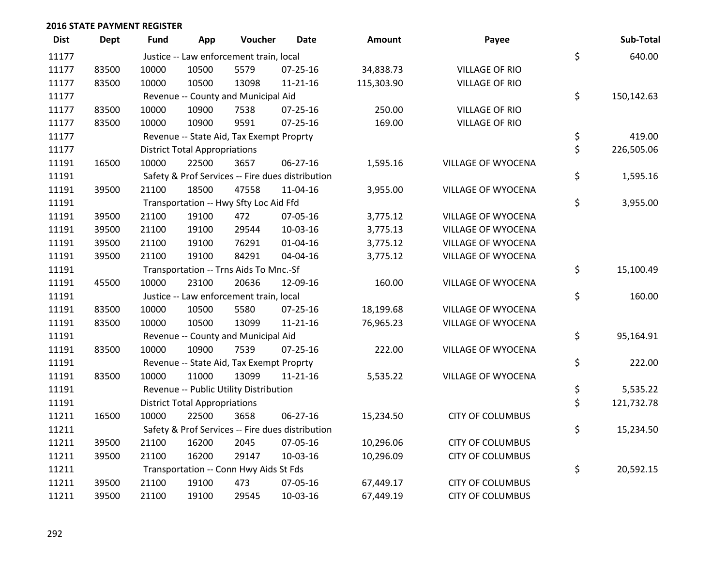| <b>Dist</b> | <b>Dept</b> | <b>Fund</b> | App                                  | Voucher                                  | <b>Date</b>                                      | <b>Amount</b> | Payee                     | Sub-Total        |
|-------------|-------------|-------------|--------------------------------------|------------------------------------------|--------------------------------------------------|---------------|---------------------------|------------------|
| 11177       |             |             |                                      | Justice -- Law enforcement train, local  |                                                  |               |                           | \$<br>640.00     |
| 11177       | 83500       | 10000       | 10500                                | 5579                                     | 07-25-16                                         | 34,838.73     | <b>VILLAGE OF RIO</b>     |                  |
| 11177       | 83500       | 10000       | 10500                                | 13098                                    | $11 - 21 - 16$                                   | 115,303.90    | <b>VILLAGE OF RIO</b>     |                  |
| 11177       |             |             |                                      | Revenue -- County and Municipal Aid      |                                                  |               |                           | \$<br>150,142.63 |
| 11177       | 83500       | 10000       | 10900                                | 7538                                     | $07 - 25 - 16$                                   | 250.00        | <b>VILLAGE OF RIO</b>     |                  |
| 11177       | 83500       | 10000       | 10900                                | 9591                                     | $07 - 25 - 16$                                   | 169.00        | <b>VILLAGE OF RIO</b>     |                  |
| 11177       |             |             |                                      | Revenue -- State Aid, Tax Exempt Proprty |                                                  |               |                           | \$<br>419.00     |
| 11177       |             |             | <b>District Total Appropriations</b> |                                          |                                                  |               |                           | \$<br>226,505.06 |
| 11191       | 16500       | 10000       | 22500                                | 3657                                     | 06-27-16                                         | 1,595.16      | VILLAGE OF WYOCENA        |                  |
| 11191       |             |             |                                      |                                          | Safety & Prof Services -- Fire dues distribution |               |                           | \$<br>1,595.16   |
| 11191       | 39500       | 21100       | 18500                                | 47558                                    | 11-04-16                                         | 3,955.00      | VILLAGE OF WYOCENA        |                  |
| 11191       |             |             |                                      | Transportation -- Hwy Sfty Loc Aid Ffd   |                                                  |               |                           | \$<br>3,955.00   |
| 11191       | 39500       | 21100       | 19100                                | 472                                      | 07-05-16                                         | 3,775.12      | VILLAGE OF WYOCENA        |                  |
| 11191       | 39500       | 21100       | 19100                                | 29544                                    | 10-03-16                                         | 3,775.13      | <b>VILLAGE OF WYOCENA</b> |                  |
| 11191       | 39500       | 21100       | 19100                                | 76291                                    | $01 - 04 - 16$                                   | 3,775.12      | <b>VILLAGE OF WYOCENA</b> |                  |
| 11191       | 39500       | 21100       | 19100                                | 84291                                    | 04-04-16                                         | 3,775.12      | VILLAGE OF WYOCENA        |                  |
| 11191       |             |             |                                      | Transportation -- Trns Aids To Mnc.-Sf   |                                                  |               |                           | \$<br>15,100.49  |
| 11191       | 45500       | 10000       | 23100                                | 20636                                    | 12-09-16                                         | 160.00        | <b>VILLAGE OF WYOCENA</b> |                  |
| 11191       |             |             |                                      | Justice -- Law enforcement train, local  |                                                  |               |                           | \$<br>160.00     |
| 11191       | 83500       | 10000       | 10500                                | 5580                                     | 07-25-16                                         | 18,199.68     | <b>VILLAGE OF WYOCENA</b> |                  |
| 11191       | 83500       | 10000       | 10500                                | 13099                                    | $11 - 21 - 16$                                   | 76,965.23     | VILLAGE OF WYOCENA        |                  |
| 11191       |             |             |                                      | Revenue -- County and Municipal Aid      |                                                  |               |                           | \$<br>95,164.91  |
| 11191       | 83500       | 10000       | 10900                                | 7539                                     | 07-25-16                                         | 222.00        | VILLAGE OF WYOCENA        |                  |
| 11191       |             |             |                                      | Revenue -- State Aid, Tax Exempt Proprty |                                                  |               |                           | \$<br>222.00     |
| 11191       | 83500       | 10000       | 11000                                | 13099                                    | 11-21-16                                         | 5,535.22      | VILLAGE OF WYOCENA        |                  |
| 11191       |             |             |                                      | Revenue -- Public Utility Distribution   |                                                  |               |                           | \$<br>5,535.22   |
| 11191       |             |             | <b>District Total Appropriations</b> |                                          |                                                  |               |                           | \$<br>121,732.78 |
| 11211       | 16500       | 10000       | 22500                                | 3658                                     | 06-27-16                                         | 15,234.50     | <b>CITY OF COLUMBUS</b>   |                  |
| 11211       |             |             |                                      |                                          | Safety & Prof Services -- Fire dues distribution |               |                           | \$<br>15,234.50  |
| 11211       | 39500       | 21100       | 16200                                | 2045                                     | 07-05-16                                         | 10,296.06     | <b>CITY OF COLUMBUS</b>   |                  |
| 11211       | 39500       | 21100       | 16200                                | 29147                                    | 10-03-16                                         | 10,296.09     | <b>CITY OF COLUMBUS</b>   |                  |
| 11211       |             |             |                                      | Transportation -- Conn Hwy Aids St Fds   |                                                  |               |                           | \$<br>20,592.15  |
| 11211       | 39500       | 21100       | 19100                                | 473                                      | 07-05-16                                         | 67,449.17     | <b>CITY OF COLUMBUS</b>   |                  |
| 11211       | 39500       | 21100       | 19100                                | 29545                                    | 10-03-16                                         | 67,449.19     | <b>CITY OF COLUMBUS</b>   |                  |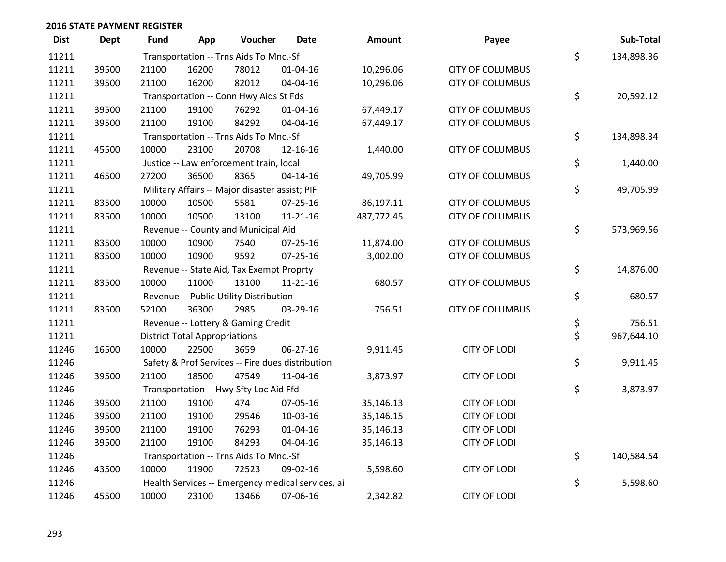| <b>Dist</b> | <b>Dept</b> | <b>Fund</b> | App                                            | Voucher                                  | <b>Date</b>                                       | <b>Amount</b> | Payee                   |    | Sub-Total  |
|-------------|-------------|-------------|------------------------------------------------|------------------------------------------|---------------------------------------------------|---------------|-------------------------|----|------------|
| 11211       |             |             |                                                | Transportation -- Trns Aids To Mnc.-Sf   |                                                   |               |                         | \$ | 134,898.36 |
| 11211       | 39500       | 21100       | 16200                                          | 78012                                    | $01 - 04 - 16$                                    | 10,296.06     | <b>CITY OF COLUMBUS</b> |    |            |
| 11211       | 39500       | 21100       | 16200                                          | 82012                                    | 04-04-16                                          | 10,296.06     | <b>CITY OF COLUMBUS</b> |    |            |
| 11211       |             |             |                                                | Transportation -- Conn Hwy Aids St Fds   |                                                   |               |                         | \$ | 20,592.12  |
| 11211       | 39500       | 21100       | 19100                                          | 76292                                    | $01 - 04 - 16$                                    | 67,449.17     | <b>CITY OF COLUMBUS</b> |    |            |
| 11211       | 39500       | 21100       | 19100                                          | 84292                                    | 04-04-16                                          | 67,449.17     | <b>CITY OF COLUMBUS</b> |    |            |
| 11211       |             |             |                                                | Transportation -- Trns Aids To Mnc.-Sf   |                                                   |               |                         | \$ | 134,898.34 |
| 11211       | 45500       | 10000       | 23100                                          | 20708                                    | 12-16-16                                          | 1,440.00      | <b>CITY OF COLUMBUS</b> |    |            |
| 11211       |             |             |                                                | Justice -- Law enforcement train, local  |                                                   |               |                         | \$ | 1,440.00   |
| 11211       | 46500       | 27200       | 36500                                          | 8365                                     | $04 - 14 - 16$                                    | 49,705.99     | <b>CITY OF COLUMBUS</b> |    |            |
| 11211       |             |             | Military Affairs -- Major disaster assist; PIF |                                          |                                                   |               |                         |    | 49,705.99  |
| 11211       | 83500       | 10000       | 10500                                          | 5581                                     | $07 - 25 - 16$                                    | 86,197.11     | <b>CITY OF COLUMBUS</b> |    |            |
| 11211       | 83500       | 10000       | 10500                                          | 13100                                    | $11 - 21 - 16$                                    | 487,772.45    | <b>CITY OF COLUMBUS</b> |    |            |
| 11211       |             |             |                                                | Revenue -- County and Municipal Aid      |                                                   |               |                         | \$ | 573,969.56 |
| 11211       | 83500       | 10000       | 10900                                          | 7540                                     | 07-25-16                                          | 11,874.00     | <b>CITY OF COLUMBUS</b> |    |            |
| 11211       | 83500       | 10000       | 10900                                          | 9592                                     | $07 - 25 - 16$                                    | 3,002.00      | <b>CITY OF COLUMBUS</b> |    |            |
| 11211       |             |             |                                                | Revenue -- State Aid, Tax Exempt Proprty |                                                   |               |                         | \$ | 14,876.00  |
| 11211       | 83500       | 10000       | 11000                                          | 13100                                    | $11 - 21 - 16$                                    | 680.57        | <b>CITY OF COLUMBUS</b> |    |            |
| 11211       |             |             |                                                | Revenue -- Public Utility Distribution   |                                                   |               |                         | \$ | 680.57     |
| 11211       | 83500       | 52100       | 36300                                          | 2985                                     | 03-29-16                                          | 756.51        | <b>CITY OF COLUMBUS</b> |    |            |
| 11211       |             |             |                                                | Revenue -- Lottery & Gaming Credit       |                                                   |               |                         | \$ | 756.51     |
| 11211       |             |             | <b>District Total Appropriations</b>           |                                          |                                                   |               |                         | \$ | 967,644.10 |
| 11246       | 16500       | 10000       | 22500                                          | 3659                                     | 06-27-16                                          | 9,911.45      | <b>CITY OF LODI</b>     |    |            |
| 11246       |             |             |                                                |                                          | Safety & Prof Services -- Fire dues distribution  |               |                         | \$ | 9,911.45   |
| 11246       | 39500       | 21100       | 18500                                          | 47549                                    | 11-04-16                                          | 3,873.97      | <b>CITY OF LODI</b>     |    |            |
| 11246       |             |             |                                                | Transportation -- Hwy Sfty Loc Aid Ffd   |                                                   |               |                         | \$ | 3,873.97   |
| 11246       | 39500       | 21100       | 19100                                          | 474                                      | 07-05-16                                          | 35,146.13     | <b>CITY OF LODI</b>     |    |            |
| 11246       | 39500       | 21100       | 19100                                          | 29546                                    | 10-03-16                                          | 35,146.15     | <b>CITY OF LODI</b>     |    |            |
| 11246       | 39500       | 21100       | 19100                                          | 76293                                    | $01 - 04 - 16$                                    | 35,146.13     | <b>CITY OF LODI</b>     |    |            |
| 11246       | 39500       | 21100       | 19100                                          | 84293                                    | 04-04-16                                          | 35,146.13     | <b>CITY OF LODI</b>     |    |            |
| 11246       |             |             |                                                | Transportation -- Trns Aids To Mnc.-Sf   |                                                   |               |                         | \$ | 140,584.54 |
| 11246       | 43500       | 10000       | 11900                                          | 72523                                    | 09-02-16                                          | 5,598.60      | <b>CITY OF LODI</b>     |    |            |
| 11246       |             |             |                                                |                                          | Health Services -- Emergency medical services, ai |               |                         | \$ | 5,598.60   |
| 11246       | 45500       | 10000       | 23100                                          | 13466                                    | 07-06-16                                          | 2,342.82      | <b>CITY OF LODI</b>     |    |            |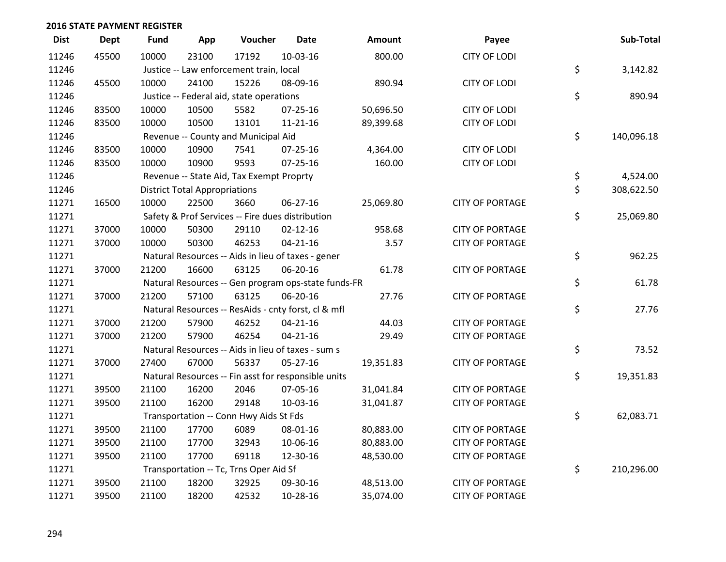| <b>Dist</b> | <b>Dept</b> | <b>Fund</b> | App                                  | Voucher                                  | <b>Date</b>                                         | <b>Amount</b> | Payee                  | Sub-Total        |
|-------------|-------------|-------------|--------------------------------------|------------------------------------------|-----------------------------------------------------|---------------|------------------------|------------------|
| 11246       | 45500       | 10000       | 23100                                | 17192                                    | 10-03-16                                            | 800.00        | <b>CITY OF LODI</b>    |                  |
| 11246       |             |             |                                      | Justice -- Law enforcement train, local  |                                                     |               |                        | \$<br>3,142.82   |
| 11246       | 45500       | 10000       | 24100                                | 15226                                    | 08-09-16                                            | 890.94        | <b>CITY OF LODI</b>    |                  |
| 11246       |             |             |                                      | Justice -- Federal aid, state operations |                                                     |               |                        | \$<br>890.94     |
| 11246       | 83500       | 10000       | 10500                                | 5582                                     | $07 - 25 - 16$                                      | 50,696.50     | <b>CITY OF LODI</b>    |                  |
| 11246       | 83500       | 10000       | 10500                                | 13101                                    | $11 - 21 - 16$                                      | 89,399.68     | <b>CITY OF LODI</b>    |                  |
| 11246       |             |             |                                      | Revenue -- County and Municipal Aid      |                                                     |               |                        | \$<br>140,096.18 |
| 11246       | 83500       | 10000       | 10900                                | 7541                                     | $07 - 25 - 16$                                      | 4,364.00      | <b>CITY OF LODI</b>    |                  |
| 11246       | 83500       | 10000       | 10900                                | 9593                                     | $07 - 25 - 16$                                      | 160.00        | <b>CITY OF LODI</b>    |                  |
| 11246       |             |             |                                      | Revenue -- State Aid, Tax Exempt Proprty |                                                     |               |                        | \$<br>4,524.00   |
| 11246       |             |             | <b>District Total Appropriations</b> |                                          | \$<br>308,622.50                                    |               |                        |                  |
| 11271       | 16500       | 10000       | 22500                                | 3660                                     | 06-27-16                                            | 25,069.80     | <b>CITY OF PORTAGE</b> |                  |
| 11271       |             |             |                                      |                                          | Safety & Prof Services -- Fire dues distribution    |               |                        | \$<br>25,069.80  |
| 11271       | 37000       | 10000       | 50300                                | 29110                                    | $02 - 12 - 16$                                      | 958.68        | <b>CITY OF PORTAGE</b> |                  |
| 11271       | 37000       | 10000       | 50300                                | 46253                                    | $04 - 21 - 16$                                      | 3.57          | <b>CITY OF PORTAGE</b> |                  |
| 11271       |             |             |                                      |                                          | Natural Resources -- Aids in lieu of taxes - gener  |               |                        | \$<br>962.25     |
| 11271       | 37000       | 21200       | 16600                                | 63125                                    | 06-20-16                                            | 61.78         | <b>CITY OF PORTAGE</b> |                  |
| 11271       |             |             |                                      |                                          | Natural Resources -- Gen program ops-state funds-FR |               |                        | \$<br>61.78      |
| 11271       | 37000       | 21200       | 57100                                | 63125                                    | 06-20-16                                            | 27.76         | <b>CITY OF PORTAGE</b> |                  |
| 11271       |             |             |                                      |                                          | Natural Resources -- ResAids - cnty forst, cl & mfl |               |                        | \$<br>27.76      |
| 11271       | 37000       | 21200       | 57900                                | 46252                                    | $04 - 21 - 16$                                      | 44.03         | <b>CITY OF PORTAGE</b> |                  |
| 11271       | 37000       | 21200       | 57900                                | 46254                                    | $04 - 21 - 16$                                      | 29.49         | <b>CITY OF PORTAGE</b> |                  |
| 11271       |             |             |                                      |                                          | Natural Resources -- Aids in lieu of taxes - sum s  |               |                        | \$<br>73.52      |
| 11271       | 37000       | 27400       | 67000                                | 56337                                    | $05 - 27 - 16$                                      | 19,351.83     | <b>CITY OF PORTAGE</b> |                  |
| 11271       |             |             |                                      |                                          | Natural Resources -- Fin asst for responsible units |               |                        | \$<br>19,351.83  |
| 11271       | 39500       | 21100       | 16200                                | 2046                                     | 07-05-16                                            | 31,041.84     | <b>CITY OF PORTAGE</b> |                  |
| 11271       | 39500       | 21100       | 16200                                | 29148                                    | 10-03-16                                            | 31,041.87     | <b>CITY OF PORTAGE</b> |                  |
| 11271       |             |             |                                      | Transportation -- Conn Hwy Aids St Fds   |                                                     |               |                        | \$<br>62,083.71  |
| 11271       | 39500       | 21100       | 17700                                | 6089                                     | 08-01-16                                            | 80,883.00     | <b>CITY OF PORTAGE</b> |                  |
| 11271       | 39500       | 21100       | 17700                                | 32943                                    | 10-06-16                                            | 80,883.00     | <b>CITY OF PORTAGE</b> |                  |
| 11271       | 39500       | 21100       | 17700                                | 69118                                    | 12-30-16                                            | 48,530.00     | <b>CITY OF PORTAGE</b> |                  |
| 11271       |             |             |                                      | Transportation -- Tc, Trns Oper Aid Sf   |                                                     |               |                        | \$<br>210,296.00 |
| 11271       | 39500       | 21100       | 18200                                | 32925                                    | 09-30-16                                            | 48,513.00     | <b>CITY OF PORTAGE</b> |                  |
| 11271       | 39500       | 21100       | 18200                                | 42532                                    | 10-28-16                                            | 35,074.00     | <b>CITY OF PORTAGE</b> |                  |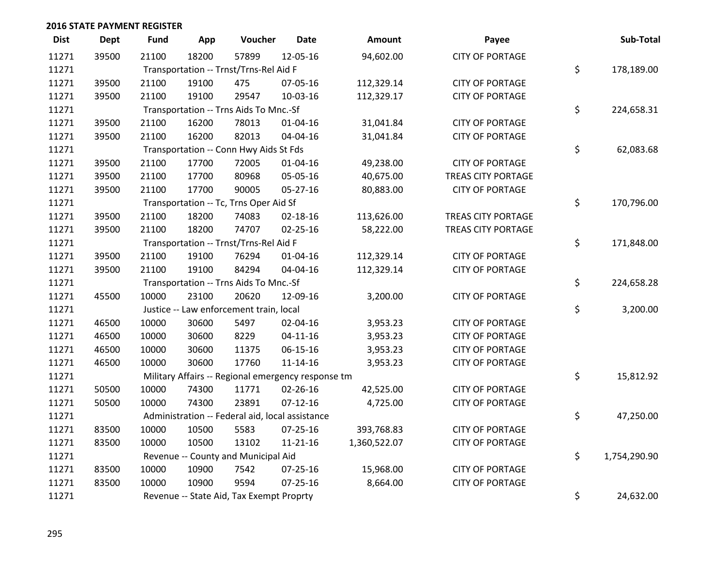| <b>Dist</b> | <b>Dept</b> | Fund  | App   | Voucher                                            | <b>Date</b>    | Amount       | Payee                     | Sub-Total          |
|-------------|-------------|-------|-------|----------------------------------------------------|----------------|--------------|---------------------------|--------------------|
| 11271       | 39500       | 21100 | 18200 | 57899                                              | 12-05-16       | 94,602.00    | <b>CITY OF PORTAGE</b>    |                    |
| 11271       |             |       |       | Transportation -- Trnst/Trns-Rel Aid F             |                |              |                           | \$<br>178,189.00   |
| 11271       | 39500       | 21100 | 19100 | 475                                                | 07-05-16       | 112,329.14   | <b>CITY OF PORTAGE</b>    |                    |
| 11271       | 39500       | 21100 | 19100 | 29547                                              | 10-03-16       | 112,329.17   | <b>CITY OF PORTAGE</b>    |                    |
| 11271       |             |       |       | Transportation -- Trns Aids To Mnc.-Sf             |                |              |                           | \$<br>224,658.31   |
| 11271       | 39500       | 21100 | 16200 | 78013                                              | $01 - 04 - 16$ | 31,041.84    | <b>CITY OF PORTAGE</b>    |                    |
| 11271       | 39500       | 21100 | 16200 | 82013                                              | 04-04-16       | 31,041.84    | <b>CITY OF PORTAGE</b>    |                    |
| 11271       |             |       |       | Transportation -- Conn Hwy Aids St Fds             |                |              |                           | \$<br>62,083.68    |
| 11271       | 39500       | 21100 | 17700 | 72005                                              | 01-04-16       | 49,238.00    | <b>CITY OF PORTAGE</b>    |                    |
| 11271       | 39500       | 21100 | 17700 | 80968                                              | 05-05-16       | 40,675.00    | <b>TREAS CITY PORTAGE</b> |                    |
| 11271       | 39500       | 21100 | 17700 | 90005                                              | 05-27-16       | 80,883.00    | <b>CITY OF PORTAGE</b>    |                    |
| 11271       |             |       |       | Transportation -- Tc, Trns Oper Aid Sf             |                |              |                           | \$<br>170,796.00   |
| 11271       | 39500       | 21100 | 18200 | 74083                                              | $02 - 18 - 16$ | 113,626.00   | <b>TREAS CITY PORTAGE</b> |                    |
| 11271       | 39500       | 21100 | 18200 | 74707                                              | $02 - 25 - 16$ | 58,222.00    | TREAS CITY PORTAGE        |                    |
| 11271       |             |       |       | Transportation -- Trnst/Trns-Rel Aid F             |                |              |                           | \$<br>171,848.00   |
| 11271       | 39500       | 21100 | 19100 | 76294                                              | $01 - 04 - 16$ | 112,329.14   | <b>CITY OF PORTAGE</b>    |                    |
| 11271       | 39500       | 21100 | 19100 | 84294                                              | 04-04-16       | 112,329.14   | <b>CITY OF PORTAGE</b>    |                    |
| 11271       |             |       |       | Transportation -- Trns Aids To Mnc.-Sf             |                |              |                           | \$<br>224,658.28   |
| 11271       | 45500       | 10000 | 23100 | 20620                                              | 12-09-16       | 3,200.00     | <b>CITY OF PORTAGE</b>    |                    |
| 11271       |             |       |       | Justice -- Law enforcement train, local            |                |              |                           | \$<br>3,200.00     |
| 11271       | 46500       | 10000 | 30600 | 5497                                               | 02-04-16       | 3,953.23     | <b>CITY OF PORTAGE</b>    |                    |
| 11271       | 46500       | 10000 | 30600 | 8229                                               | $04 - 11 - 16$ | 3,953.23     | <b>CITY OF PORTAGE</b>    |                    |
| 11271       | 46500       | 10000 | 30600 | 11375                                              | 06-15-16       | 3,953.23     | <b>CITY OF PORTAGE</b>    |                    |
| 11271       | 46500       | 10000 | 30600 | 17760                                              | $11 - 14 - 16$ | 3,953.23     | <b>CITY OF PORTAGE</b>    |                    |
| 11271       |             |       |       | Military Affairs -- Regional emergency response tm |                |              |                           | \$<br>15,812.92    |
| 11271       | 50500       | 10000 | 74300 | 11771                                              | $02 - 26 - 16$ | 42,525.00    | <b>CITY OF PORTAGE</b>    |                    |
| 11271       | 50500       | 10000 | 74300 | 23891                                              | $07-12-16$     | 4,725.00     | <b>CITY OF PORTAGE</b>    |                    |
| 11271       |             |       |       | Administration -- Federal aid, local assistance    |                |              |                           | \$<br>47,250.00    |
| 11271       | 83500       | 10000 | 10500 | 5583                                               | $07 - 25 - 16$ | 393,768.83   | <b>CITY OF PORTAGE</b>    |                    |
| 11271       | 83500       | 10000 | 10500 | 13102                                              | $11 - 21 - 16$ | 1,360,522.07 | <b>CITY OF PORTAGE</b>    |                    |
| 11271       |             |       |       | Revenue -- County and Municipal Aid                |                |              |                           | \$<br>1,754,290.90 |
| 11271       | 83500       | 10000 | 10900 | 7542                                               | $07 - 25 - 16$ | 15,968.00    | <b>CITY OF PORTAGE</b>    |                    |
| 11271       | 83500       | 10000 | 10900 | 9594                                               | $07 - 25 - 16$ | 8,664.00     | <b>CITY OF PORTAGE</b>    |                    |
| 11271       |             |       |       | Revenue -- State Aid, Tax Exempt Proprty           |                |              |                           | \$<br>24,632.00    |